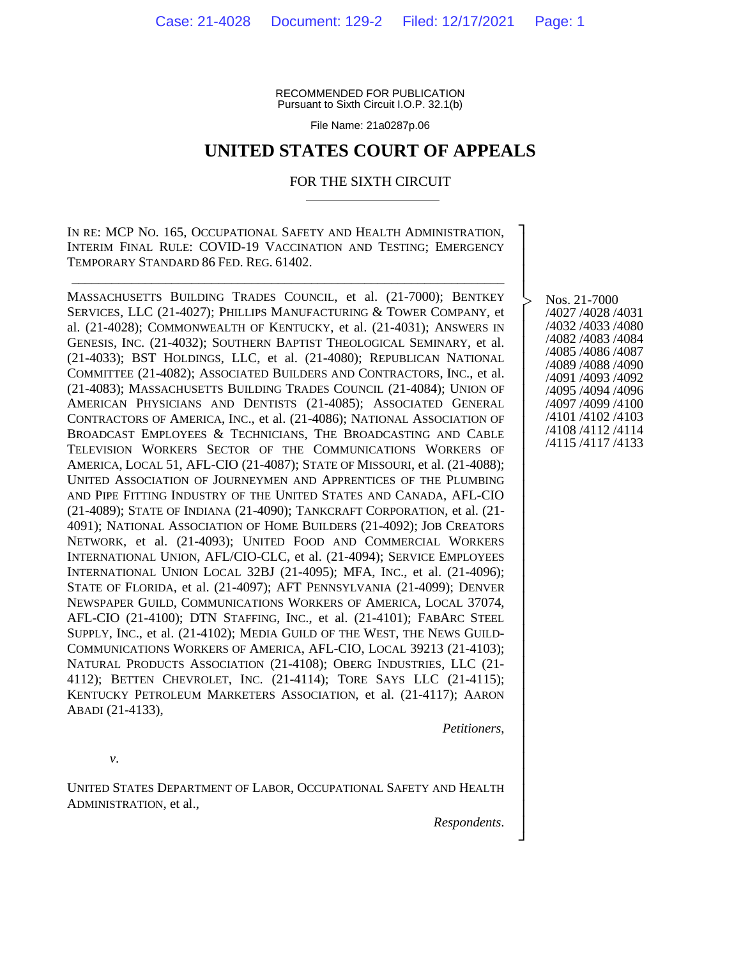RECOMMENDED FOR PUBLICATION Pursuant to Sixth Circuit I.O.P. 32.1(b)

File Name: 21a0287p.06

## **UNITED STATES COURT OF APPEALS**

#### FOR THE SIXTH CIRCUIT

IN RE: MCP NO. 165, OCCUPATIONAL SAFETY AND HEALTH ADMINISTRATION, INTERIM FINAL RULE: COVID-19 VACCINATION AND TESTING; EMERGENCY TEMPORARY STANDARD 86 FED. REG. 61402.

\_\_\_\_\_\_\_\_\_\_\_\_\_\_\_\_\_\_\_\_\_\_\_\_\_\_\_\_\_\_\_\_\_\_\_\_\_\_\_\_\_\_\_\_\_\_\_\_\_\_\_\_\_\_\_\_\_\_\_\_\_\_\_\_\_

MASSACHUSETTS BUILDING TRADES COUNCIL, et al. (21-7000); BENTKEY SERVICES, LLC (21-4027); PHILLIPS MANUFACTURING & TOWER COMPANY, et al. (21-4028); COMMONWEALTH OF KENTUCKY, et al. (21-4031); ANSWERS IN GENESIS, INC. (21-4032); SOUTHERN BAPTIST THEOLOGICAL SEMINARY, et al. (21-4033); BST HOLDINGS, LLC, et al. (21-4080); REPUBLICAN NATIONAL COMMITTEE (21-4082); ASSOCIATED BUILDERS AND CONTRACTORS, INC., et al. (21-4083); MASSACHUSETTS BUILDING TRADES COUNCIL (21-4084); UNION OF AMERICAN PHYSICIANS AND DENTISTS (21-4085); ASSOCIATED GENERAL CONTRACTORS OF AMERICA, INC., et al. (21-4086); NATIONAL ASSOCIATION OF BROADCAST EMPLOYEES & TECHNICIANS, THE BROADCASTING AND CABLE TELEVISION WORKERS SECTOR OF THE COMMUNICATIONS WORKERS OF AMERICA, LOCAL 51, AFL-CIO (21-4087); STATE OF MISSOURI, et al. (21-4088); UNITED ASSOCIATION OF JOURNEYMEN AND APPRENTICES OF THE PLUMBING AND PIPE FITTING INDUSTRY OF THE UNITED STATES AND CANADA, AFL-CIO (21-4089); STATE OF INDIANA (21-4090); TANKCRAFT CORPORATION, et al. (21- 4091); NATIONAL ASSOCIATION OF HOME BUILDERS (21-4092); JOB CREATORS NETWORK, et al. (21-4093); UNITED FOOD AND COMMERCIAL WORKERS INTERNATIONAL UNION, AFL/CIO-CLC, et al. (21-4094); SERVICE EMPLOYEES INTERNATIONAL UNION LOCAL 32BJ (21-4095); MFA, INC., et al. (21-4096); STATE OF FLORIDA, et al. (21-4097); AFT PENNSYLVANIA (21-4099); DENVER NEWSPAPER GUILD, COMMUNICATIONS WORKERS OF AMERICA, LOCAL 37074, AFL-CIO (21-4100); DTN STAFFING, INC., et al. (21-4101); FABARC STEEL SUPPLY, INC., et al. (21-4102); MEDIA GUILD OF THE WEST, THE NEWS GUILD-COMMUNICATIONS WORKERS OF AMERICA, AFL-CIO, LOCAL 39213 (21-4103); NATURAL PRODUCTS ASSOCIATION (21-4108); OBERG INDUSTRIES, LLC (21- 4112); BETTEN CHEVROLET, INC. (21-4114); TORE SAYS LLC (21-4115); KENTUCKY PETROLEUM MARKETERS ASSOCIATION, et al. (21-4117); AARON ABADI (21-4133),

Nos. 21-7000 /4027 /4028 /4031 /4032 /4033 /4080 /4082 /4083 /4084 /4085 /4086 /4087 /4089 /4088 /4090 /4091 /4093 /4092 /4095 /4094 /4096 /4097 /4099 /4100 /4101 /4102 /4103 /4108 /4112 /4114 /4115 /4117 /4133

┐ │ │ │ │ │ │ │ │ │ │ │ │ │ │ │ │ │ │ │ │ │ │ │ │ │ │ │ │ │ │ │ │ │ │ │ │ │ ┘

|<br>|<br>|

*v*.

UNITED STATES DEPARTMENT OF LABOR, OCCUPATIONAL SAFETY AND HEALTH ADMINISTRATION, et al.,

*Respondents*.

*Petitioners*,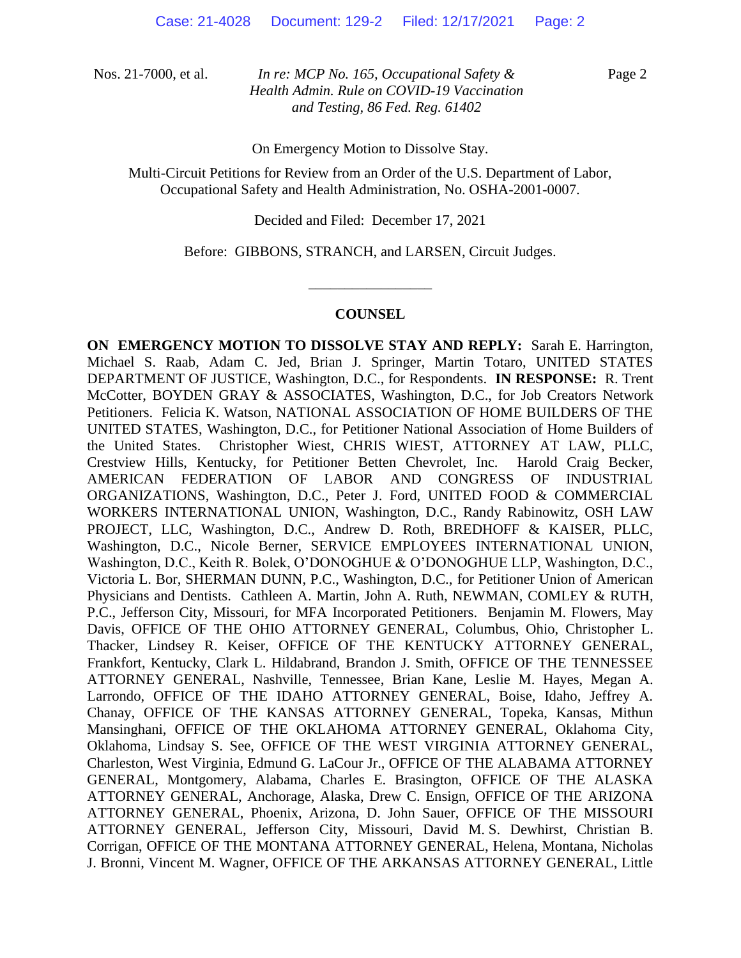Page 2

On Emergency Motion to Dissolve Stay.

Multi-Circuit Petitions for Review from an Order of the U.S. Department of Labor, Occupational Safety and Health Administration, No. OSHA-2001-0007.

Decided and Filed: December 17, 2021

Before: GIBBONS, STRANCH, and LARSEN, Circuit Judges.

\_\_\_\_\_\_\_\_\_\_\_\_\_\_\_\_\_

## **COUNSEL**

**ON EMERGENCY MOTION TO DISSOLVE STAY AND REPLY:** Sarah E. Harrington, Michael S. Raab, Adam C. Jed, Brian J. Springer, Martin Totaro, UNITED STATES DEPARTMENT OF JUSTICE, Washington, D.C., for Respondents. **IN RESPONSE:** R. Trent McCotter, BOYDEN GRAY & ASSOCIATES, Washington, D.C., for Job Creators Network Petitioners. Felicia K. Watson, NATIONAL ASSOCIATION OF HOME BUILDERS OF THE UNITED STATES, Washington, D.C., for Petitioner National Association of Home Builders of the United States. Christopher Wiest, CHRIS WIEST, ATTORNEY AT LAW, PLLC, Crestview Hills, Kentucky, for Petitioner Betten Chevrolet, Inc. Harold Craig Becker, AMERICAN FEDERATION OF LABOR AND CONGRESS OF INDUSTRIAL ORGANIZATIONS, Washington, D.C., Peter J. Ford, UNITED FOOD & COMMERCIAL WORKERS INTERNATIONAL UNION, Washington, D.C., Randy Rabinowitz, OSH LAW PROJECT, LLC, Washington, D.C., Andrew D. Roth, BREDHOFF & KAISER, PLLC, Washington, D.C., Nicole Berner, SERVICE EMPLOYEES INTERNATIONAL UNION, Washington, D.C., Keith R. Bolek, O'DONOGHUE & O'DONOGHUE LLP, Washington, D.C., Victoria L. Bor, SHERMAN DUNN, P.C., Washington, D.C., for Petitioner Union of American Physicians and Dentists. Cathleen A. Martin, John A. Ruth, NEWMAN, COMLEY & RUTH, P.C., Jefferson City, Missouri, for MFA Incorporated Petitioners. Benjamin M. Flowers, May Davis, OFFICE OF THE OHIO ATTORNEY GENERAL, Columbus, Ohio, Christopher L. Thacker, Lindsey R. Keiser, OFFICE OF THE KENTUCKY ATTORNEY GENERAL, Frankfort, Kentucky, Clark L. Hildabrand, Brandon J. Smith, OFFICE OF THE TENNESSEE ATTORNEY GENERAL, Nashville, Tennessee, Brian Kane, Leslie M. Hayes, Megan A. Larrondo, OFFICE OF THE IDAHO ATTORNEY GENERAL, Boise, Idaho, Jeffrey A. Chanay, OFFICE OF THE KANSAS ATTORNEY GENERAL, Topeka, Kansas, Mithun Mansinghani, OFFICE OF THE OKLAHOMA ATTORNEY GENERAL, Oklahoma City, Oklahoma, Lindsay S. See, OFFICE OF THE WEST VIRGINIA ATTORNEY GENERAL, Charleston, West Virginia, Edmund G. LaCour Jr., OFFICE OF THE ALABAMA ATTORNEY GENERAL, Montgomery, Alabama, Charles E. Brasington, OFFICE OF THE ALASKA ATTORNEY GENERAL, Anchorage, Alaska, Drew C. Ensign, OFFICE OF THE ARIZONA ATTORNEY GENERAL, Phoenix, Arizona, D. John Sauer, OFFICE OF THE MISSOURI ATTORNEY GENERAL, Jefferson City, Missouri, David M. S. Dewhirst, Christian B. Corrigan, OFFICE OF THE MONTANA ATTORNEY GENERAL, Helena, Montana, Nicholas J. Bronni, Vincent M. Wagner, OFFICE OF THE ARKANSAS ATTORNEY GENERAL, Little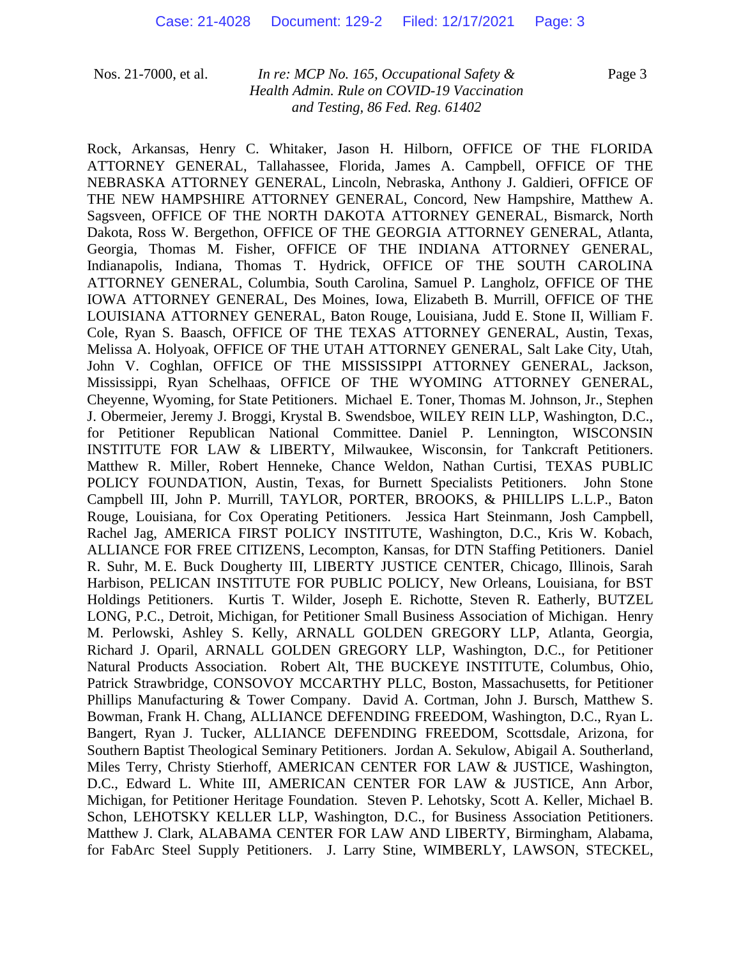Page 3

Rock, Arkansas, Henry C. Whitaker, Jason H. Hilborn, OFFICE OF THE FLORIDA ATTORNEY GENERAL, Tallahassee, Florida, James A. Campbell, OFFICE OF THE NEBRASKA ATTORNEY GENERAL, Lincoln, Nebraska, Anthony J. Galdieri, OFFICE OF THE NEW HAMPSHIRE ATTORNEY GENERAL, Concord, New Hampshire, Matthew A. Sagsveen, OFFICE OF THE NORTH DAKOTA ATTORNEY GENERAL, Bismarck, North Dakota, Ross W. Bergethon, OFFICE OF THE GEORGIA ATTORNEY GENERAL, Atlanta, Georgia, Thomas M. Fisher, OFFICE OF THE INDIANA ATTORNEY GENERAL, Indianapolis, Indiana, Thomas T. Hydrick, OFFICE OF THE SOUTH CAROLINA ATTORNEY GENERAL, Columbia, South Carolina, Samuel P. Langholz, OFFICE OF THE IOWA ATTORNEY GENERAL, Des Moines, Iowa, Elizabeth B. Murrill, OFFICE OF THE LOUISIANA ATTORNEY GENERAL, Baton Rouge, Louisiana, Judd E. Stone II, William F. Cole, Ryan S. Baasch, OFFICE OF THE TEXAS ATTORNEY GENERAL, Austin, Texas, Melissa A. Holyoak, OFFICE OF THE UTAH ATTORNEY GENERAL, Salt Lake City, Utah, John V. Coghlan, OFFICE OF THE MISSISSIPPI ATTORNEY GENERAL, Jackson, Mississippi, Ryan Schelhaas, OFFICE OF THE WYOMING ATTORNEY GENERAL, Cheyenne, Wyoming, for State Petitioners. Michael E. Toner, Thomas M. Johnson, Jr., Stephen J. Obermeier, Jeremy J. Broggi, Krystal B. Swendsboe, WILEY REIN LLP, Washington, D.C., for Petitioner Republican National Committee. Daniel P. Lennington, WISCONSIN INSTITUTE FOR LAW & LIBERTY, Milwaukee, Wisconsin, for Tankcraft Petitioners. Matthew R. Miller, Robert Henneke, Chance Weldon, Nathan Curtisi, TEXAS PUBLIC POLICY FOUNDATION, Austin, Texas, for Burnett Specialists Petitioners. John Stone Campbell III, John P. Murrill, TAYLOR, PORTER, BROOKS, & PHILLIPS L.L.P., Baton Rouge, Louisiana, for Cox Operating Petitioners. Jessica Hart Steinmann, Josh Campbell, Rachel Jag, AMERICA FIRST POLICY INSTITUTE, Washington, D.C., Kris W. Kobach, ALLIANCE FOR FREE CITIZENS, Lecompton, Kansas, for DTN Staffing Petitioners. Daniel R. Suhr, M. E. Buck Dougherty III, LIBERTY JUSTICE CENTER, Chicago, Illinois, Sarah Harbison, PELICAN INSTITUTE FOR PUBLIC POLICY, New Orleans, Louisiana, for BST Holdings Petitioners. Kurtis T. Wilder, Joseph E. Richotte, Steven R. Eatherly, BUTZEL LONG, P.C., Detroit, Michigan, for Petitioner Small Business Association of Michigan. Henry M. Perlowski, Ashley S. Kelly, ARNALL GOLDEN GREGORY LLP, Atlanta, Georgia, Richard J. Oparil, ARNALL GOLDEN GREGORY LLP, Washington, D.C., for Petitioner Natural Products Association. Robert Alt, THE BUCKEYE INSTITUTE, Columbus, Ohio, Patrick Strawbridge, CONSOVOY MCCARTHY PLLC, Boston, Massachusetts, for Petitioner Phillips Manufacturing & Tower Company. David A. Cortman, John J. Bursch, Matthew S. Bowman, Frank H. Chang, ALLIANCE DEFENDING FREEDOM, Washington, D.C., Ryan L. Bangert, Ryan J. Tucker, ALLIANCE DEFENDING FREEDOM, Scottsdale, Arizona, for Southern Baptist Theological Seminary Petitioners. Jordan A. Sekulow, Abigail A. Southerland, Miles Terry, Christy Stierhoff, AMERICAN CENTER FOR LAW & JUSTICE, Washington, D.C., Edward L. White III, AMERICAN CENTER FOR LAW & JUSTICE, Ann Arbor, Michigan, for Petitioner Heritage Foundation. Steven P. Lehotsky, Scott A. Keller, Michael B. Schon, LEHOTSKY KELLER LLP, Washington, D.C., for Business Association Petitioners. Matthew J. Clark, ALABAMA CENTER FOR LAW AND LIBERTY, Birmingham, Alabama, for FabArc Steel Supply Petitioners. J. Larry Stine, WIMBERLY, LAWSON, STECKEL,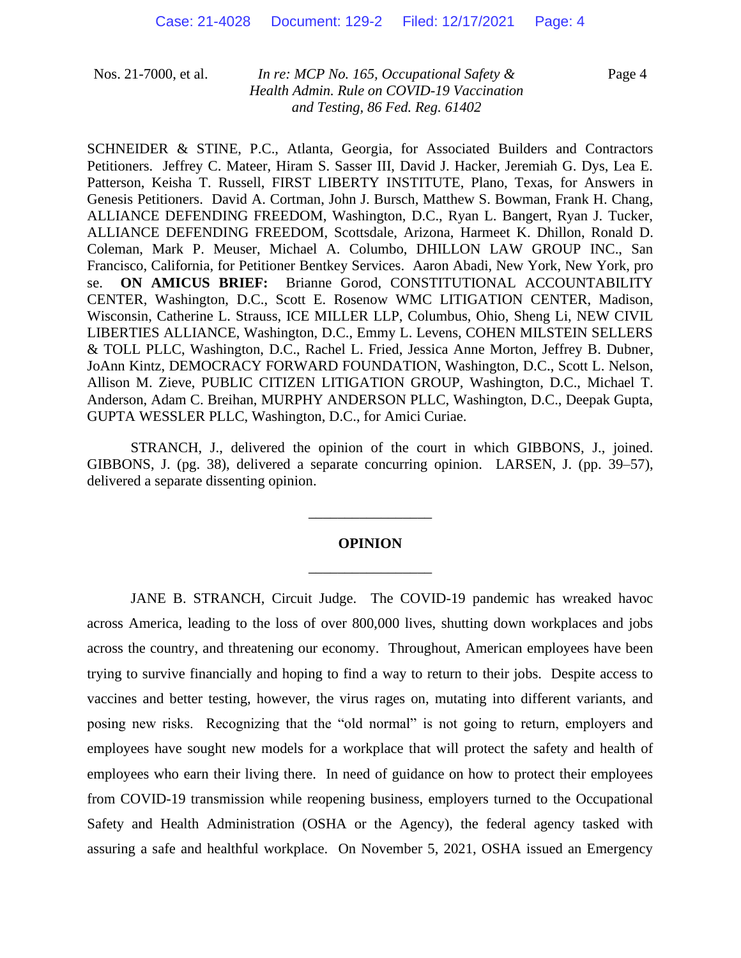Page 4

SCHNEIDER & STINE, P.C., Atlanta, Georgia, for Associated Builders and Contractors Petitioners. Jeffrey C. Mateer, Hiram S. Sasser III, David J. Hacker, Jeremiah G. Dys, Lea E. Patterson, Keisha T. Russell, FIRST LIBERTY INSTITUTE, Plano, Texas, for Answers in Genesis Petitioners. David A. Cortman, John J. Bursch, Matthew S. Bowman, Frank H. Chang, ALLIANCE DEFENDING FREEDOM, Washington, D.C., Ryan L. Bangert, Ryan J. Tucker, ALLIANCE DEFENDING FREEDOM, Scottsdale, Arizona, Harmeet K. Dhillon, Ronald D. Coleman, Mark P. Meuser, Michael A. Columbo, DHILLON LAW GROUP INC., San Francisco, California, for Petitioner Bentkey Services. Aaron Abadi, New York, New York, pro se. **ON AMICUS BRIEF:** Brianne Gorod, CONSTITUTIONAL ACCOUNTABILITY CENTER, Washington, D.C., Scott E. Rosenow WMC LITIGATION CENTER, Madison, Wisconsin, Catherine L. Strauss, ICE MILLER LLP, Columbus, Ohio, Sheng Li, NEW CIVIL LIBERTIES ALLIANCE, Washington, D.C., Emmy L. Levens, COHEN MILSTEIN SELLERS & TOLL PLLC, Washington, D.C., Rachel L. Fried, Jessica Anne Morton, Jeffrey B. Dubner, JoAnn Kintz, DEMOCRACY FORWARD FOUNDATION, Washington, D.C., Scott L. Nelson, Allison M. Zieve, PUBLIC CITIZEN LITIGATION GROUP, Washington, D.C., Michael T. Anderson, Adam C. Breihan, MURPHY ANDERSON PLLC, Washington, D.C., Deepak Gupta, GUPTA WESSLER PLLC, Washington, D.C., for Amici Curiae.

STRANCH, J., delivered the opinion of the court in which GIBBONS, J., joined. GIBBONS, J. (pg. 38), delivered a separate concurring opinion. LARSEN, J. (pp. 39–57), delivered a separate dissenting opinion.

# **OPINION** \_\_\_\_\_\_\_\_\_\_\_\_\_\_\_\_\_

\_\_\_\_\_\_\_\_\_\_\_\_\_\_\_\_\_

JANE B. STRANCH, Circuit Judge. The COVID-19 pandemic has wreaked havoc across America, leading to the loss of over 800,000 lives, shutting down workplaces and jobs across the country, and threatening our economy. Throughout, American employees have been trying to survive financially and hoping to find a way to return to their jobs. Despite access to vaccines and better testing, however, the virus rages on, mutating into different variants, and posing new risks. Recognizing that the "old normal" is not going to return, employers and employees have sought new models for a workplace that will protect the safety and health of employees who earn their living there. In need of guidance on how to protect their employees from COVID-19 transmission while reopening business, employers turned to the Occupational Safety and Health Administration (OSHA or the Agency), the federal agency tasked with assuring a safe and healthful workplace. On November 5, 2021, OSHA issued an Emergency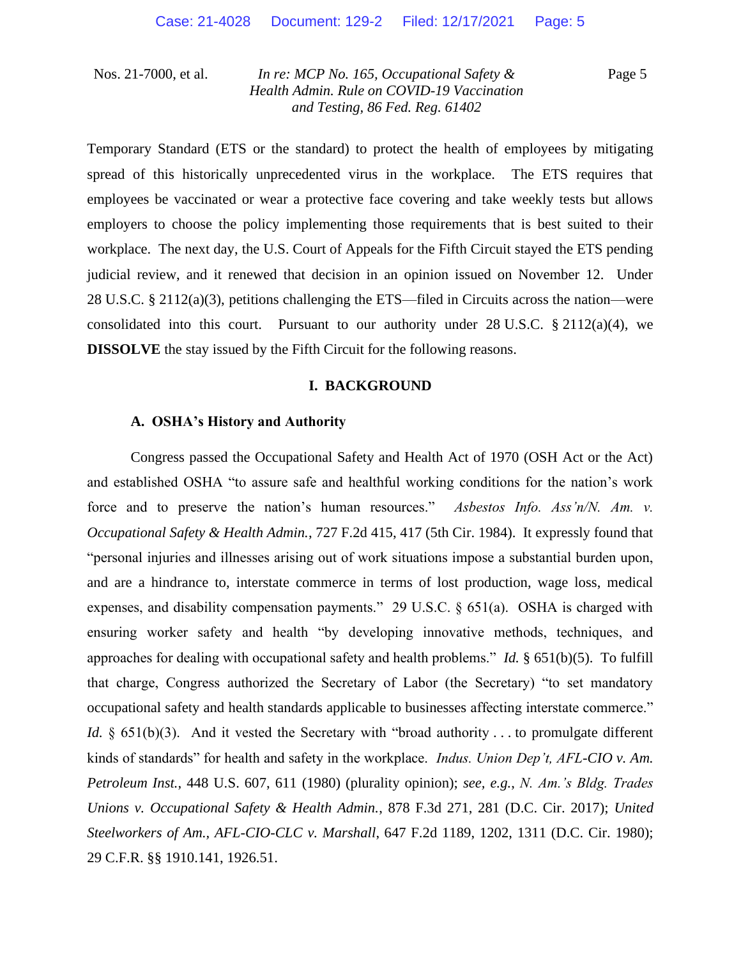Page 5

Temporary Standard (ETS or the standard) to protect the health of employees by mitigating spread of this historically unprecedented virus in the workplace. The ETS requires that employees be vaccinated or wear a protective face covering and take weekly tests but allows employers to choose the policy implementing those requirements that is best suited to their workplace. The next day, the U.S. Court of Appeals for the Fifth Circuit stayed the ETS pending judicial review, and it renewed that decision in an opinion issued on November 12. Under 28 U.S.C. § 2112(a)(3), petitions challenging the ETS—filed in Circuits across the nation—were consolidated into this court. Pursuant to our authority under  $28 \text{ U.S.C. }$  \$ 2112(a)(4), we **DISSOLVE** the stay issued by the Fifth Circuit for the following reasons.

### **I. BACKGROUND**

## **A. OSHA's History and Authority**

Congress passed the Occupational Safety and Health Act of 1970 (OSH Act or the Act) and established OSHA "to assure safe and healthful working conditions for the nation's work force and to preserve the nation's human resources." *Asbestos Info. Ass'n/N. Am. v. Occupational Safety & Health Admin.*, 727 F.2d 415, 417 (5th Cir. 1984). It expressly found that "personal injuries and illnesses arising out of work situations impose a substantial burden upon, and are a hindrance to, interstate commerce in terms of lost production, wage loss, medical expenses, and disability compensation payments." 29 U.S.C. § 651(a). OSHA is charged with ensuring worker safety and health "by developing innovative methods, techniques, and approaches for dealing with occupational safety and health problems." *Id.* § 651(b)(5). To fulfill that charge, Congress authorized the Secretary of Labor (the Secretary) "to set mandatory occupational safety and health standards applicable to businesses affecting interstate commerce." *Id.* § 651(b)(3). And it vested the Secretary with "broad authority . . . to promulgate different kinds of standards" for health and safety in the workplace. *Indus. Union Dep't, AFL-CIO v. Am. Petroleum Inst.*, 448 U.S. 607, 611 (1980) (plurality opinion); *see, e.g.*, *N. Am.'s Bldg. Trades Unions v. Occupational Safety & Health Admin.*, 878 F.3d 271, 281 (D.C. Cir. 2017); *United Steelworkers of Am., AFL-CIO-CLC v. Marshall*, 647 F.2d 1189, 1202, 1311 (D.C. Cir. 1980); 29 C.F.R. §§ 1910.141, 1926.51.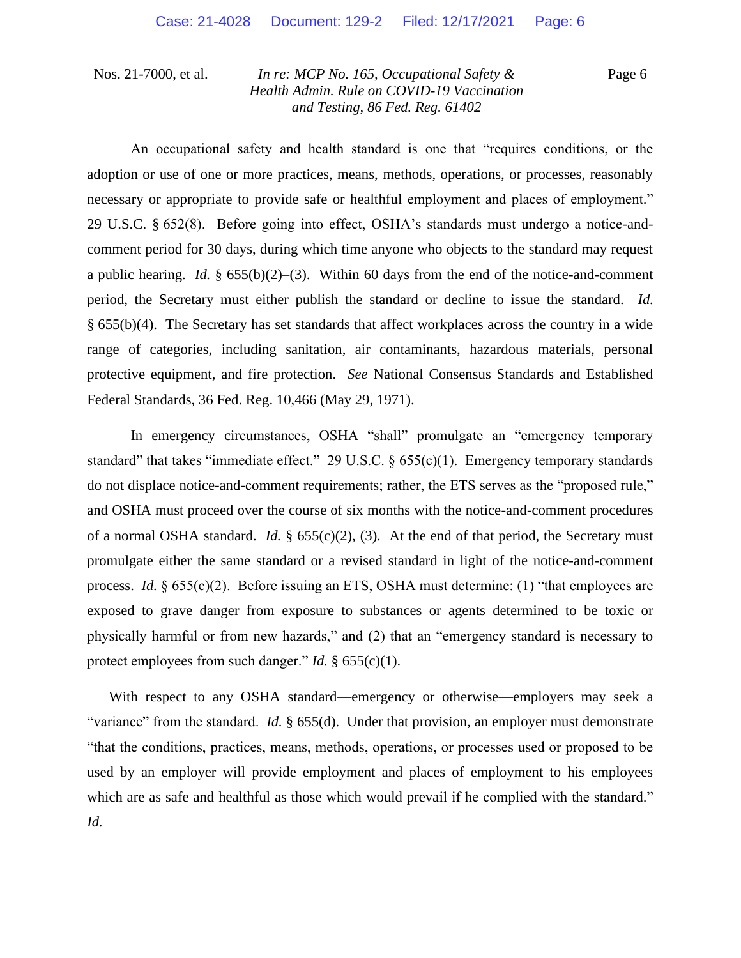Page 6

An occupational safety and health standard is one that "requires conditions, or the adoption or use of one or more practices, means, methods, operations, or processes, reasonably necessary or appropriate to provide safe or healthful employment and places of employment." 29 U.S.C. § 652(8). Before going into effect, OSHA's standards must undergo a notice-andcomment period for 30 days, during which time anyone who objects to the standard may request a public hearing. *Id.*  $\S 655(b)(2)$ –(3). Within 60 days from the end of the notice-and-comment period, the Secretary must either publish the standard or decline to issue the standard. *Id.*  § 655(b)(4). The Secretary has set standards that affect workplaces across the country in a wide range of categories, including sanitation, air contaminants, hazardous materials, personal protective equipment, and fire protection. *See* National Consensus Standards and Established Federal Standards, 36 Fed. Reg. 10,466 (May 29, 1971).

In emergency circumstances, OSHA "shall" promulgate an "emergency temporary standard" that takes "immediate effect." 29 U.S.C. § 655(c)(1). Emergency temporary standards do not displace notice-and-comment requirements; rather, the ETS serves as the "proposed rule," and OSHA must proceed over the course of six months with the notice-and-comment procedures of a normal OSHA standard. *Id.* § 655(c)(2), (3). At the end of that period, the Secretary must promulgate either the same standard or a revised standard in light of the notice-and-comment process. *Id.* § 655(c)(2). Before issuing an ETS, OSHA must determine: (1) "that employees are exposed to grave danger from exposure to substances or agents determined to be toxic or physically harmful or from new hazards," and (2) that an "emergency standard is necessary to protect employees from such danger." *Id.* § 655(c)(1).

With respect to any OSHA standard—emergency or otherwise—employers may seek a "variance" from the standard. *Id.* § 655(d). Under that provision, an employer must demonstrate "that the conditions, practices, means, methods, operations, or processes used or proposed to be used by an employer will provide employment and places of employment to his employees which are as safe and healthful as those which would prevail if he complied with the standard." *Id.*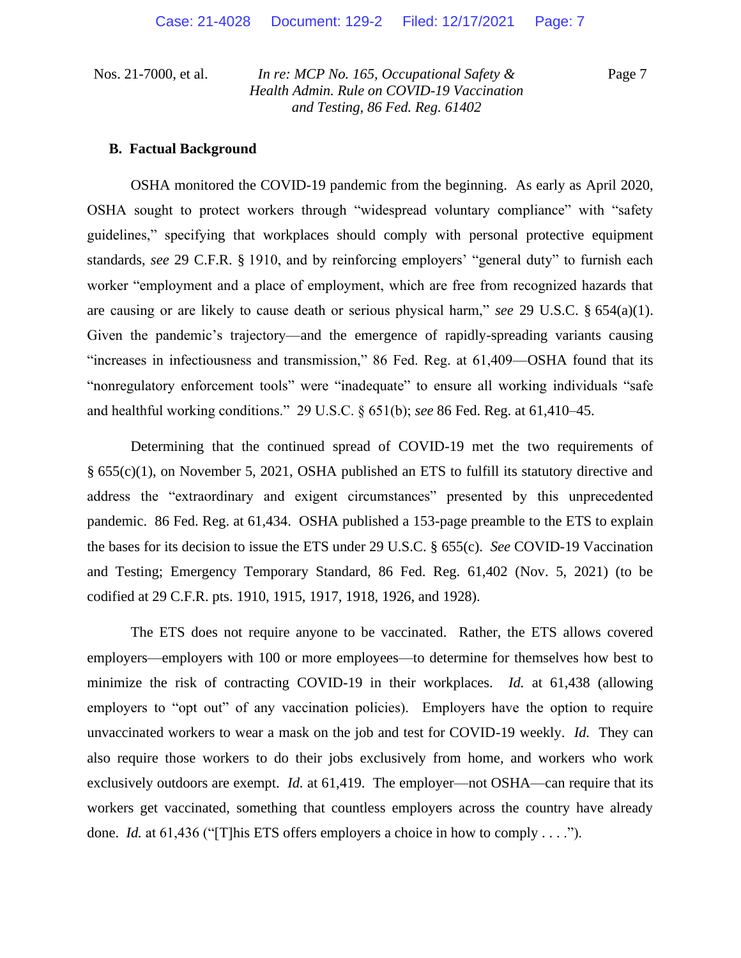Page 7

## **B. Factual Background**

OSHA monitored the COVID-19 pandemic from the beginning. As early as April 2020, OSHA sought to protect workers through "widespread voluntary compliance" with "safety guidelines," specifying that workplaces should comply with personal protective equipment standards, *see* 29 C.F.R. § 1910, and by reinforcing employers' "general duty" to furnish each worker "employment and a place of employment, which are free from recognized hazards that are causing or are likely to cause death or serious physical harm," *see* 29 U.S.C. § 654(a)(1). Given the pandemic's trajectory—and the emergence of rapidly-spreading variants causing "increases in infectiousness and transmission," 86 Fed. Reg. at 61,409—OSHA found that its "nonregulatory enforcement tools" were "inadequate" to ensure all working individuals "safe and healthful working conditions." 29 U.S.C. § 651(b); *see* 86 Fed. Reg. at 61,410–45.

Determining that the continued spread of COVID-19 met the two requirements of § 655(c)(1), on November 5, 2021, OSHA published an ETS to fulfill its statutory directive and address the "extraordinary and exigent circumstances" presented by this unprecedented pandemic. 86 Fed. Reg. at 61,434. OSHA published a 153-page preamble to the ETS to explain the bases for its decision to issue the ETS under 29 U.S.C. § 655(c). *See* COVID-19 Vaccination and Testing; Emergency Temporary Standard, 86 Fed. Reg. 61,402 (Nov. 5, 2021) (to be codified at 29 C.F.R. pts. 1910, 1915, 1917, 1918, 1926, and 1928).

The ETS does not require anyone to be vaccinated. Rather, the ETS allows covered employers—employers with 100 or more employees—to determine for themselves how best to minimize the risk of contracting COVID-19 in their workplaces. *Id.* at 61,438 (allowing employers to "opt out" of any vaccination policies). Employers have the option to require unvaccinated workers to wear a mask on the job and test for COVID-19 weekly. *Id.* They can also require those workers to do their jobs exclusively from home, and workers who work exclusively outdoors are exempt. *Id.* at 61,419. The employer—not OSHA—can require that its workers get vaccinated, something that countless employers across the country have already done. *Id.* at 61,436 ("[T]his ETS offers employers a choice in how to comply . . . .").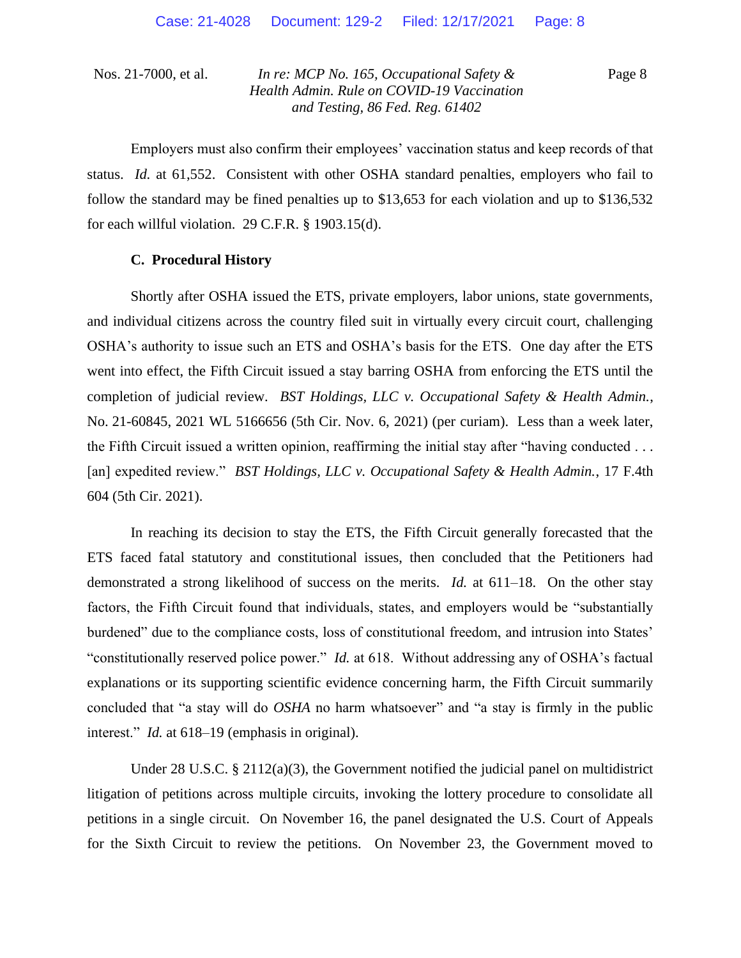Page 8

Employers must also confirm their employees' vaccination status and keep records of that status. *Id.* at 61,552. Consistent with other OSHA standard penalties, employers who fail to follow the standard may be fined penalties up to \$13,653 for each violation and up to \$136,532 for each willful violation. 29 C.F.R. § 1903.15(d).

## **C. Procedural History**

Shortly after OSHA issued the ETS, private employers, labor unions, state governments, and individual citizens across the country filed suit in virtually every circuit court, challenging OSHA's authority to issue such an ETS and OSHA's basis for the ETS. One day after the ETS went into effect, the Fifth Circuit issued a stay barring OSHA from enforcing the ETS until the completion of judicial review. *BST Holdings, LLC v. Occupational Safety & Health Admin.*, No. 21-60845, 2021 WL 5166656 (5th Cir. Nov. 6, 2021) (per curiam). Less than a week later, the Fifth Circuit issued a written opinion, reaffirming the initial stay after "having conducted . . . [an] expedited review." *BST Holdings, LLC v. Occupational Safety & Health Admin.*, 17 F.4th 604 (5th Cir. 2021).

In reaching its decision to stay the ETS, the Fifth Circuit generally forecasted that the ETS faced fatal statutory and constitutional issues, then concluded that the Petitioners had demonstrated a strong likelihood of success on the merits. *Id.* at 611–18. On the other stay factors, the Fifth Circuit found that individuals, states, and employers would be "substantially burdened" due to the compliance costs, loss of constitutional freedom, and intrusion into States' "constitutionally reserved police power." *Id.* at 618. Without addressing any of OSHA's factual explanations or its supporting scientific evidence concerning harm, the Fifth Circuit summarily concluded that "a stay will do *OSHA* no harm whatsoever" and "a stay is firmly in the public interest." *Id.* at 618–19 (emphasis in original).

Under 28 U.S.C. § 2112(a)(3), the Government notified the judicial panel on multidistrict litigation of petitions across multiple circuits, invoking the lottery procedure to consolidate all petitions in a single circuit. On November 16, the panel designated the U.S. Court of Appeals for the Sixth Circuit to review the petitions. On November 23, the Government moved to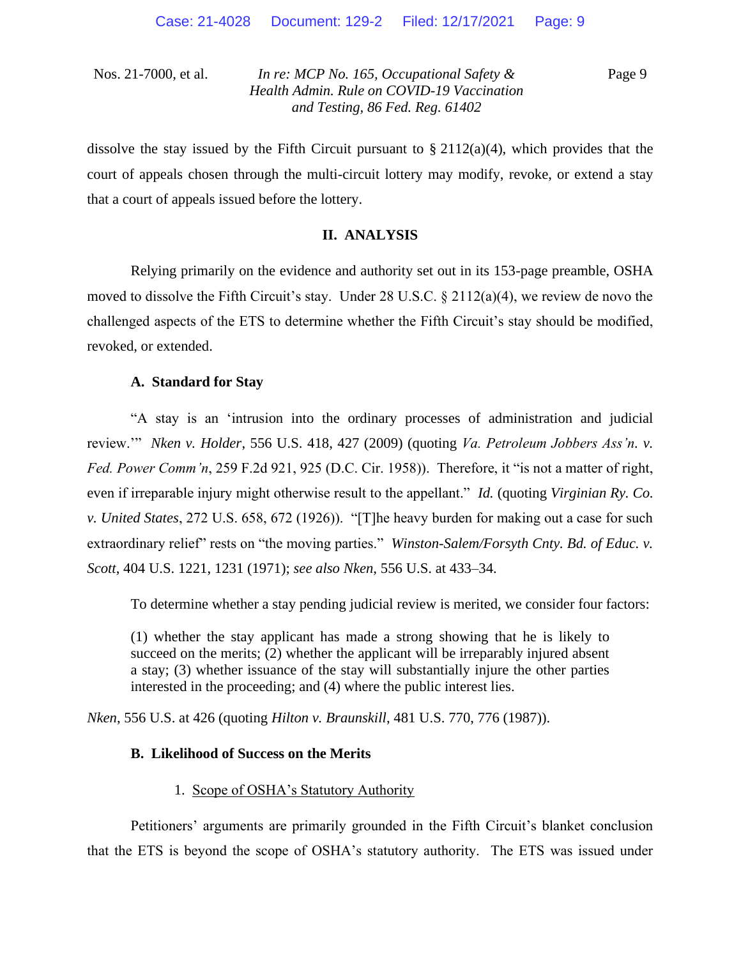Page 9

dissolve the stay issued by the Fifth Circuit pursuant to  $\S 2112(a)(4)$ , which provides that the court of appeals chosen through the multi-circuit lottery may modify, revoke, or extend a stay that a court of appeals issued before the lottery.

## **II. ANALYSIS**

Relying primarily on the evidence and authority set out in its 153-page preamble, OSHA moved to dissolve the Fifth Circuit's stay. Under 28 U.S.C.  $\S 2112(a)(4)$ , we review de novo the challenged aspects of the ETS to determine whether the Fifth Circuit's stay should be modified, revoked, or extended.

## **A. Standard for Stay**

"A stay is an 'intrusion into the ordinary processes of administration and judicial review.'" *Nken v. Holder*, 556 U.S. 418, 427 (2009) (quoting *Va. Petroleum Jobbers Ass'n. v. Fed. Power Comm'n*, 259 F.2d 921, 925 (D.C. Cir. 1958)). Therefore, it "is not a matter of right, even if irreparable injury might otherwise result to the appellant." *Id.* (quoting *Virginian Ry. Co. v. United States*, 272 U.S. 658, 672 (1926)). "[T]he heavy burden for making out a case for such extraordinary relief" rests on "the moving parties." *Winston-Salem/Forsyth Cnty. Bd. of Educ. v. Scott*, 404 U.S. 1221, 1231 (1971); *see also Nken*, 556 U.S. at 433–34.

To determine whether a stay pending judicial review is merited, we consider four factors:

(1) whether the stay applicant has made a strong showing that he is likely to succeed on the merits; (2) whether the applicant will be irreparably injured absent a stay; (3) whether issuance of the stay will substantially injure the other parties interested in the proceeding; and (4) where the public interest lies.

*Nken*, 556 U.S. at 426 (quoting *Hilton v. Braunskill*, 481 U.S. 770, 776 (1987)).

## **B. Likelihood of Success on the Merits**

#### 1. Scope of OSHA's Statutory Authority

Petitioners' arguments are primarily grounded in the Fifth Circuit's blanket conclusion that the ETS is beyond the scope of OSHA's statutory authority. The ETS was issued under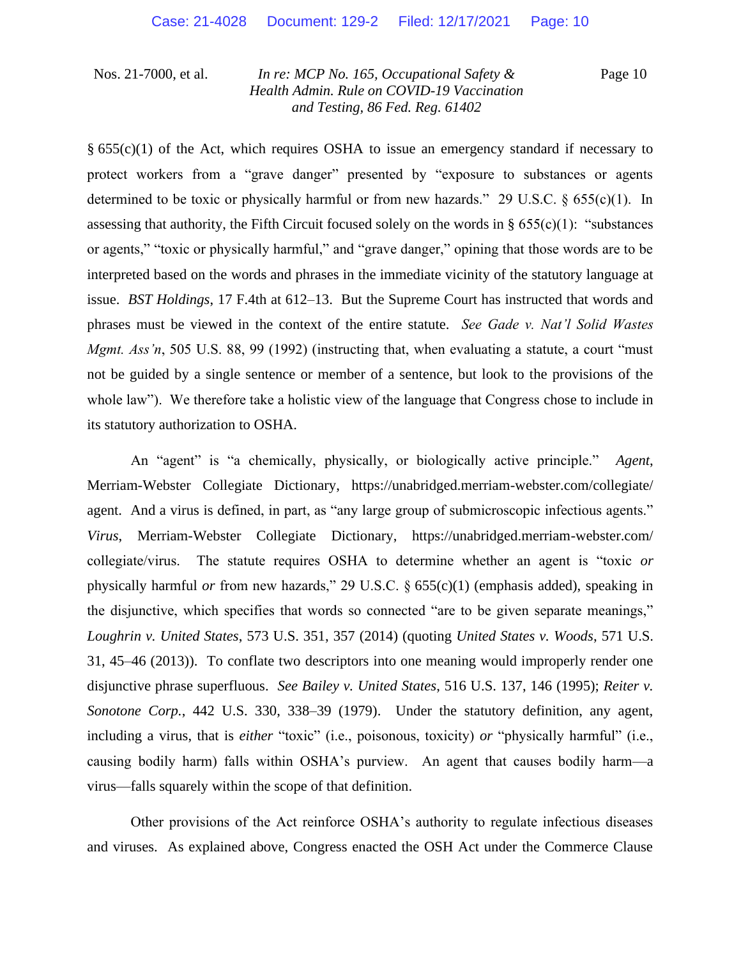Page 10

 $\S$  655(c)(1) of the Act, which requires OSHA to issue an emergency standard if necessary to protect workers from a "grave danger" presented by "exposure to substances or agents determined to be toxic or physically harmful or from new hazards." 29 U.S.C. § 655(c)(1). In assessing that authority, the Fifth Circuit focused solely on the words in §  $655(c)(1)$ : "substances" or agents," "toxic or physically harmful," and "grave danger," opining that those words are to be interpreted based on the words and phrases in the immediate vicinity of the statutory language at issue. *BST Holdings*, 17 F.4th at 612–13. But the Supreme Court has instructed that words and phrases must be viewed in the context of the entire statute. *See Gade v. Nat'l Solid Wastes Mgmt. Ass'n*, 505 U.S. 88, 99 (1992) (instructing that, when evaluating a statute, a court "must" not be guided by a single sentence or member of a sentence, but look to the provisions of the whole law"). We therefore take a holistic view of the language that Congress chose to include in its statutory authorization to OSHA.

An "agent" is "a chemically, physically, or biologically active principle." *Agent*, Merriam-Webster Collegiate Dictionary, https://unabridged.merriam-webster.com/collegiate/ agent. And a virus is defined, in part, as "any large group of submicroscopic infectious agents." *Virus*, Merriam-Webster Collegiate Dictionary, https://unabridged.merriam-webster.com/ collegiate/virus. The statute requires OSHA to determine whether an agent is "toxic *or* physically harmful *or* from new hazards," 29 U.S.C. § 655(c)(1) (emphasis added), speaking in the disjunctive, which specifies that words so connected "are to be given separate meanings," *Loughrin v. United States*, 573 U.S. 351, 357 (2014) (quoting *United States v. Woods*, 571 U.S. 31, 45–46 (2013)). To conflate two descriptors into one meaning would improperly render one disjunctive phrase superfluous. *See Bailey v. United States*, 516 U.S. 137, 146 (1995); *Reiter v. Sonotone Corp.*, 442 U.S. 330, 338–39 (1979). Under the statutory definition, any agent, including a virus, that is *either* "toxic" (i.e., poisonous, toxicity) *or* "physically harmful" (i.e., causing bodily harm) falls within OSHA's purview. An agent that causes bodily harm—a virus—falls squarely within the scope of that definition.

Other provisions of the Act reinforce OSHA's authority to regulate infectious diseases and viruses. As explained above, Congress enacted the OSH Act under the Commerce Clause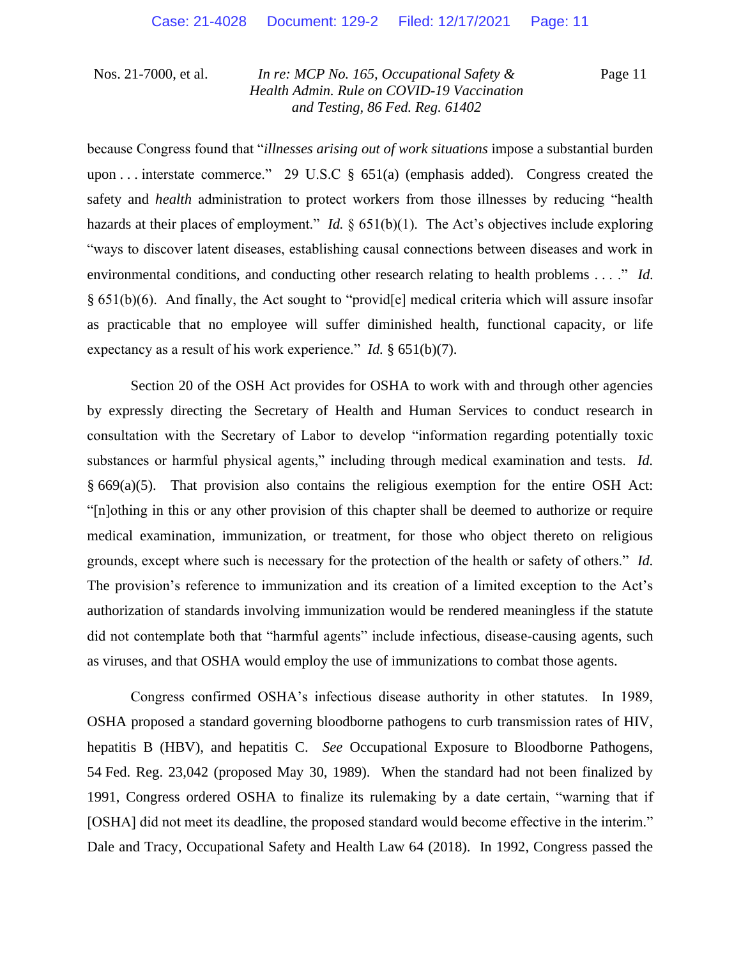Page 11

because Congress found that "*illnesses arising out of work situations* impose a substantial burden upon ... interstate commerce." 29 U.S.C  $\S$  651(a) (emphasis added). Congress created the safety and *health* administration to protect workers from those illnesses by reducing "health hazards at their places of employment." *Id.* § 651(b)(1). The Act's objectives include exploring "ways to discover latent diseases, establishing causal connections between diseases and work in environmental conditions, and conducting other research relating to health problems . . . ." *Id.*  § 651(b)(6). And finally, the Act sought to "provid[e] medical criteria which will assure insofar as practicable that no employee will suffer diminished health, functional capacity, or life expectancy as a result of his work experience." *Id.* § 651(b)(7).

Section 20 of the OSH Act provides for OSHA to work with and through other agencies by expressly directing the Secretary of Health and Human Services to conduct research in consultation with the Secretary of Labor to develop "information regarding potentially toxic substances or harmful physical agents," including through medical examination and tests. *Id.* § 669(a)(5). That provision also contains the religious exemption for the entire OSH Act: "[n]othing in this or any other provision of this chapter shall be deemed to authorize or require medical examination, immunization, or treatment, for those who object thereto on religious grounds, except where such is necessary for the protection of the health or safety of others." *Id.* The provision's reference to immunization and its creation of a limited exception to the Act's authorization of standards involving immunization would be rendered meaningless if the statute did not contemplate both that "harmful agents" include infectious, disease-causing agents, such as viruses, and that OSHA would employ the use of immunizations to combat those agents.

Congress confirmed OSHA's infectious disease authority in other statutes. In 1989, OSHA proposed a standard governing bloodborne pathogens to curb transmission rates of HIV, hepatitis B (HBV), and hepatitis C. *See* Occupational Exposure to Bloodborne Pathogens, 54 Fed. Reg. 23,042 (proposed May 30, 1989). When the standard had not been finalized by 1991, Congress ordered OSHA to finalize its rulemaking by a date certain, "warning that if [OSHA] did not meet its deadline, the proposed standard would become effective in the interim." Dale and Tracy, Occupational Safety and Health Law 64 (2018). In 1992, Congress passed the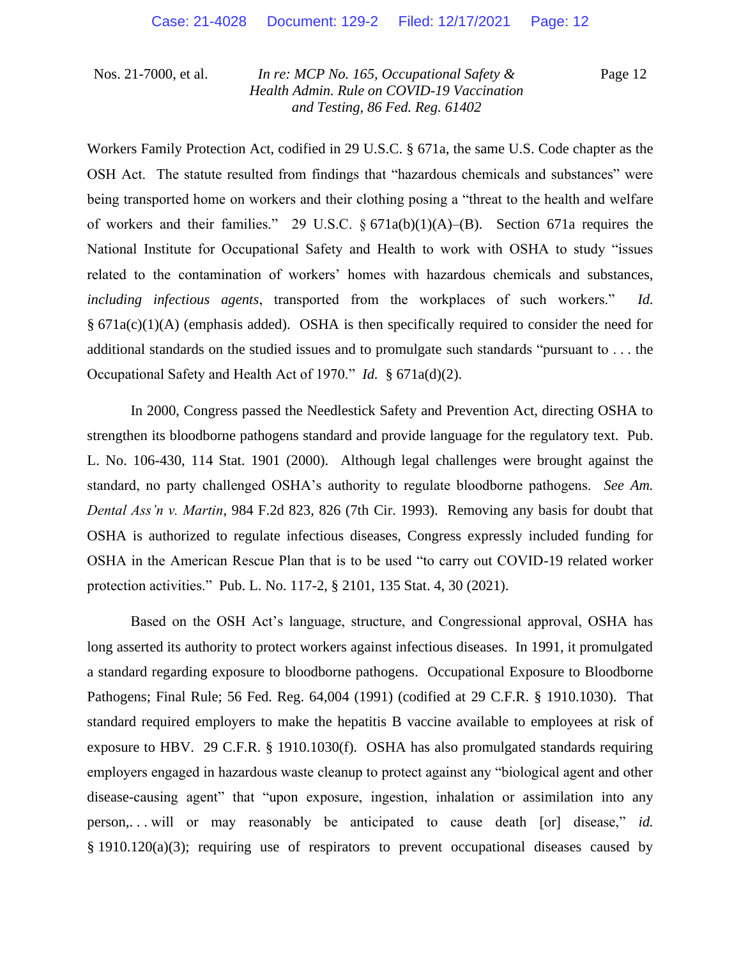Page 12

Workers Family Protection Act, codified in 29 U.S.C. § 671a, the same U.S. Code chapter as the OSH Act. The statute resulted from findings that "hazardous chemicals and substances" were being transported home on workers and their clothing posing a "threat to the health and welfare of workers and their families." 29 U.S.C.  $\S 671a(b)(1)(A)$ –(B). Section 671a requires the National Institute for Occupational Safety and Health to work with OSHA to study "issues related to the contamination of workers' homes with hazardous chemicals and substances, *including infectious agents*, transported from the workplaces of such workers." *Id.*   $§ 671a(c)(1)(A)$  (emphasis added). OSHA is then specifically required to consider the need for additional standards on the studied issues and to promulgate such standards "pursuant to . . . the Occupational Safety and Health Act of 1970." *Id.* § 671a(d)(2).

In 2000, Congress passed the Needlestick Safety and Prevention Act, directing OSHA to strengthen its bloodborne pathogens standard and provide language for the regulatory text. Pub. L. No. 106-430, 114 Stat. 1901 (2000). Although legal challenges were brought against the standard, no party challenged OSHA's authority to regulate bloodborne pathogens. *See Am. Dental Ass'n v. Martin*, 984 F.2d 823, 826 (7th Cir. 1993). Removing any basis for doubt that OSHA is authorized to regulate infectious diseases, Congress expressly included funding for OSHA in the American Rescue Plan that is to be used "to carry out COVID-19 related worker protection activities." Pub. L. No. 117-2, § 2101, 135 Stat. 4, 30 (2021).

Based on the OSH Act's language, structure, and Congressional approval, OSHA has long asserted its authority to protect workers against infectious diseases. In 1991, it promulgated a standard regarding exposure to bloodborne pathogens. Occupational Exposure to Bloodborne Pathogens; Final Rule; 56 Fed. Reg. 64,004 (1991) (codified at 29 C.F.R. § 1910.1030). That standard required employers to make the hepatitis B vaccine available to employees at risk of exposure to HBV. 29 C.F.R. § 1910.1030(f). OSHA has also promulgated standards requiring employers engaged in hazardous waste cleanup to protect against any "biological agent and other disease-causing agent" that "upon exposure, ingestion, inhalation or assimilation into any person,. . . will or may reasonably be anticipated to cause death [or] disease," *id.* § 1910.120(a)(3); requiring use of respirators to prevent occupational diseases caused by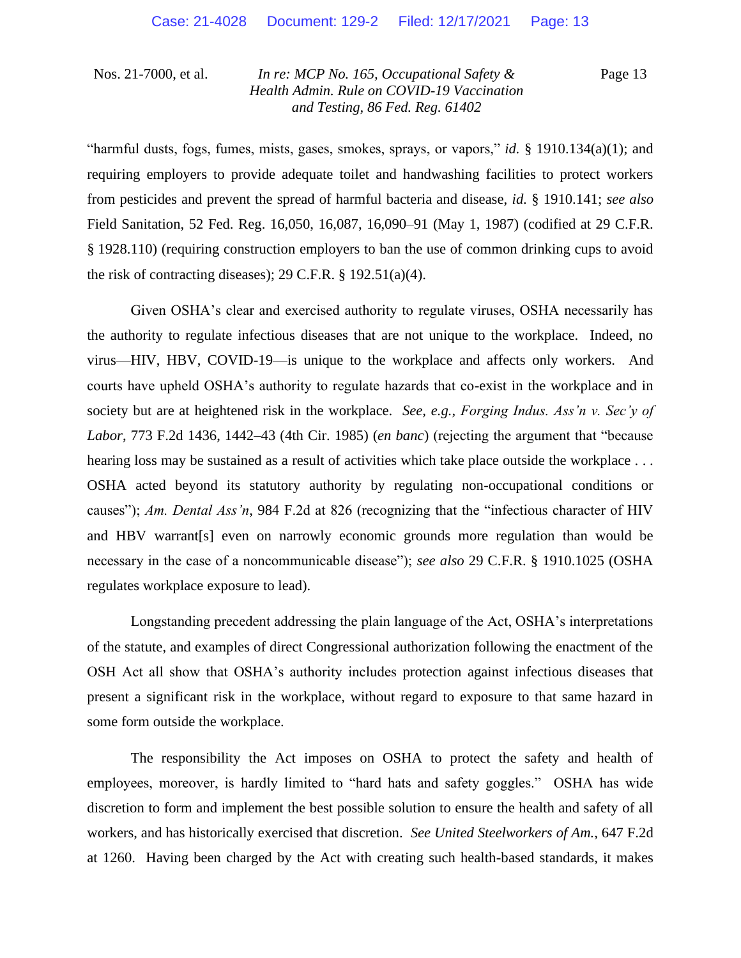Page 13

"harmful dusts, fogs, fumes, mists, gases, smokes, sprays, or vapors," *id.* § 1910.134(a)(1); and requiring employers to provide adequate toilet and handwashing facilities to protect workers from pesticides and prevent the spread of harmful bacteria and disease, *id.* § 1910.141; *see also*  Field Sanitation, 52 Fed. Reg. 16,050, 16,087, 16,090–91 (May 1, 1987) (codified at 29 C.F.R. § 1928.110) (requiring construction employers to ban the use of common drinking cups to avoid the risk of contracting diseases); 29 C.F.R.  $\S$  192.51(a)(4).

Given OSHA's clear and exercised authority to regulate viruses, OSHA necessarily has the authority to regulate infectious diseases that are not unique to the workplace. Indeed, no virus—HIV, HBV, COVID-19—is unique to the workplace and affects only workers. And courts have upheld OSHA's authority to regulate hazards that co-exist in the workplace and in society but are at heightened risk in the workplace. *See, e.g.*, *Forging Indus. Ass'n v. Sec'y of Labor*, 773 F.2d 1436, 1442–43 (4th Cir. 1985) (*en banc*) (rejecting the argument that "because hearing loss may be sustained as a result of activities which take place outside the workplace ... OSHA acted beyond its statutory authority by regulating non-occupational conditions or causes"); *Am. Dental Ass'n*, 984 F.2d at 826 (recognizing that the "infectious character of HIV and HBV warrant[s] even on narrowly economic grounds more regulation than would be necessary in the case of a noncommunicable disease"); *see also* 29 C.F.R. § 1910.1025 (OSHA regulates workplace exposure to lead).

Longstanding precedent addressing the plain language of the Act, OSHA's interpretations of the statute, and examples of direct Congressional authorization following the enactment of the OSH Act all show that OSHA's authority includes protection against infectious diseases that present a significant risk in the workplace, without regard to exposure to that same hazard in some form outside the workplace.

The responsibility the Act imposes on OSHA to protect the safety and health of employees, moreover, is hardly limited to "hard hats and safety goggles." OSHA has wide discretion to form and implement the best possible solution to ensure the health and safety of all workers, and has historically exercised that discretion. *See United Steelworkers of Am.*, 647 F.2d at 1260. Having been charged by the Act with creating such health-based standards, it makes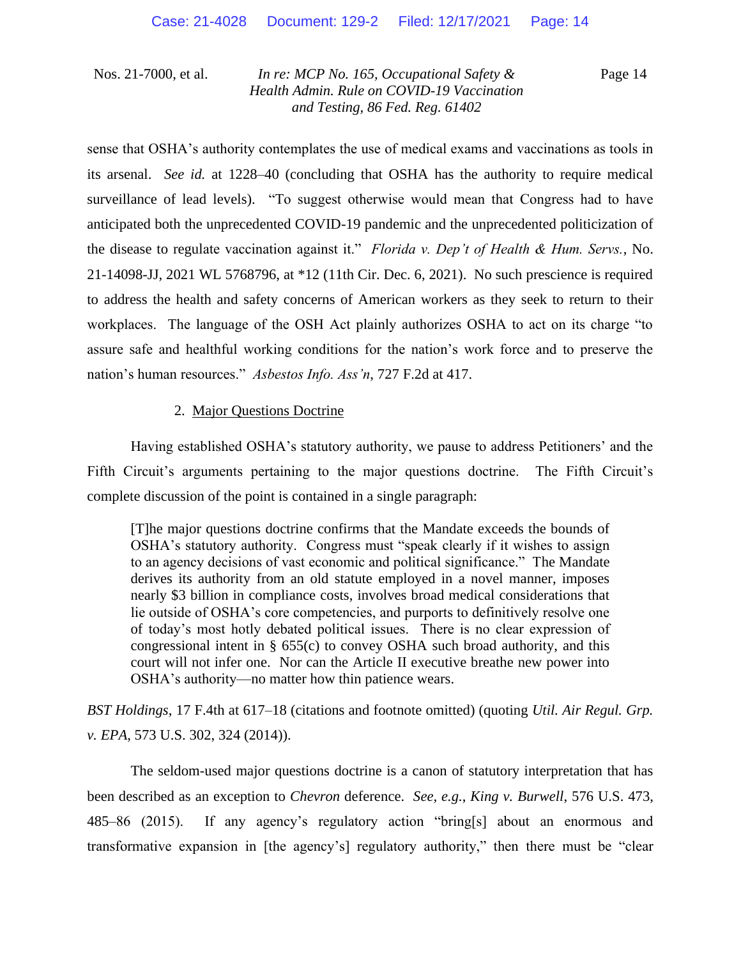Page 14

sense that OSHA's authority contemplates the use of medical exams and vaccinations as tools in its arsenal. *See id.* at 1228–40 (concluding that OSHA has the authority to require medical surveillance of lead levels)."To suggest otherwise would mean that Congress had to have anticipated both the unprecedented COVID-19 pandemic and the unprecedented politicization of the disease to regulate vaccination against it." *Florida v. Dep't of Health & Hum. Servs.*, No. 21-14098-JJ, 2021 WL 5768796, at \*12 (11th Cir. Dec. 6, 2021). No such prescience is required to address the health and safety concerns of American workers as they seek to return to their workplaces. The language of the OSH Act plainly authorizes OSHA to act on its charge "to assure safe and healthful working conditions for the nation's work force and to preserve the nation's human resources." *Asbestos Info. Ass'n*, 727 F.2d at 417.

### 2. Major Questions Doctrine

Having established OSHA's statutory authority, we pause to address Petitioners' and the Fifth Circuit's arguments pertaining to the major questions doctrine. The Fifth Circuit's complete discussion of the point is contained in a single paragraph:

[T]he major questions doctrine confirms that the Mandate exceeds the bounds of OSHA's statutory authority. Congress must "speak clearly if it wishes to assign to an agency decisions of vast economic and political significance." The Mandate derives its authority from an old statute employed in a novel manner, imposes nearly \$3 billion in compliance costs, involves broad medical considerations that lie outside of OSHA's core competencies, and purports to definitively resolve one of today's most hotly debated political issues. There is no clear expression of congressional intent in  $\S$  655(c) to convey OSHA such broad authority, and this court will not infer one. Nor can the Article II executive breathe new power into OSHA's authority—no matter how thin patience wears.

*BST Holdings*, 17 F.4th at 617–18 (citations and footnote omitted) (quoting *Util. Air Regul. Grp. v. EPA*, 573 U.S. 302, 324 (2014)).

The seldom-used major questions doctrine is a canon of statutory interpretation that has been described as an exception to *Chevron* deference. *See, e.g.*, *King v. Burwell*, 576 U.S. 473, 485–86 (2015). If any agency's regulatory action "bring[s] about an enormous and transformative expansion in [the agency's] regulatory authority," then there must be "clear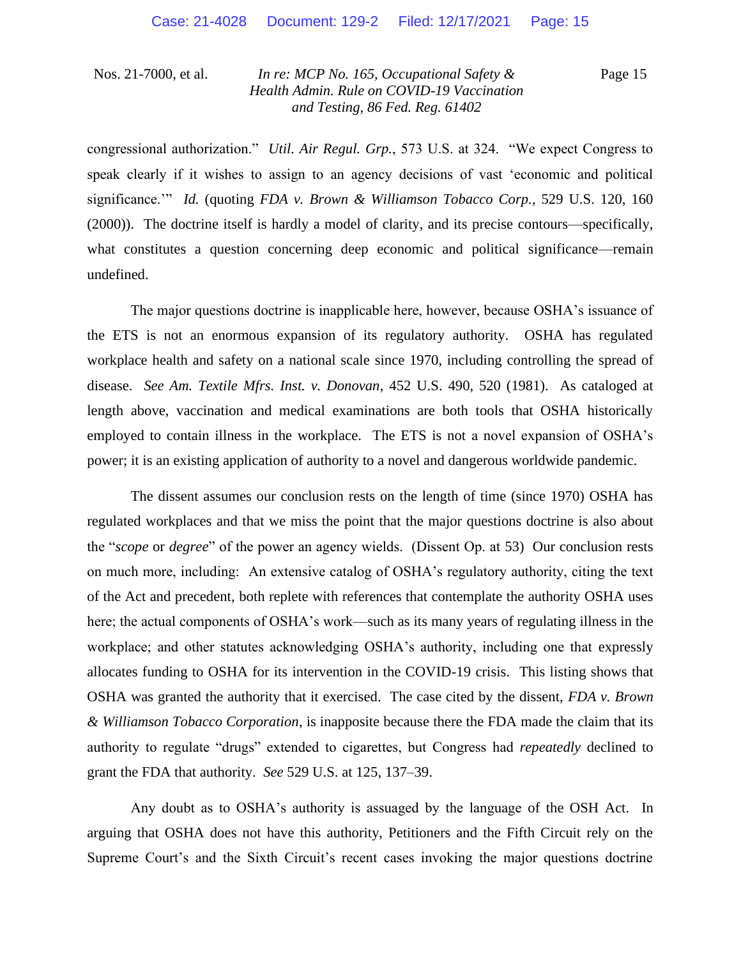Page 15

congressional authorization." *Util. Air Regul. Grp.*, 573 U.S. at 324. "We expect Congress to speak clearly if it wishes to assign to an agency decisions of vast 'economic and political significance.'" *Id.* (quoting *FDA v. Brown & Williamson Tobacco Corp.*, 529 U.S. 120, 160 (2000)). The doctrine itself is hardly a model of clarity, and its precise contours—specifically, what constitutes a question concerning deep economic and political significance—remain undefined.

The major questions doctrine is inapplicable here, however, because OSHA's issuance of the ETS is not an enormous expansion of its regulatory authority. OSHA has regulated workplace health and safety on a national scale since 1970, including controlling the spread of disease. *See Am. Textile Mfrs. Inst. v. Donovan*, 452 U.S. 490, 520 (1981). As cataloged at length above, vaccination and medical examinations are both tools that OSHA historically employed to contain illness in the workplace. The ETS is not a novel expansion of OSHA's power; it is an existing application of authority to a novel and dangerous worldwide pandemic.

The dissent assumes our conclusion rests on the length of time (since 1970) OSHA has regulated workplaces and that we miss the point that the major questions doctrine is also about the "*scope* or *degree*" of the power an agency wields. (Dissent Op. at 53) Our conclusion rests on much more, including: An extensive catalog of OSHA's regulatory authority, citing the text of the Act and precedent, both replete with references that contemplate the authority OSHA uses here; the actual components of OSHA's work—such as its many years of regulating illness in the workplace; and other statutes acknowledging OSHA's authority, including one that expressly allocates funding to OSHA for its intervention in the COVID-19 crisis. This listing shows that OSHA was granted the authority that it exercised. The case cited by the dissent, *FDA v. Brown & Williamson Tobacco Corporation*, is inapposite because there the FDA made the claim that its authority to regulate "drugs" extended to cigarettes, but Congress had *repeatedly* declined to grant the FDA that authority. *See* 529 U.S. at 125, 137–39.

Any doubt as to OSHA's authority is assuaged by the language of the OSH Act. In arguing that OSHA does not have this authority, Petitioners and the Fifth Circuit rely on the Supreme Court's and the Sixth Circuit's recent cases invoking the major questions doctrine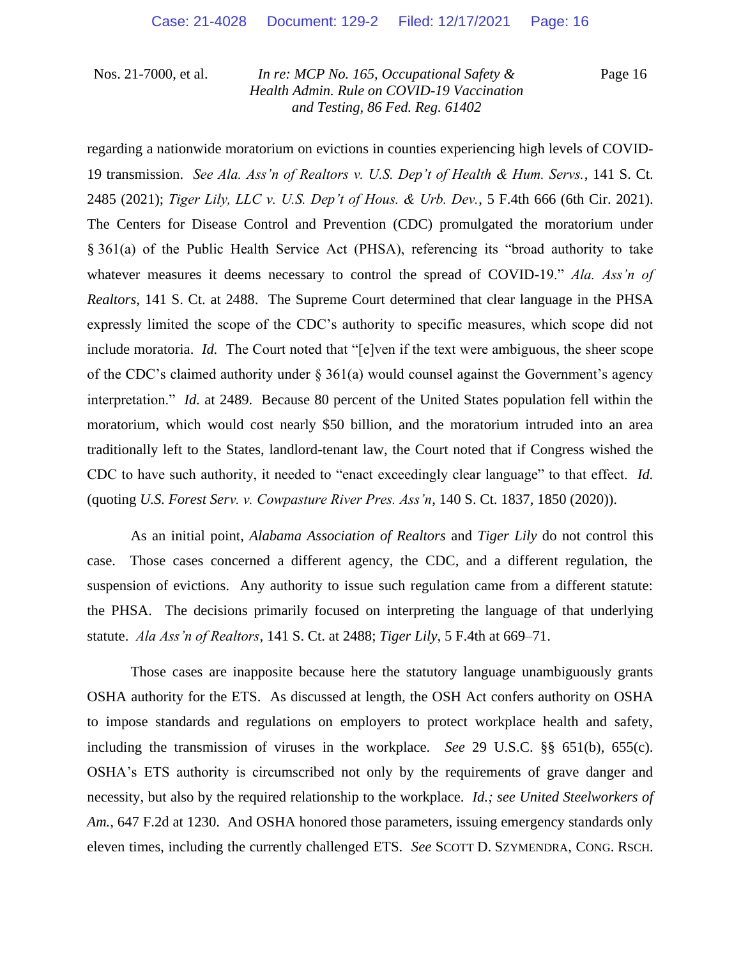Page 16

regarding a nationwide moratorium on evictions in counties experiencing high levels of COVID-19 transmission. *See Ala. Ass'n of Realtors v. U.S. Dep't of Health & Hum. Servs.*, 141 S. Ct. 2485 (2021); *Tiger Lily, LLC v. U.S. Dep't of Hous. & Urb. Dev.*, 5 F.4th 666 (6th Cir. 2021). The Centers for Disease Control and Prevention (CDC) promulgated the moratorium under § 361(a) of the Public Health Service Act (PHSA), referencing its "broad authority to take whatever measures it deems necessary to control the spread of COVID-19." *Ala. Ass'n of Realtors*, 141 S. Ct. at 2488. The Supreme Court determined that clear language in the PHSA expressly limited the scope of the CDC's authority to specific measures, which scope did not include moratoria. *Id.* The Court noted that "[e]ven if the text were ambiguous, the sheer scope of the CDC's claimed authority under § 361(a) would counsel against the Government's agency interpretation." *Id.* at 2489. Because 80 percent of the United States population fell within the moratorium, which would cost nearly \$50 billion, and the moratorium intruded into an area traditionally left to the States, landlord-tenant law, the Court noted that if Congress wished the CDC to have such authority, it needed to "enact exceedingly clear language" to that effect. *Id.* (quoting *U.S. Forest Serv. v. Cowpasture River Pres. Ass'n*, 140 S. Ct. 1837, 1850 (2020)).

As an initial point, *Alabama Association of Realtors* and *Tiger Lily* do not control this case. Those cases concerned a different agency, the CDC, and a different regulation, the suspension of evictions. Any authority to issue such regulation came from a different statute: the PHSA. The decisions primarily focused on interpreting the language of that underlying statute. *Ala Ass'n of Realtors*, 141 S. Ct. at 2488; *Tiger Lily*, 5 F.4th at 669–71.

Those cases are inapposite because here the statutory language unambiguously grants OSHA authority for the ETS. As discussed at length, the OSH Act confers authority on OSHA to impose standards and regulations on employers to protect workplace health and safety, including the transmission of viruses in the workplace. *See* 29 U.S.C. §§ 651(b), 655(c). OSHA's ETS authority is circumscribed not only by the requirements of grave danger and necessity, but also by the required relationship to the workplace. *Id.; see United Steelworkers of Am.*, 647 F.2d at 1230. And OSHA honored those parameters, issuing emergency standards only eleven times, including the currently challenged ETS. *See* SCOTT D. SZYMENDRA, CONG. RSCH.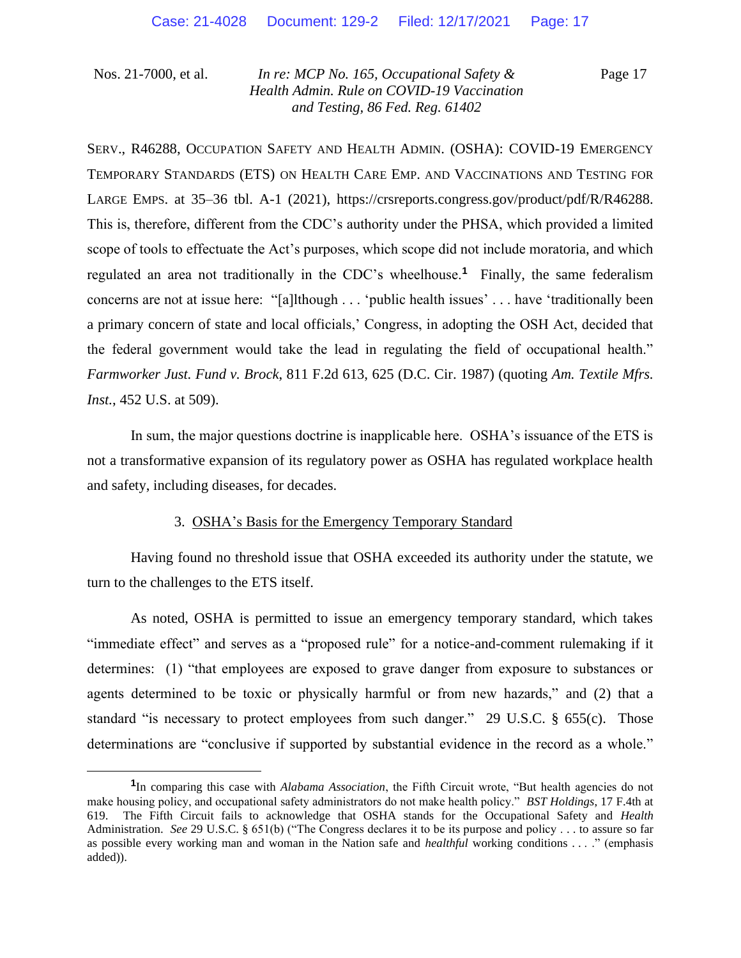Page 17

SERV., R46288, OCCUPATION SAFETY AND HEALTH ADMIN. (OSHA): COVID-19 EMERGENCY TEMPORARY STANDARDS (ETS) ON HEALTH CARE EMP. AND VACCINATIONS AND TESTING FOR LARGE EMPS. at 35–36 tbl. A-1 (2021), https://crsreports.congress.gov/product/pdf/R/R46288. This is, therefore, different from the CDC's authority under the PHSA, which provided a limited scope of tools to effectuate the Act's purposes, which scope did not include moratoria, and which regulated an area not traditionally in the CDC's wheelhouse.**<sup>1</sup>** Finally, the same federalism concerns are not at issue here: "[a]lthough . . . 'public health issues' . . . have 'traditionally been a primary concern of state and local officials,' Congress, in adopting the OSH Act, decided that the federal government would take the lead in regulating the field of occupational health." *Farmworker Just. Fund v. Brock*, 811 F.2d 613, 625 (D.C. Cir. 1987) (quoting *Am. Textile Mfrs. Inst.*, 452 U.S. at 509).

In sum, the major questions doctrine is inapplicable here. OSHA's issuance of the ETS is not a transformative expansion of its regulatory power as OSHA has regulated workplace health and safety, including diseases, for decades.

### 3. OSHA's Basis for the Emergency Temporary Standard

Having found no threshold issue that OSHA exceeded its authority under the statute, we turn to the challenges to the ETS itself.

As noted, OSHA is permitted to issue an emergency temporary standard, which takes "immediate effect" and serves as a "proposed rule" for a notice-and-comment rulemaking if it determines: (1) "that employees are exposed to grave danger from exposure to substances or agents determined to be toxic or physically harmful or from new hazards," and (2) that a standard "is necessary to protect employees from such danger." 29 U.S.C. § 655(c). Those determinations are "conclusive if supported by substantial evidence in the record as a whole."

**<sup>1</sup>** In comparing this case with *Alabama Association*, the Fifth Circuit wrote, "But health agencies do not make housing policy, and occupational safety administrators do not make health policy." *BST Holdings*, 17 F.4th at 619. The Fifth Circuit fails to acknowledge that OSHA stands for the Occupational Safety and *Health* Administration. *See* 29 U.S.C. § 651(b) ("The Congress declares it to be its purpose and policy . . . to assure so far as possible every working man and woman in the Nation safe and *healthful* working conditions . . . ." (emphasis added)).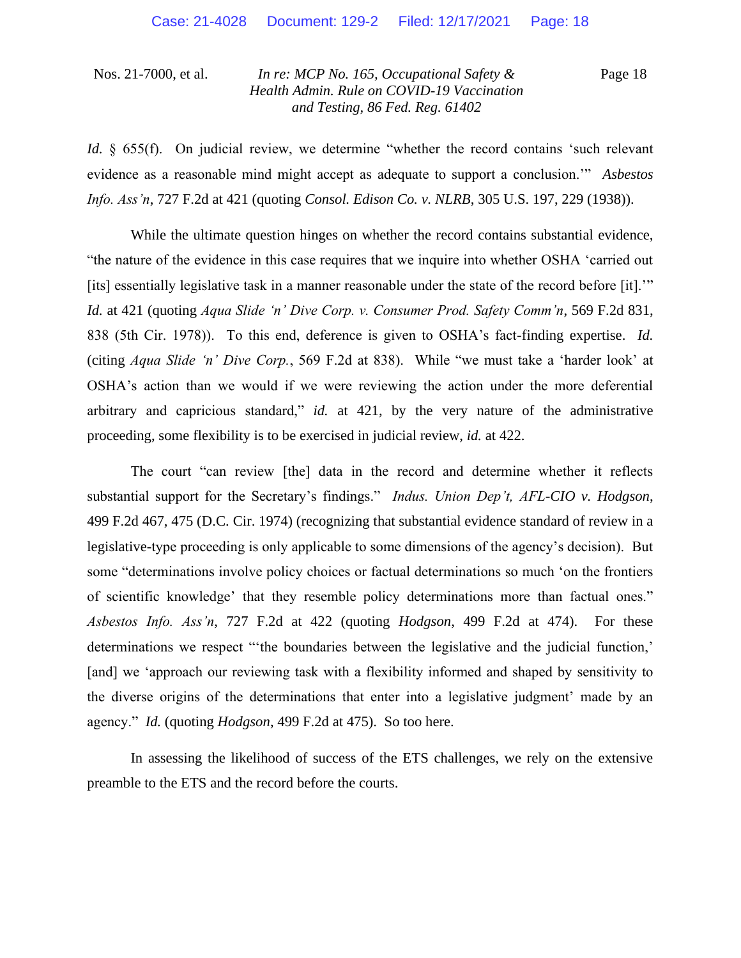Page 18

*Id.* § 655(f). On judicial review, we determine "whether the record contains 'such relevant evidence as a reasonable mind might accept as adequate to support a conclusion.'" *Asbestos Info. Ass'n*, 727 F.2d at 421 (quoting *Consol. Edison Co. v. NLRB*, 305 U.S. 197, 229 (1938)).

While the ultimate question hinges on whether the record contains substantial evidence, "the nature of the evidence in this case requires that we inquire into whether OSHA 'carried out [its] essentially legislative task in a manner reasonable under the state of the record before [it]." *Id.* at 421 (quoting *Aqua Slide 'n' Dive Corp. v. Consumer Prod. Safety Comm'n*, 569 F.2d 831, 838 (5th Cir. 1978)). To this end, deference is given to OSHA's fact-finding expertise. *Id.*  (citing *Aqua Slide 'n' Dive Corp.*, 569 F.2d at 838). While "we must take a 'harder look' at OSHA's action than we would if we were reviewing the action under the more deferential arbitrary and capricious standard," *id.* at 421, by the very nature of the administrative proceeding, some flexibility is to be exercised in judicial review, *id.* at 422.

The court "can review [the] data in the record and determine whether it reflects substantial support for the Secretary's findings." *Indus. Union Dep't, AFL-CIO v. Hodgson*, 499 F.2d 467, 475 (D.C. Cir. 1974) (recognizing that substantial evidence standard of review in a legislative-type proceeding is only applicable to some dimensions of the agency's decision). But some "determinations involve policy choices or factual determinations so much 'on the frontiers of scientific knowledge' that they resemble policy determinations more than factual ones." *Asbestos Info. Ass'n*, 727 F.2d at 422 (quoting *Hodgson*, 499 F.2d at 474). For these determinations we respect "'the boundaries between the legislative and the judicial function,' [and] we 'approach our reviewing task with a flexibility informed and shaped by sensitivity to the diverse origins of the determinations that enter into a legislative judgment' made by an agency." *Id.* (quoting *Hodgson*, 499 F.2d at 475). So too here.

In assessing the likelihood of success of the ETS challenges, we rely on the extensive preamble to the ETS and the record before the courts.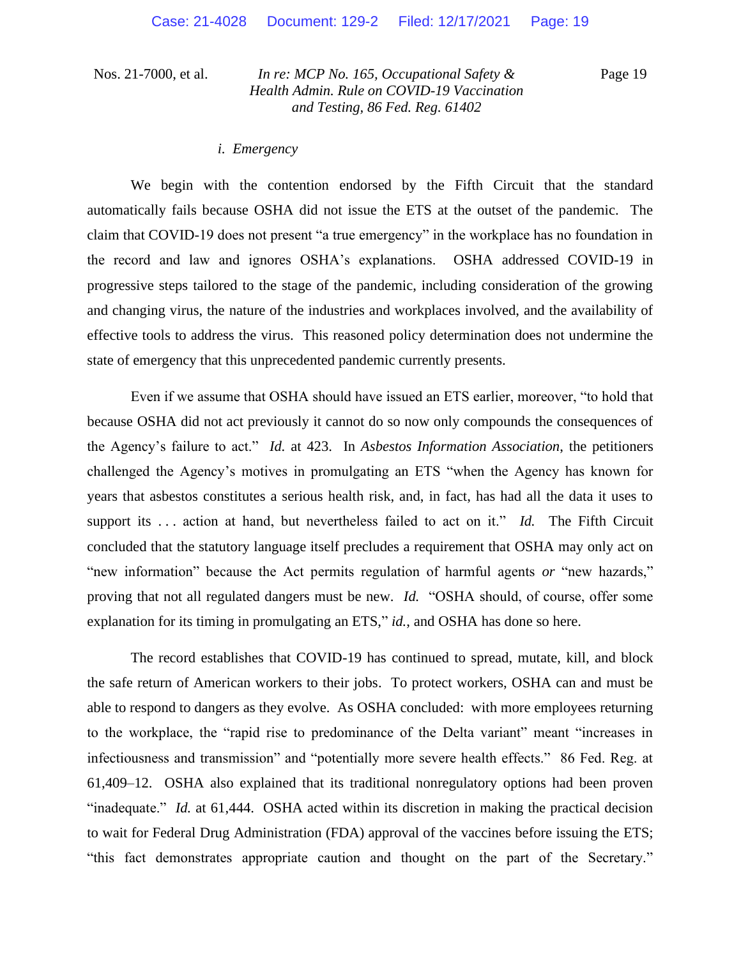Page 19

#### *i. Emergency*

We begin with the contention endorsed by the Fifth Circuit that the standard automatically fails because OSHA did not issue the ETS at the outset of the pandemic. The claim that COVID-19 does not present "a true emergency" in the workplace has no foundation in the record and law and ignores OSHA's explanations. OSHA addressed COVID-19 in progressive steps tailored to the stage of the pandemic, including consideration of the growing and changing virus, the nature of the industries and workplaces involved, and the availability of effective tools to address the virus. This reasoned policy determination does not undermine the state of emergency that this unprecedented pandemic currently presents.

Even if we assume that OSHA should have issued an ETS earlier, moreover, "to hold that because OSHA did not act previously it cannot do so now only compounds the consequences of the Agency's failure to act." *Id.* at 423. In *Asbestos Information Association*, the petitioners challenged the Agency's motives in promulgating an ETS "when the Agency has known for years that asbestos constitutes a serious health risk, and, in fact, has had all the data it uses to support its ... action at hand, but nevertheless failed to act on it." *Id.* The Fifth Circuit concluded that the statutory language itself precludes a requirement that OSHA may only act on "new information" because the Act permits regulation of harmful agents *or* "new hazards," proving that not all regulated dangers must be new. *Id.* "OSHA should, of course, offer some explanation for its timing in promulgating an ETS," *id.*, and OSHA has done so here.

The record establishes that COVID-19 has continued to spread, mutate, kill, and block the safe return of American workers to their jobs. To protect workers, OSHA can and must be able to respond to dangers as they evolve. As OSHA concluded: with more employees returning to the workplace, the "rapid rise to predominance of the Delta variant" meant "increases in infectiousness and transmission" and "potentially more severe health effects." 86 Fed. Reg. at 61,409–12. OSHA also explained that its traditional nonregulatory options had been proven "inadequate." *Id.* at 61,444. OSHA acted within its discretion in making the practical decision to wait for Federal Drug Administration (FDA) approval of the vaccines before issuing the ETS; "this fact demonstrates appropriate caution and thought on the part of the Secretary."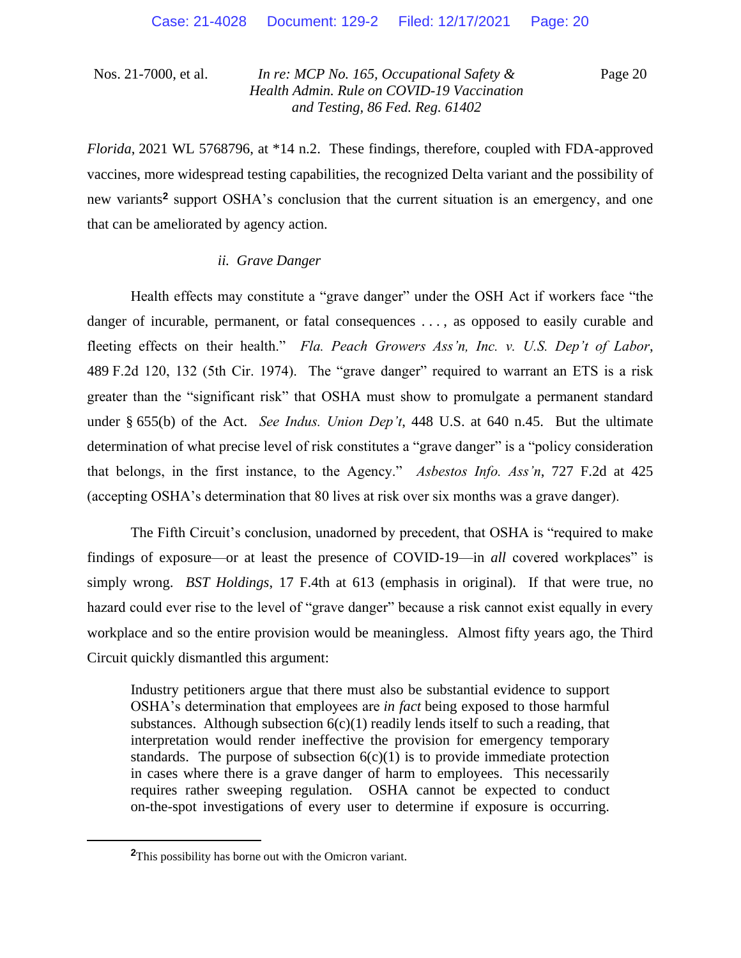Page 20

*Florida*, 2021 WL 5768796, at \*14 n.2. These findings, therefore, coupled with FDA-approved vaccines, more widespread testing capabilities, the recognized Delta variant and the possibility of new variants**<sup>2</sup>** support OSHA's conclusion that the current situation is an emergency, and one that can be ameliorated by agency action.

## *ii. Grave Danger*

Health effects may constitute a "grave danger" under the OSH Act if workers face "the danger of incurable, permanent, or fatal consequences ..., as opposed to easily curable and fleeting effects on their health." *Fla. Peach Growers Ass'n, Inc. v. U.S. Dep't of Labor*, 489 F.2d 120, 132 (5th Cir. 1974). The "grave danger" required to warrant an ETS is a risk greater than the "significant risk" that OSHA must show to promulgate a permanent standard under § 655(b) of the Act. *See Indus. Union Dep't*, 448 U.S. at 640 n.45. But the ultimate determination of what precise level of risk constitutes a "grave danger" is a "policy consideration that belongs, in the first instance, to the Agency." *Asbestos Info. Ass'n*, 727 F.2d at 425 (accepting OSHA's determination that 80 lives at risk over six months was a grave danger).

The Fifth Circuit's conclusion, unadorned by precedent, that OSHA is "required to make findings of exposure—or at least the presence of COVID-19—in *all* covered workplaces" is simply wrong. *BST Holdings*, 17 F.4th at 613 (emphasis in original). If that were true, no hazard could ever rise to the level of "grave danger" because a risk cannot exist equally in every workplace and so the entire provision would be meaningless. Almost fifty years ago, the Third Circuit quickly dismantled this argument:

Industry petitioners argue that there must also be substantial evidence to support OSHA's determination that employees are *in fact* being exposed to those harmful substances. Although subsection  $6(c)(1)$  readily lends itself to such a reading, that interpretation would render ineffective the provision for emergency temporary standards. The purpose of subsection  $6(c)(1)$  is to provide immediate protection in cases where there is a grave danger of harm to employees. This necessarily requires rather sweeping regulation. OSHA cannot be expected to conduct on-the-spot investigations of every user to determine if exposure is occurring.

**<sup>2</sup>**This possibility has borne out with the Omicron variant.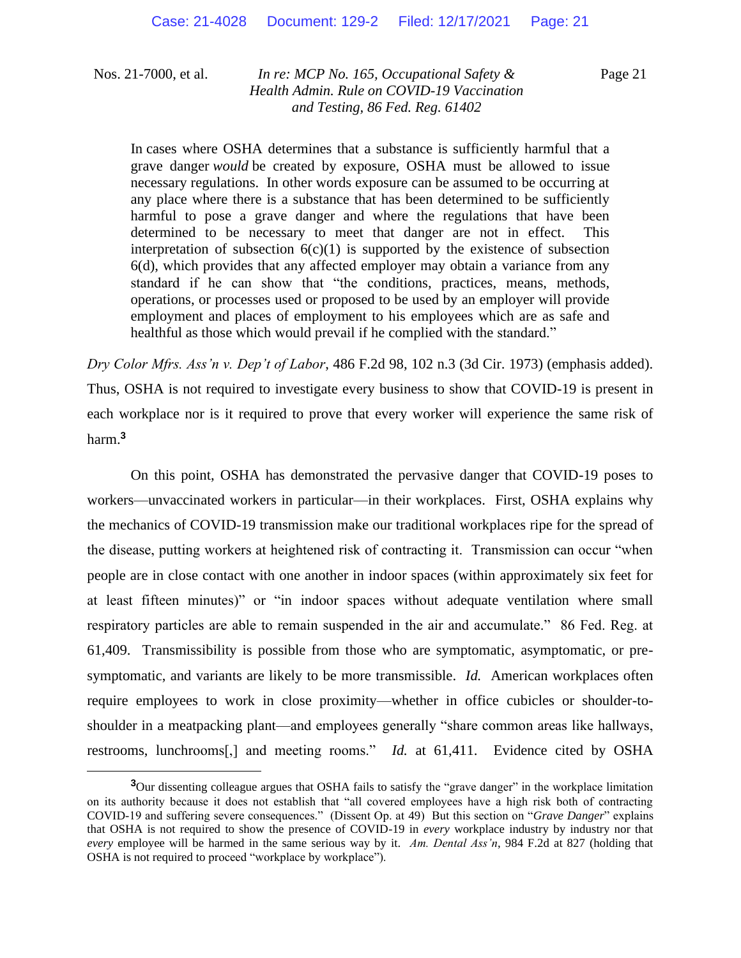Page 21

In cases where OSHA determines that a substance is sufficiently harmful that a grave danger *would* be created by exposure, OSHA must be allowed to issue necessary regulations. In other words exposure can be assumed to be occurring at any place where there is a substance that has been determined to be sufficiently harmful to pose a grave danger and where the regulations that have been determined to be necessary to meet that danger are not in effect. This interpretation of subsection  $6(c)(1)$  is supported by the existence of subsection 6(d), which provides that any affected employer may obtain a variance from any standard if he can show that "the conditions, practices, means, methods, operations, or processes used or proposed to be used by an employer will provide employment and places of employment to his employees which are as safe and healthful as those which would prevail if he complied with the standard."

*Dry Color Mfrs. Ass'n v. Dep't of Labor*, 486 F.2d 98, 102 n.3 (3d Cir. 1973) (emphasis added). Thus, OSHA is not required to investigate every business to show that COVID-19 is present in each workplace nor is it required to prove that every worker will experience the same risk of harm.**<sup>3</sup>**

On this point, OSHA has demonstrated the pervasive danger that COVID-19 poses to workers—unvaccinated workers in particular—in their workplaces. First, OSHA explains why the mechanics of COVID-19 transmission make our traditional workplaces ripe for the spread of the disease, putting workers at heightened risk of contracting it. Transmission can occur "when people are in close contact with one another in indoor spaces (within approximately six feet for at least fifteen minutes)" or "in indoor spaces without adequate ventilation where small respiratory particles are able to remain suspended in the air and accumulate." 86 Fed. Reg. at 61,409. Transmissibility is possible from those who are symptomatic, asymptomatic, or presymptomatic, and variants are likely to be more transmissible. *Id.* American workplaces often require employees to work in close proximity—whether in office cubicles or shoulder-toshoulder in a meatpacking plant—and employees generally "share common areas like hallways, restrooms, lunchrooms[,] and meeting rooms." *Id.* at 61,411. Evidence cited by OSHA

**<sup>3</sup>**Our dissenting colleague argues that OSHA fails to satisfy the "grave danger" in the workplace limitation on its authority because it does not establish that "all covered employees have a high risk both of contracting COVID-19 and suffering severe consequences." (Dissent Op. at 49) But this section on "*Grave Danger*" explains that OSHA is not required to show the presence of COVID-19 in *every* workplace industry by industry nor that *every* employee will be harmed in the same serious way by it. *Am. Dental Ass'n*, 984 F.2d at 827 (holding that OSHA is not required to proceed "workplace by workplace").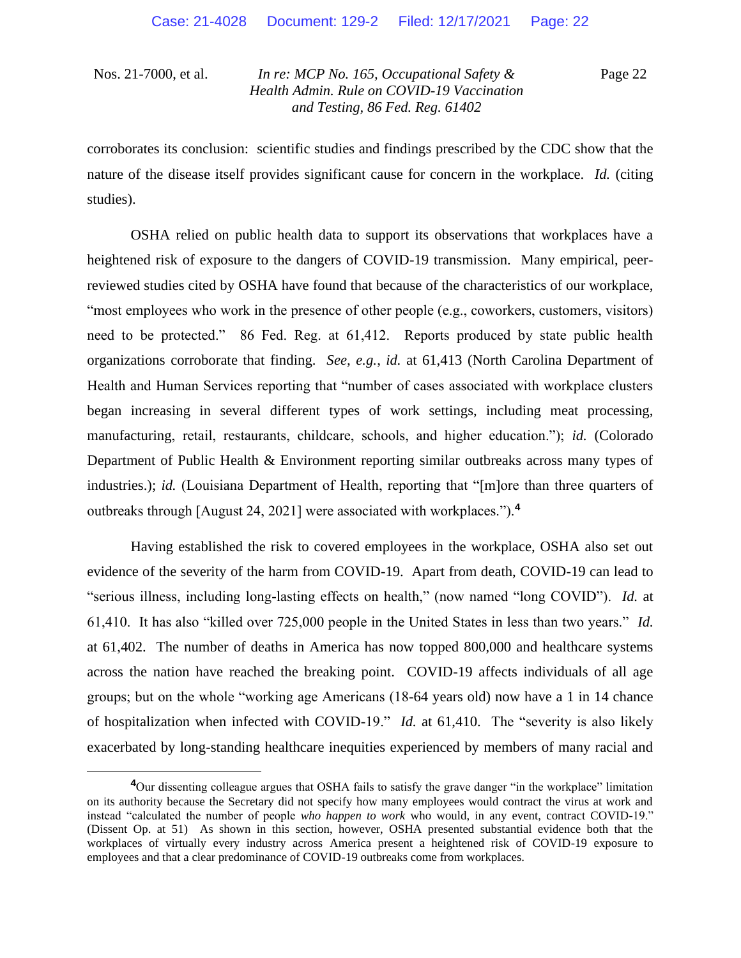Page 22

corroborates its conclusion: scientific studies and findings prescribed by the CDC show that the nature of the disease itself provides significant cause for concern in the workplace. *Id.* (citing studies).

OSHA relied on public health data to support its observations that workplaces have a heightened risk of exposure to the dangers of COVID-19 transmission. Many empirical, peerreviewed studies cited by OSHA have found that because of the characteristics of our workplace, "most employees who work in the presence of other people (e.g., coworkers, customers, visitors) need to be protected." 86 Fed. Reg. at 61,412. Reports produced by state public health organizations corroborate that finding. *See, e.g.*, *id.* at 61,413 (North Carolina Department of Health and Human Services reporting that "number of cases associated with workplace clusters began increasing in several different types of work settings, including meat processing, manufacturing, retail, restaurants, childcare, schools, and higher education."); *id.* (Colorado Department of Public Health & Environment reporting similar outbreaks across many types of industries.); *id.* (Louisiana Department of Health, reporting that "[m]ore than three quarters of outbreaks through [August 24, 2021] were associated with workplaces.").**<sup>4</sup>**

Having established the risk to covered employees in the workplace, OSHA also set out evidence of the severity of the harm from COVID-19. Apart from death, COVID-19 can lead to "serious illness, including long-lasting effects on health," (now named "long COVID"). *Id.* at 61,410. It has also "killed over 725,000 people in the United States in less than two years." *Id.*  at 61,402. The number of deaths in America has now topped 800,000 and healthcare systems across the nation have reached the breaking point. COVID-19 affects individuals of all age groups; but on the whole "working age Americans (18-64 years old) now have a 1 in 14 chance of hospitalization when infected with COVID-19." *Id.* at 61,410. The "severity is also likely exacerbated by long-standing healthcare inequities experienced by members of many racial and

**<sup>4</sup>**Our dissenting colleague argues that OSHA fails to satisfy the grave danger "in the workplace" limitation on its authority because the Secretary did not specify how many employees would contract the virus at work and instead "calculated the number of people *who happen to work* who would, in any event, contract COVID-19." (Dissent Op. at 51) As shown in this section, however, OSHA presented substantial evidence both that the workplaces of virtually every industry across America present a heightened risk of COVID-19 exposure to employees and that a clear predominance of COVID-19 outbreaks come from workplaces.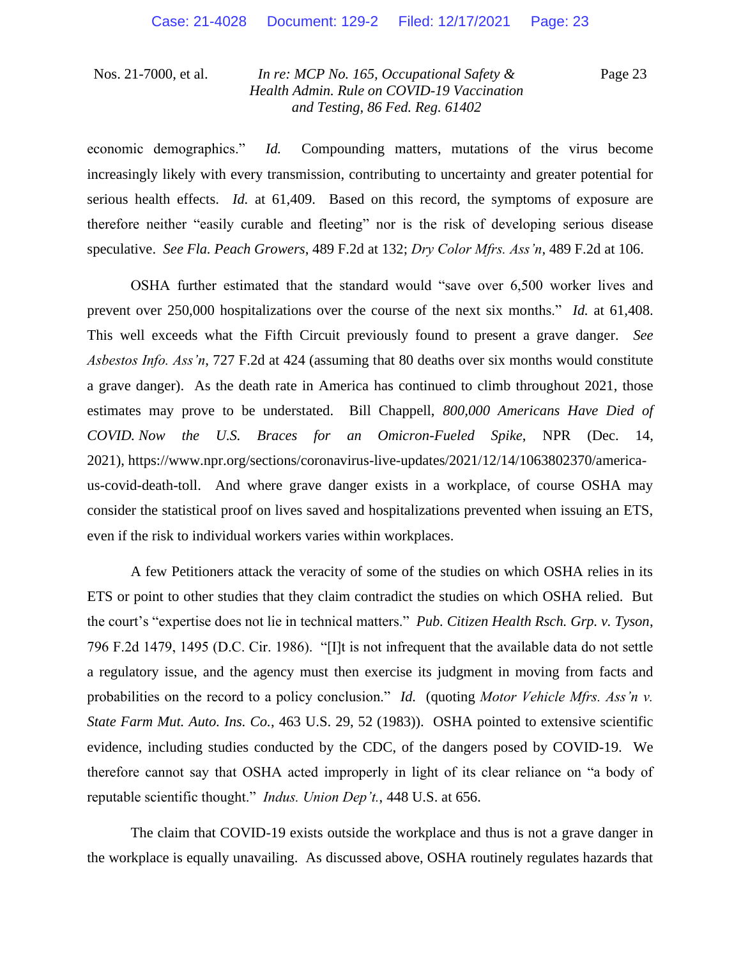Page 23

economic demographics." *Id.* Compounding matters, mutations of the virus become increasingly likely with every transmission, contributing to uncertainty and greater potential for serious health effects. *Id.* at 61,409. Based on this record, the symptoms of exposure are therefore neither "easily curable and fleeting" nor is the risk of developing serious disease speculative. *See Fla. Peach Growers*, 489 F.2d at 132; *Dry Color Mfrs. Ass'n*, 489 F.2d at 106.

OSHA further estimated that the standard would "save over 6,500 worker lives and prevent over 250,000 hospitalizations over the course of the next six months." *Id.* at 61,408. This well exceeds what the Fifth Circuit previously found to present a grave danger. *See Asbestos Info. Ass'n*, 727 F.2d at 424 (assuming that 80 deaths over six months would constitute a grave danger). As the death rate in America has continued to climb throughout 2021, those estimates may prove to be understated. Bill Chappell, *800,000 Americans Have Died of COVID. Now the U.S. Braces for an Omicron-Fueled Spike*, NPR (Dec. 14, 2021), https://www.npr.org/sections/coronavirus-live-updates/2021/12/14/1063802370/americaus-covid-death-toll. And where grave danger exists in a workplace, of course OSHA may consider the statistical proof on lives saved and hospitalizations prevented when issuing an ETS, even if the risk to individual workers varies within workplaces.

A few Petitioners attack the veracity of some of the studies on which OSHA relies in its ETS or point to other studies that they claim contradict the studies on which OSHA relied. But the court's "expertise does not lie in technical matters." *Pub. Citizen Health Rsch. Grp. v. Tyson*, 796 F.2d 1479, 1495 (D.C. Cir. 1986). "[I]t is not infrequent that the available data do not settle a regulatory issue, and the agency must then exercise its judgment in moving from facts and probabilities on the record to a policy conclusion." *Id.* (quoting *Motor Vehicle Mfrs. Ass'n v. State Farm Mut. Auto. Ins. Co.*, 463 U.S. 29, 52 (1983)).OSHA pointed to extensive scientific evidence, including studies conducted by the CDC, of the dangers posed by COVID-19. We therefore cannot say that OSHA acted improperly in light of its clear reliance on "a body of reputable scientific thought." *Indus. Union Dep't.*, 448 U.S. at 656.

The claim that COVID-19 exists outside the workplace and thus is not a grave danger in the workplace is equally unavailing. As discussed above, OSHA routinely regulates hazards that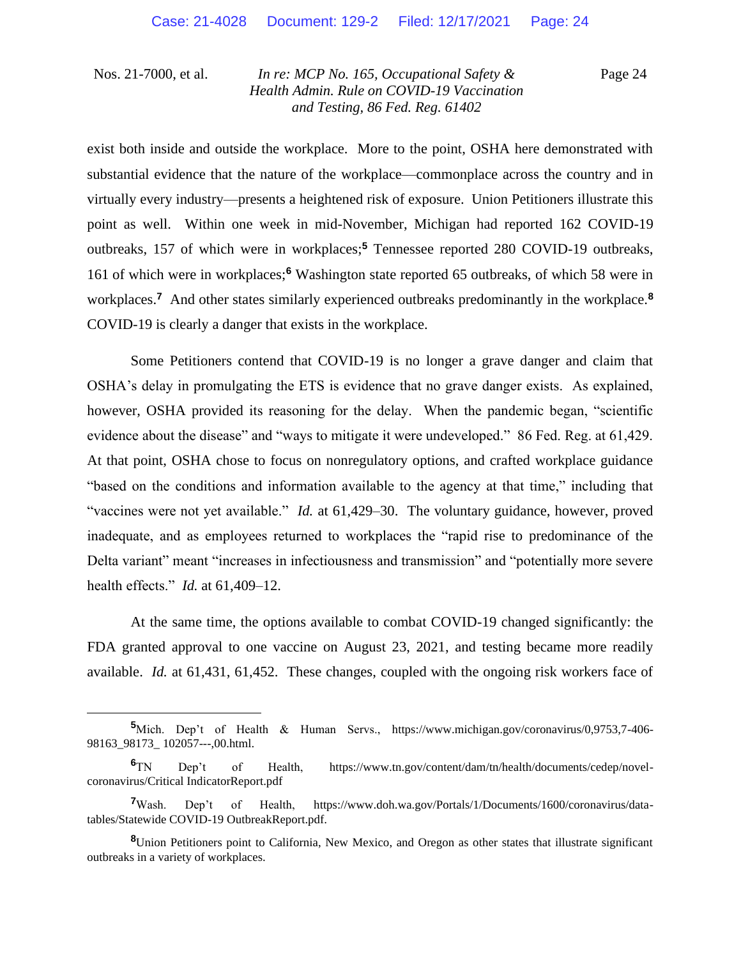Page 24

exist both inside and outside the workplace. More to the point, OSHA here demonstrated with substantial evidence that the nature of the workplace—commonplace across the country and in virtually every industry—presents a heightened risk of exposure. Union Petitioners illustrate this point as well. Within one week in mid-November, Michigan had reported 162 COVID-19 outbreaks, 157 of which were in workplaces;**<sup>5</sup>** Tennessee reported 280 COVID-19 outbreaks, 161 of which were in workplaces;**<sup>6</sup>** Washington state reported 65 outbreaks, of which 58 were in workplaces.**<sup>7</sup>** And other states similarly experienced outbreaks predominantly in the workplace.**<sup>8</sup>** COVID-19 is clearly a danger that exists in the workplace.

Some Petitioners contend that COVID-19 is no longer a grave danger and claim that OSHA's delay in promulgating the ETS is evidence that no grave danger exists. As explained, however, OSHA provided its reasoning for the delay. When the pandemic began, "scientific evidence about the disease" and "ways to mitigate it were undeveloped." 86 Fed. Reg. at 61,429. At that point, OSHA chose to focus on nonregulatory options, and crafted workplace guidance "based on the conditions and information available to the agency at that time," including that "vaccines were not yet available." *Id.* at 61,429–30. The voluntary guidance, however, proved inadequate, and as employees returned to workplaces the "rapid rise to predominance of the Delta variant" meant "increases in infectiousness and transmission" and "potentially more severe health effects." *Id.* at 61,409–12.

At the same time, the options available to combat COVID-19 changed significantly: the FDA granted approval to one vaccine on August 23, 2021, and testing became more readily available. *Id.* at 61,431, 61,452. These changes, coupled with the ongoing risk workers face of

**<sup>5</sup>**Mich. Dep't of Health & Human Servs., https://www.michigan.gov/coronavirus/0,9753,7-406- 98163\_98173\_ 102057---,00.html.

**<sup>6</sup>**TN Dep't of Health, https://www.tn.gov/content/dam/tn/health/documents/cedep/novelcoronavirus/Critical IndicatorReport.pdf

**<sup>7</sup>**Wash. Dep't of Health, https://www.doh.wa.gov/Portals/1/Documents/1600/coronavirus/datatables/Statewide COVID-19 OutbreakReport.pdf.

**<sup>8</sup>**Union Petitioners point to California, New Mexico, and Oregon as other states that illustrate significant outbreaks in a variety of workplaces.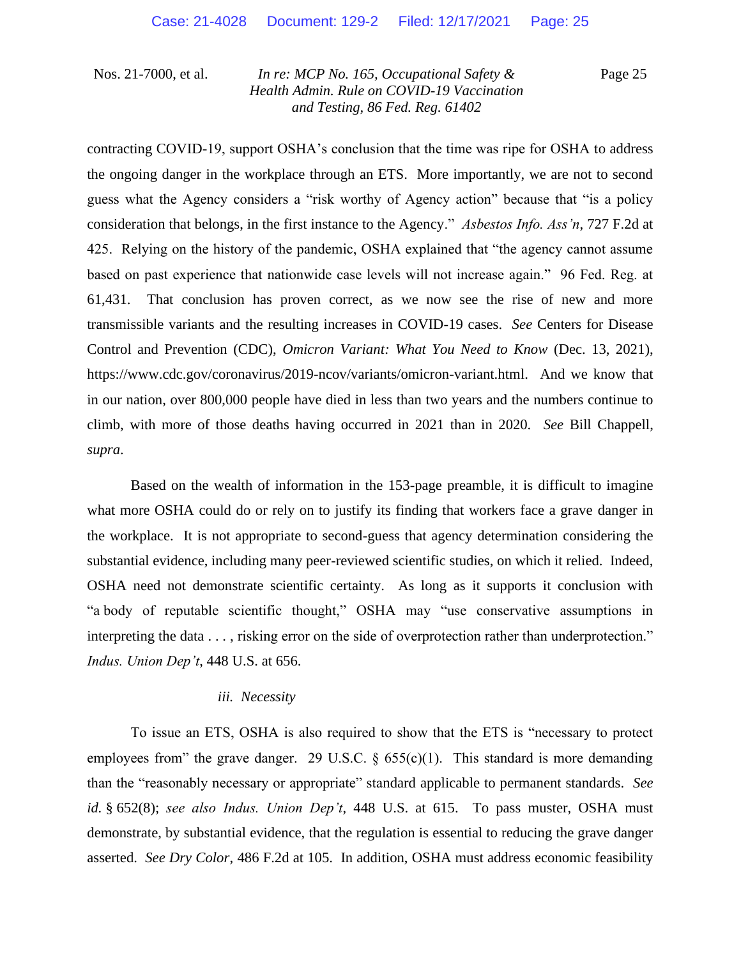Page 25

contracting COVID-19, support OSHA's conclusion that the time was ripe for OSHA to address the ongoing danger in the workplace through an ETS. More importantly, we are not to second guess what the Agency considers a "risk worthy of Agency action" because that "is a policy consideration that belongs, in the first instance to the Agency." *Asbestos Info. Ass'n*, 727 F.2d at 425. Relying on the history of the pandemic, OSHA explained that "the agency cannot assume based on past experience that nationwide case levels will not increase again." 96 Fed. Reg. at 61,431. That conclusion has proven correct, as we now see the rise of new and more transmissible variants and the resulting increases in COVID-19 cases. *See* Centers for Disease Control and Prevention (CDC), *Omicron Variant: What You Need to Know* (Dec. 13, 2021), https://www.cdc.gov/coronavirus/2019-ncov/variants/omicron-variant.html. And we know that in our nation, over 800,000 people have died in less than two years and the numbers continue to climb, with more of those deaths having occurred in 2021 than in 2020. *See* Bill Chappell, *supra*.

Based on the wealth of information in the 153-page preamble, it is difficult to imagine what more OSHA could do or rely on to justify its finding that workers face a grave danger in the workplace. It is not appropriate to second-guess that agency determination considering the substantial evidence, including many peer-reviewed scientific studies, on which it relied. Indeed, OSHA need not demonstrate scientific certainty. As long as it supports it conclusion with "a body of reputable scientific thought," OSHA may "use conservative assumptions in interpreting the data . . . , risking error on the side of overprotection rather than underprotection." *Indus. Union Dep't*, 448 U.S. at 656.

#### *iii. Necessity*

To issue an ETS, OSHA is also required to show that the ETS is "necessary to protect employees from" the grave danger. 29 U.S.C.  $\S$  655(c)(1). This standard is more demanding than the "reasonably necessary or appropriate" standard applicable to permanent standards. *See id.* § 652(8); *see also Indus. Union Dep't*, 448 U.S. at 615. To pass muster, OSHA must demonstrate, by substantial evidence, that the regulation is essential to reducing the grave danger asserted. *See Dry Color*, 486 F.2d at 105. In addition, OSHA must address economic feasibility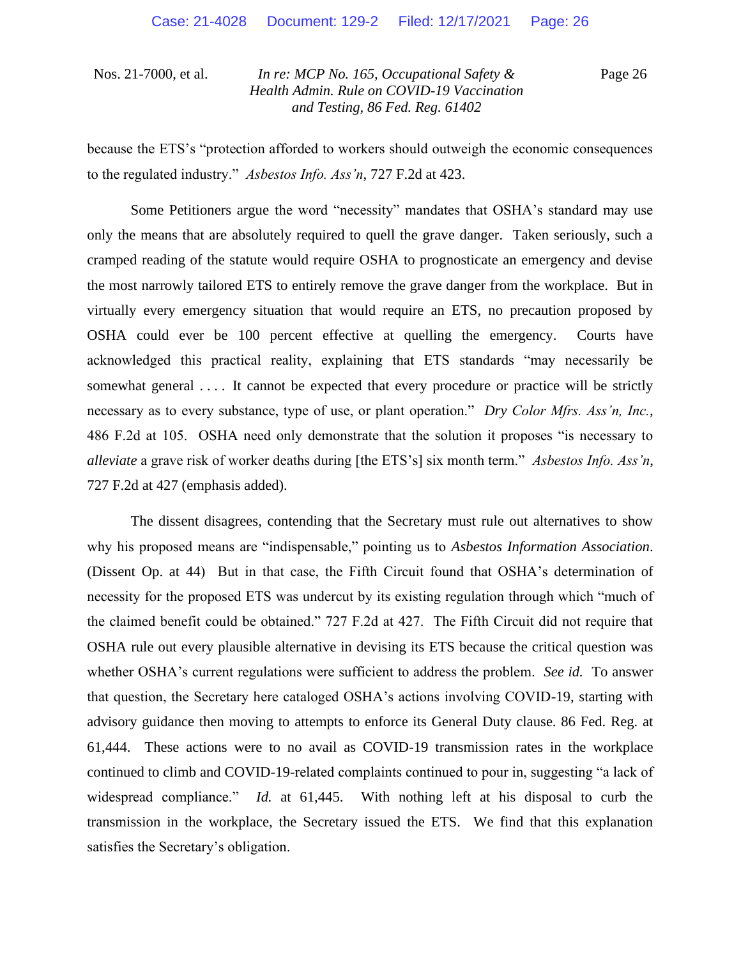Page 26

because the ETS's "protection afforded to workers should outweigh the economic consequences to the regulated industry." *Asbestos Info. Ass'n*, 727 F.2d at 423.

Some Petitioners argue the word "necessity" mandates that OSHA's standard may use only the means that are absolutely required to quell the grave danger. Taken seriously, such a cramped reading of the statute would require OSHA to prognosticate an emergency and devise the most narrowly tailored ETS to entirely remove the grave danger from the workplace. But in virtually every emergency situation that would require an ETS, no precaution proposed by OSHA could ever be 100 percent effective at quelling the emergency. Courts have acknowledged this practical reality, explaining that ETS standards "may necessarily be somewhat general .... It cannot be expected that every procedure or practice will be strictly necessary as to every substance, type of use, or plant operation." *Dry Color Mfrs. Ass'n, Inc.*, 486 F.2d at 105. OSHA need only demonstrate that the solution it proposes "is necessary to *alleviate* a grave risk of worker deaths during [the ETS's] six month term." *Asbestos Info. Ass'n*, 727 F.2d at 427 (emphasis added).

The dissent disagrees, contending that the Secretary must rule out alternatives to show why his proposed means are "indispensable," pointing us to *Asbestos Information Association*. (Dissent Op. at 44) But in that case, the Fifth Circuit found that OSHA's determination of necessity for the proposed ETS was undercut by its existing regulation through which "much of the claimed benefit could be obtained." 727 F.2d at 427. The Fifth Circuit did not require that OSHA rule out every plausible alternative in devising its ETS because the critical question was whether OSHA's current regulations were sufficient to address the problem. *See id.* To answer that question, the Secretary here cataloged OSHA's actions involving COVID-19, starting with advisory guidance then moving to attempts to enforce its General Duty clause. 86 Fed. Reg. at 61,444. These actions were to no avail as COVID-19 transmission rates in the workplace continued to climb and COVID-19-related complaints continued to pour in, suggesting "a lack of widespread compliance." *Id.* at 61,445. With nothing left at his disposal to curb the transmission in the workplace, the Secretary issued the ETS. We find that this explanation satisfies the Secretary's obligation.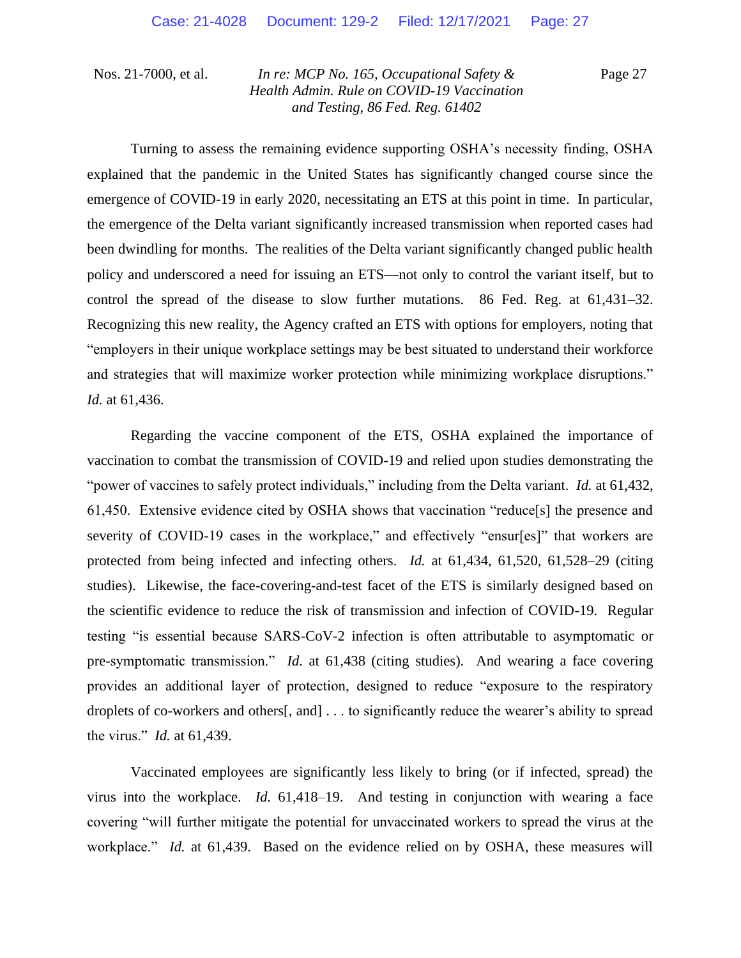Page 27

Turning to assess the remaining evidence supporting OSHA's necessity finding, OSHA explained that the pandemic in the United States has significantly changed course since the emergence of COVID-19 in early 2020, necessitating an ETS at this point in time. In particular, the emergence of the Delta variant significantly increased transmission when reported cases had been dwindling for months. The realities of the Delta variant significantly changed public health policy and underscored a need for issuing an ETS—not only to control the variant itself, but to control the spread of the disease to slow further mutations. 86 Fed. Reg. at 61,431–32. Recognizing this new reality, the Agency crafted an ETS with options for employers, noting that "employers in their unique workplace settings may be best situated to understand their workforce and strategies that will maximize worker protection while minimizing workplace disruptions." *Id.* at 61,436.

Regarding the vaccine component of the ETS, OSHA explained the importance of vaccination to combat the transmission of COVID-19 and relied upon studies demonstrating the "power of vaccines to safely protect individuals," including from the Delta variant. *Id.* at 61,432, 61,450. Extensive evidence cited by OSHA shows that vaccination "reduce[s] the presence and severity of COVID-19 cases in the workplace," and effectively "ensur[es]" that workers are protected from being infected and infecting others. *Id.* at 61,434, 61,520, 61,528–29 (citing studies). Likewise, the face-covering-and-test facet of the ETS is similarly designed based on the scientific evidence to reduce the risk of transmission and infection of COVID-19. Regular testing "is essential because SARS-CoV-2 infection is often attributable to asymptomatic or pre-symptomatic transmission." *Id.* at 61,438 (citing studies). And wearing a face covering provides an additional layer of protection, designed to reduce "exposure to the respiratory droplets of co-workers and others[, and] . . . to significantly reduce the wearer's ability to spread the virus." *Id.* at 61,439.

Vaccinated employees are significantly less likely to bring (or if infected, spread) the virus into the workplace. *Id.* 61,418–19. And testing in conjunction with wearing a face covering "will further mitigate the potential for unvaccinated workers to spread the virus at the workplace." *Id.* at 61,439. Based on the evidence relied on by OSHA, these measures will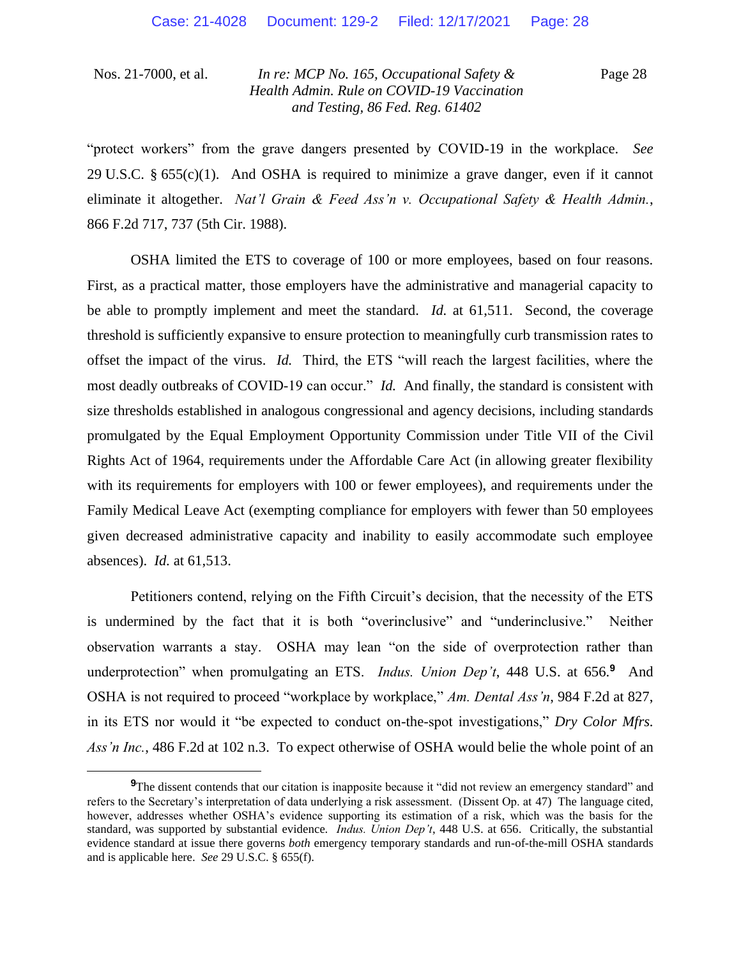Page 28

"protect workers" from the grave dangers presented by COVID-19 in the workplace. *See*  29 U.S.C.  $\S 655(c)(1)$ . And OSHA is required to minimize a grave danger, even if it cannot eliminate it altogether. *Nat'l Grain & Feed Ass'n v. Occupational Safety & Health Admin.*, 866 F.2d 717, 737 (5th Cir. 1988).

OSHA limited the ETS to coverage of 100 or more employees, based on four reasons. First, as a practical matter, those employers have the administrative and managerial capacity to be able to promptly implement and meet the standard. *Id.* at 61,511. Second, the coverage threshold is sufficiently expansive to ensure protection to meaningfully curb transmission rates to offset the impact of the virus. *Id.* Third, the ETS "will reach the largest facilities, where the most deadly outbreaks of COVID-19 can occur." *Id.* And finally, the standard is consistent with size thresholds established in analogous congressional and agency decisions, including standards promulgated by the Equal Employment Opportunity Commission under Title VII of the Civil Rights Act of 1964, requirements under the Affordable Care Act (in allowing greater flexibility with its requirements for employers with 100 or fewer employees), and requirements under the Family Medical Leave Act (exempting compliance for employers with fewer than 50 employees given decreased administrative capacity and inability to easily accommodate such employee absences). *Id.* at 61,513.

Petitioners contend, relying on the Fifth Circuit's decision, that the necessity of the ETS is undermined by the fact that it is both "overinclusive" and "underinclusive." Neither observation warrants a stay. OSHA may lean "on the side of overprotection rather than underprotection" when promulgating an ETS. *Indus. Union Dep't*, 448 U.S. at 656.**<sup>9</sup>** And OSHA is not required to proceed "workplace by workplace," *Am. Dental Ass'n*, 984 F.2d at 827, in its ETS nor would it "be expected to conduct on-the-spot investigations," *Dry Color Mfrs. Ass'n Inc.*, 486 F.2d at 102 n.3. To expect otherwise of OSHA would belie the whole point of an

**<sup>9</sup>**The dissent contends that our citation is inapposite because it "did not review an emergency standard" and refers to the Secretary's interpretation of data underlying a risk assessment. (Dissent Op. at 47) The language cited, however, addresses whether OSHA's evidence supporting its estimation of a risk, which was the basis for the standard, was supported by substantial evidence. *Indus. Union Dep't*, 448 U.S. at 656. Critically, the substantial evidence standard at issue there governs *both* emergency temporary standards and run-of-the-mill OSHA standards and is applicable here. *See* 29 U.S.C. § 655(f).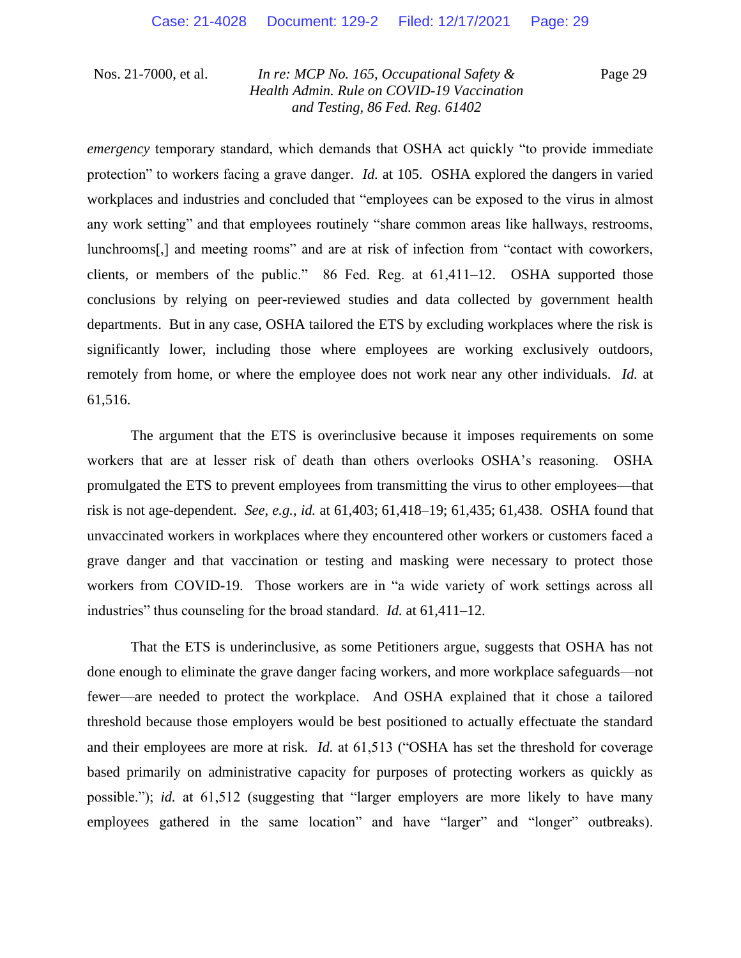Page 29

*emergency* temporary standard, which demands that OSHA act quickly "to provide immediate protection" to workers facing a grave danger. *Id.* at 105. OSHA explored the dangers in varied workplaces and industries and concluded that "employees can be exposed to the virus in almost any work setting" and that employees routinely "share common areas like hallways, restrooms, lunchrooms[,] and meeting rooms" and are at risk of infection from "contact with coworkers, clients, or members of the public." 86 Fed. Reg. at 61,411–12. OSHA supported those conclusions by relying on peer-reviewed studies and data collected by government health departments. But in any case, OSHA tailored the ETS by excluding workplaces where the risk is significantly lower, including those where employees are working exclusively outdoors, remotely from home, or where the employee does not work near any other individuals. *Id.* at 61,516.

The argument that the ETS is overinclusive because it imposes requirements on some workers that are at lesser risk of death than others overlooks OSHA's reasoning. OSHA promulgated the ETS to prevent employees from transmitting the virus to other employees—that risk is not age-dependent. *See, e.g.*, *id.* at 61,403; 61,418–19; 61,435; 61,438. OSHA found that unvaccinated workers in workplaces where they encountered other workers or customers faced a grave danger and that vaccination or testing and masking were necessary to protect those workers from COVID-19. Those workers are in "a wide variety of work settings across all industries" thus counseling for the broad standard. *Id.* at 61,411–12.

That the ETS is underinclusive, as some Petitioners argue, suggests that OSHA has not done enough to eliminate the grave danger facing workers, and more workplace safeguards—not fewer—are needed to protect the workplace. And OSHA explained that it chose a tailored threshold because those employers would be best positioned to actually effectuate the standard and their employees are more at risk. *Id.* at 61,513 ("OSHA has set the threshold for coverage based primarily on administrative capacity for purposes of protecting workers as quickly as possible."); *id.* at 61,512 (suggesting that "larger employers are more likely to have many employees gathered in the same location" and have "larger" and "longer" outbreaks).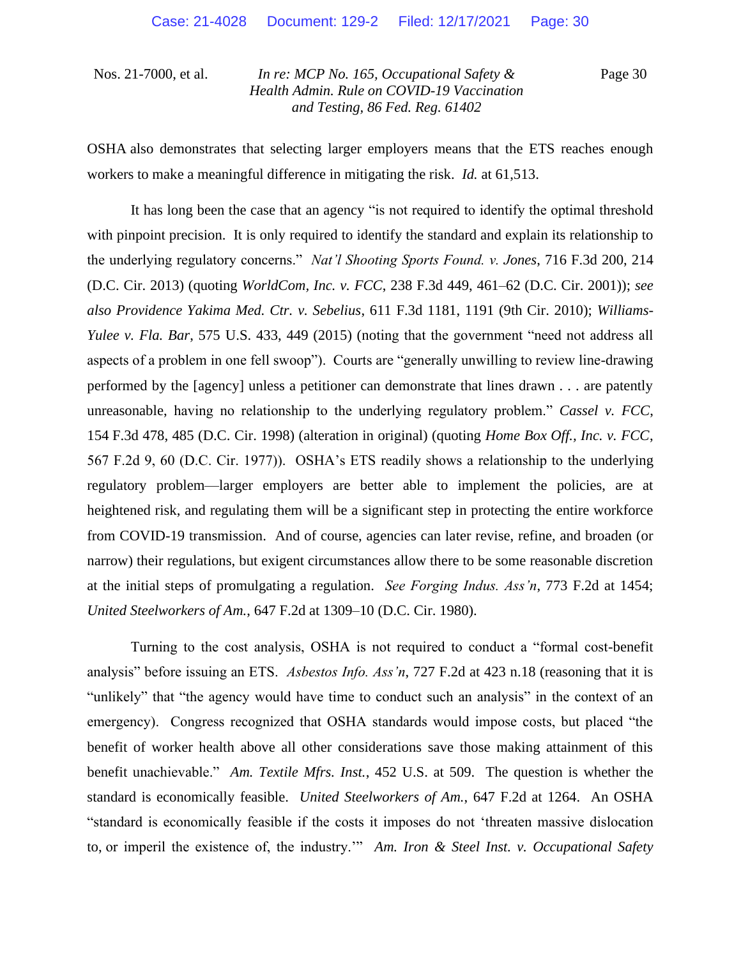Page 30

OSHA also demonstrates that selecting larger employers means that the ETS reaches enough workers to make a meaningful difference in mitigating the risk. *Id.* at 61,513.

It has long been the case that an agency "is not required to identify the optimal threshold with pinpoint precision. It is only required to identify the standard and explain its relationship to the underlying regulatory concerns." *Nat'l Shooting Sports Found. v. Jones*, 716 F.3d 200, 214 (D.C. Cir. 2013) (quoting *WorldCom, Inc. v. FCC*, 238 F.3d 449, 461–62 (D.C. Cir. 2001)); *see also Providence Yakima Med. Ctr. v. Sebelius*, 611 F.3d 1181, 1191 (9th Cir. 2010); *Williams-Yulee v. Fla. Bar*, 575 U.S. 433, 449 (2015) (noting that the government "need not address all aspects of a problem in one fell swoop"). Courts are "generally unwilling to review line-drawing performed by the [agency] unless a petitioner can demonstrate that lines drawn . . . are patently unreasonable, having no relationship to the underlying regulatory problem." *Cassel v. FCC*, 154 F.3d 478, 485 (D.C. Cir. 1998) (alteration in original) (quoting *Home Box Off., Inc. v. FCC*, 567 F.2d 9, 60 (D.C. Cir. 1977)). OSHA's ETS readily shows a relationship to the underlying regulatory problem—larger employers are better able to implement the policies, are at heightened risk, and regulating them will be a significant step in protecting the entire workforce from COVID-19 transmission. And of course, agencies can later revise, refine, and broaden (or narrow) their regulations, but exigent circumstances allow there to be some reasonable discretion at the initial steps of promulgating a regulation. *See Forging Indus. Ass'n*, 773 F.2d at 1454; *United Steelworkers of Am.*, 647 F.2d at 1309–10 (D.C. Cir. 1980).

Turning to the cost analysis, OSHA is not required to conduct a "formal cost-benefit analysis" before issuing an ETS. *Asbestos Info. Ass'n*, 727 F.2d at 423 n.18 (reasoning that it is "unlikely" that "the agency would have time to conduct such an analysis" in the context of an emergency). Congress recognized that OSHA standards would impose costs, but placed "the benefit of worker health above all other considerations save those making attainment of this benefit unachievable." *Am. Textile Mfrs. Inst.*, 452 U.S. at 509. The question is whether the standard is economically feasible. *United Steelworkers of Am.*, 647 F.2d at 1264. An OSHA "standard is economically feasible if the costs it imposes do not 'threaten massive dislocation to, or imperil the existence of, the industry.'" *Am. Iron & Steel Inst. v. Occupational Safety*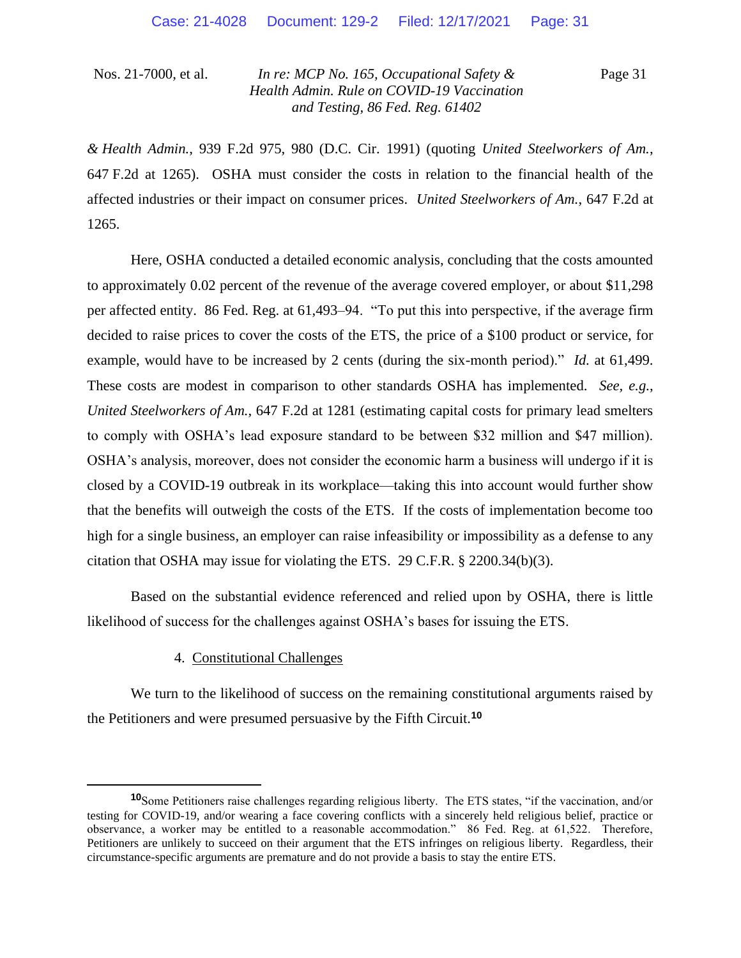Page 31

*& Health Admin.*, 939 F.2d 975, 980 (D.C. Cir. 1991) (quoting *United Steelworkers of Am.*, 647 F.2d at 1265). OSHA must consider the costs in relation to the financial health of the affected industries or their impact on consumer prices. *United Steelworkers of Am.*, 647 F.2d at 1265.

Here, OSHA conducted a detailed economic analysis, concluding that the costs amounted to approximately 0.02 percent of the revenue of the average covered employer, or about \$11,298 per affected entity. 86 Fed. Reg. at 61,493–94. "To put this into perspective, if the average firm decided to raise prices to cover the costs of the ETS, the price of a \$100 product or service, for example, would have to be increased by 2 cents (during the six-month period)." *Id.* at 61,499. These costs are modest in comparison to other standards OSHA has implemented. *See, e.g.*, *United Steelworkers of Am.*, 647 F.2d at 1281 (estimating capital costs for primary lead smelters to comply with OSHA's lead exposure standard to be between \$32 million and \$47 million). OSHA's analysis, moreover, does not consider the economic harm a business will undergo if it is closed by a COVID-19 outbreak in its workplace—taking this into account would further show that the benefits will outweigh the costs of the ETS. If the costs of implementation become too high for a single business, an employer can raise infeasibility or impossibility as a defense to any citation that OSHA may issue for violating the ETS. 29 C.F.R. § 2200.34(b)(3).

Based on the substantial evidence referenced and relied upon by OSHA, there is little likelihood of success for the challenges against OSHA's bases for issuing the ETS.

### 4. Constitutional Challenges

We turn to the likelihood of success on the remaining constitutional arguments raised by the Petitioners and were presumed persuasive by the Fifth Circuit.**<sup>10</sup>**

**<sup>10</sup>**Some Petitioners raise challenges regarding religious liberty. The ETS states, "if the vaccination, and/or testing for COVID-19, and/or wearing a face covering conflicts with a sincerely held religious belief, practice or observance, a worker may be entitled to a reasonable accommodation." 86 Fed. Reg. at 61,522. Therefore, Petitioners are unlikely to succeed on their argument that the ETS infringes on religious liberty. Regardless, their circumstance-specific arguments are premature and do not provide a basis to stay the entire ETS.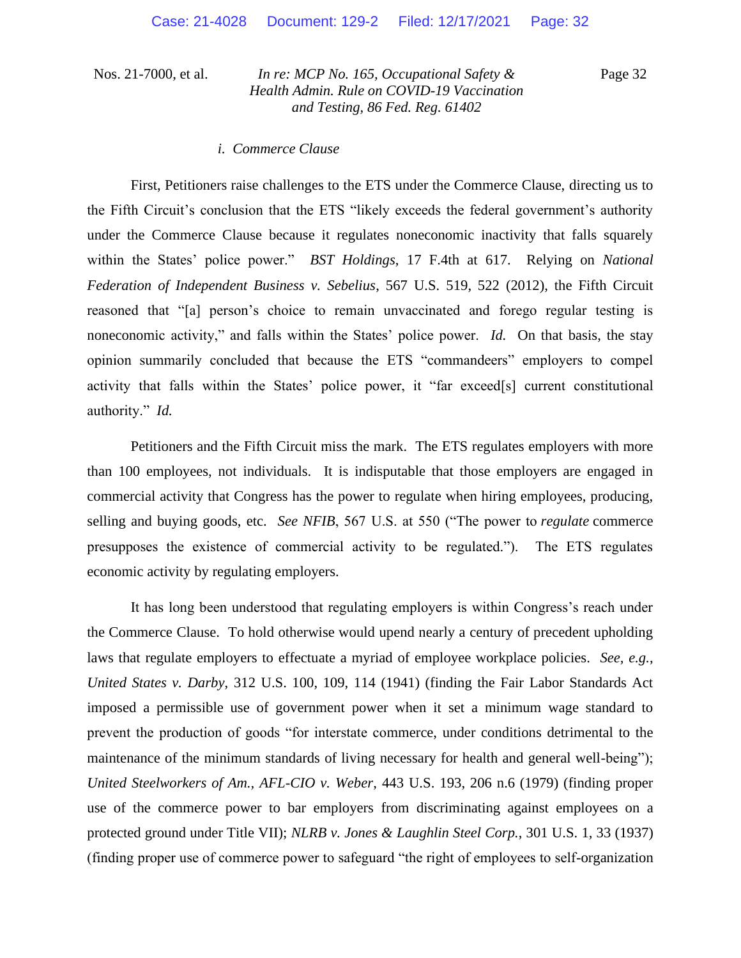Page 32

#### *i. Commerce Clause*

First, Petitioners raise challenges to the ETS under the Commerce Clause, directing us to the Fifth Circuit's conclusion that the ETS "likely exceeds the federal government's authority under the Commerce Clause because it regulates noneconomic inactivity that falls squarely within the States' police power." *BST Holdings*, 17 F.4th at 617. Relying on *National Federation of Independent Business v. Sebelius*, 567 U.S. 519, 522 (2012), the Fifth Circuit reasoned that "[a] person's choice to remain unvaccinated and forego regular testing is noneconomic activity," and falls within the States' police power. *Id.* On that basis, the stay opinion summarily concluded that because the ETS "commandeers" employers to compel activity that falls within the States' police power, it "far exceed[s] current constitutional authority." *Id.*

Petitioners and the Fifth Circuit miss the mark. The ETS regulates employers with more than 100 employees, not individuals. It is indisputable that those employers are engaged in commercial activity that Congress has the power to regulate when hiring employees, producing, selling and buying goods, etc. *See NFIB*, 567 U.S. at 550 ("The power to *regulate* commerce presupposes the existence of commercial activity to be regulated."). The ETS regulates economic activity by regulating employers.

It has long been understood that regulating employers is within Congress's reach under the Commerce Clause. To hold otherwise would upend nearly a century of precedent upholding laws that regulate employers to effectuate a myriad of employee workplace policies. *See, e.g.*, *United States v. Darby*, 312 U.S. 100, 109, 114 (1941) (finding the Fair Labor Standards Act imposed a permissible use of government power when it set a minimum wage standard to prevent the production of goods "for interstate commerce, under conditions detrimental to the maintenance of the minimum standards of living necessary for health and general well-being"); *United Steelworkers of Am., AFL-CIO v. Weber*, 443 U.S. 193, 206 n.6 (1979) (finding proper use of the commerce power to bar employers from discriminating against employees on a protected ground under Title VII); *NLRB v. Jones & Laughlin Steel Corp.*, 301 U.S. 1, 33 (1937) (finding proper use of commerce power to safeguard "the right of employees to self-organization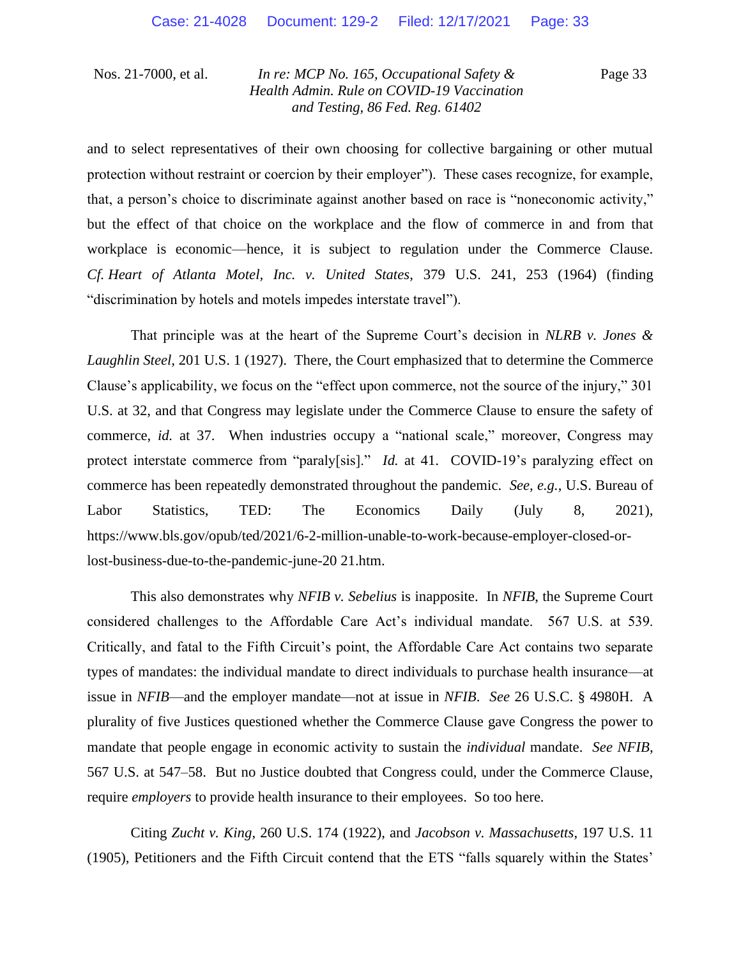Page 33

and to select representatives of their own choosing for collective bargaining or other mutual protection without restraint or coercion by their employer"). These cases recognize, for example, that, a person's choice to discriminate against another based on race is "noneconomic activity," but the effect of that choice on the workplace and the flow of commerce in and from that workplace is economic—hence, it is subject to regulation under the Commerce Clause. *Cf. Heart of Atlanta Motel, Inc. v. United States*, 379 U.S. 241, 253 (1964) (finding "discrimination by hotels and motels impedes interstate travel").

That principle was at the heart of the Supreme Court's decision in *NLRB v. Jones & Laughlin Steel*, 201 U.S. 1 (1927). There, the Court emphasized that to determine the Commerce Clause's applicability, we focus on the "effect upon commerce, not the source of the injury," 301 U.S. at 32, and that Congress may legislate under the Commerce Clause to ensure the safety of commerce, *id.* at 37. When industries occupy a "national scale," moreover, Congress may protect interstate commerce from "paraly[sis]." *Id.* at 41. COVID-19's paralyzing effect on commerce has been repeatedly demonstrated throughout the pandemic. *See, e.g.*, U.S. Bureau of Labor Statistics, TED: The Economics Daily (July 8, 2021), https://www.bls.gov/opub/ted/2021/6-2-million-unable-to-work-because-employer-closed-orlost-business-due-to-the-pandemic-june-20 21.htm.

This also demonstrates why *NFIB v. Sebelius* is inapposite. In *NFIB*, the Supreme Court considered challenges to the Affordable Care Act's individual mandate. 567 U.S. at 539. Critically, and fatal to the Fifth Circuit's point, the Affordable Care Act contains two separate types of mandates: the individual mandate to direct individuals to purchase health insurance—at issue in *NFIB*—and the employer mandate—not at issue in *NFIB*. *See* 26 U.S.C. § 4980H. A plurality of five Justices questioned whether the Commerce Clause gave Congress the power to mandate that people engage in economic activity to sustain the *individual* mandate. *See NFIB*, 567 U.S. at 547–58. But no Justice doubted that Congress could, under the Commerce Clause, require *employers* to provide health insurance to their employees. So too here.

Citing *Zucht v. King*, 260 U.S. 174 (1922), and *Jacobson v. Massachusetts*, 197 U.S. 11 (1905), Petitioners and the Fifth Circuit contend that the ETS "falls squarely within the States'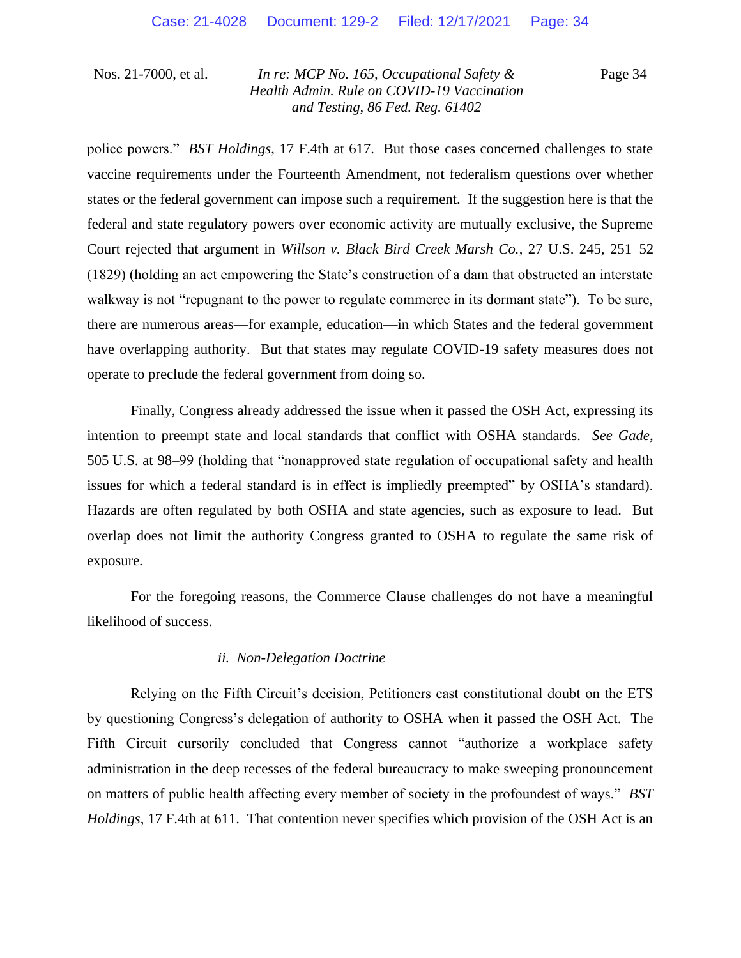Page 34

police powers." *BST Holdings*, 17 F.4th at 617. But those cases concerned challenges to state vaccine requirements under the Fourteenth Amendment, not federalism questions over whether states or the federal government can impose such a requirement. If the suggestion here is that the federal and state regulatory powers over economic activity are mutually exclusive, the Supreme Court rejected that argument in *Willson v. Black Bird Creek Marsh Co.*, 27 U.S. 245, 251–52 (1829) (holding an act empowering the State's construction of a dam that obstructed an interstate walkway is not "repugnant to the power to regulate commerce in its dormant state"). To be sure, there are numerous areas—for example, education—in which States and the federal government have overlapping authority. But that states may regulate COVID-19 safety measures does not operate to preclude the federal government from doing so.

Finally, Congress already addressed the issue when it passed the OSH Act, expressing its intention to preempt state and local standards that conflict with OSHA standards. *See Gade*, 505 U.S. at 98–99 (holding that "nonapproved state regulation of occupational safety and health issues for which a federal standard is in effect is impliedly preempted" by OSHA's standard). Hazards are often regulated by both OSHA and state agencies, such as exposure to lead. But overlap does not limit the authority Congress granted to OSHA to regulate the same risk of exposure.

For the foregoing reasons, the Commerce Clause challenges do not have a meaningful likelihood of success.

### *ii. Non-Delegation Doctrine*

Relying on the Fifth Circuit's decision, Petitioners cast constitutional doubt on the ETS by questioning Congress's delegation of authority to OSHA when it passed the OSH Act. The Fifth Circuit cursorily concluded that Congress cannot "authorize a workplace safety administration in the deep recesses of the federal bureaucracy to make sweeping pronouncement on matters of public health affecting every member of society in the profoundest of ways." *BST Holdings*, 17 F.4th at 611. That contention never specifies which provision of the OSH Act is an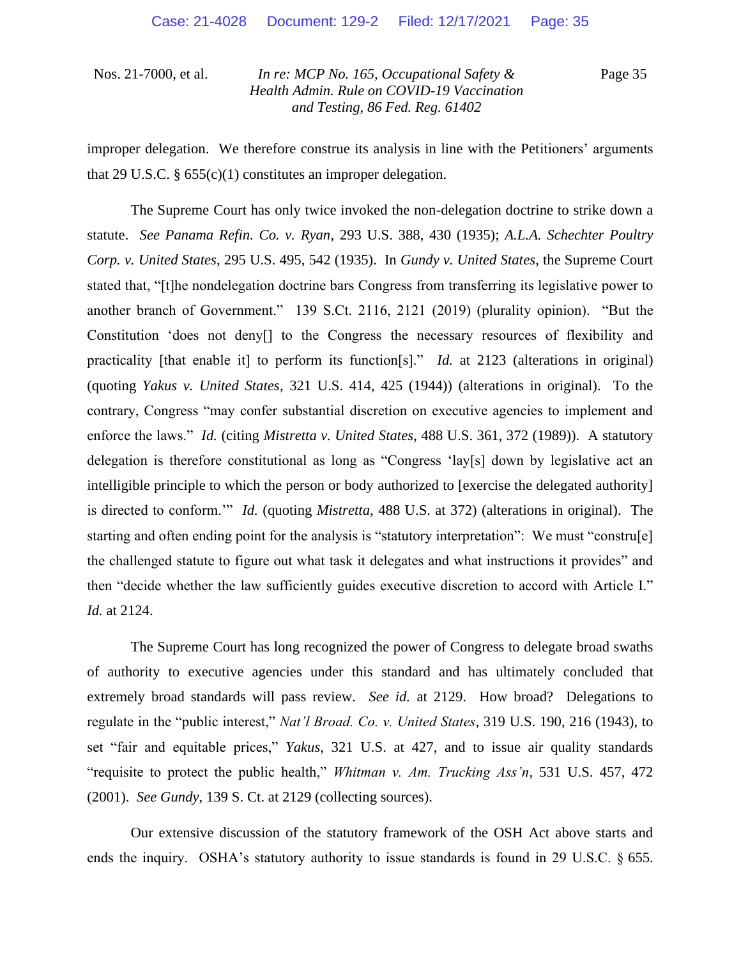Page 35

improper delegation. We therefore construe its analysis in line with the Petitioners' arguments that 29 U.S.C.  $\S 655(c)(1)$  constitutes an improper delegation.

The Supreme Court has only twice invoked the non-delegation doctrine to strike down a statute. *See Panama Refin. Co. v. Ryan*, 293 U.S. 388, 430 (1935); *A.L.A. Schechter Poultry Corp. v. United States*, 295 U.S. 495, 542 (1935). In *Gundy v. United States*, the Supreme Court stated that, "[t]he nondelegation doctrine bars Congress from transferring its legislative power to another branch of Government." 139 S.Ct. 2116, 2121 (2019) (plurality opinion). "But the Constitution 'does not deny[] to the Congress the necessary resources of flexibility and practicality [that enable it] to perform its function[s]." *Id.* at 2123 (alterations in original) (quoting *Yakus v. United States*, 321 U.S. 414, 425 (1944)) (alterations in original). To the contrary, Congress "may confer substantial discretion on executive agencies to implement and enforce the laws." *Id.* (citing *Mistretta v. United States*, 488 U.S. 361, 372 (1989)). A statutory delegation is therefore constitutional as long as "Congress 'lay[s] down by legislative act an intelligible principle to which the person or body authorized to [exercise the delegated authority] is directed to conform.'" *Id.* (quoting *Mistretta*, 488 U.S. at 372) (alterations in original). The starting and often ending point for the analysis is "statutory interpretation": We must "constru[e] the challenged statute to figure out what task it delegates and what instructions it provides" and then "decide whether the law sufficiently guides executive discretion to accord with Article I." *Id.* at 2124.

The Supreme Court has long recognized the power of Congress to delegate broad swaths of authority to executive agencies under this standard and has ultimately concluded that extremely broad standards will pass review. *See id.* at 2129. How broad? Delegations to regulate in the "public interest," *Nat'l Broad. Co. v. United States*, 319 U.S. 190, 216 (1943), to set "fair and equitable prices," *Yakus*, 321 U.S. at 427, and to issue air quality standards "requisite to protect the public health," *Whitman v. Am. Trucking Ass'n*, 531 U.S. 457, 472 (2001). *See Gundy*, 139 S. Ct. at 2129 (collecting sources).

Our extensive discussion of the statutory framework of the OSH Act above starts and ends the inquiry. OSHA's statutory authority to issue standards is found in 29 U.S.C. § 655.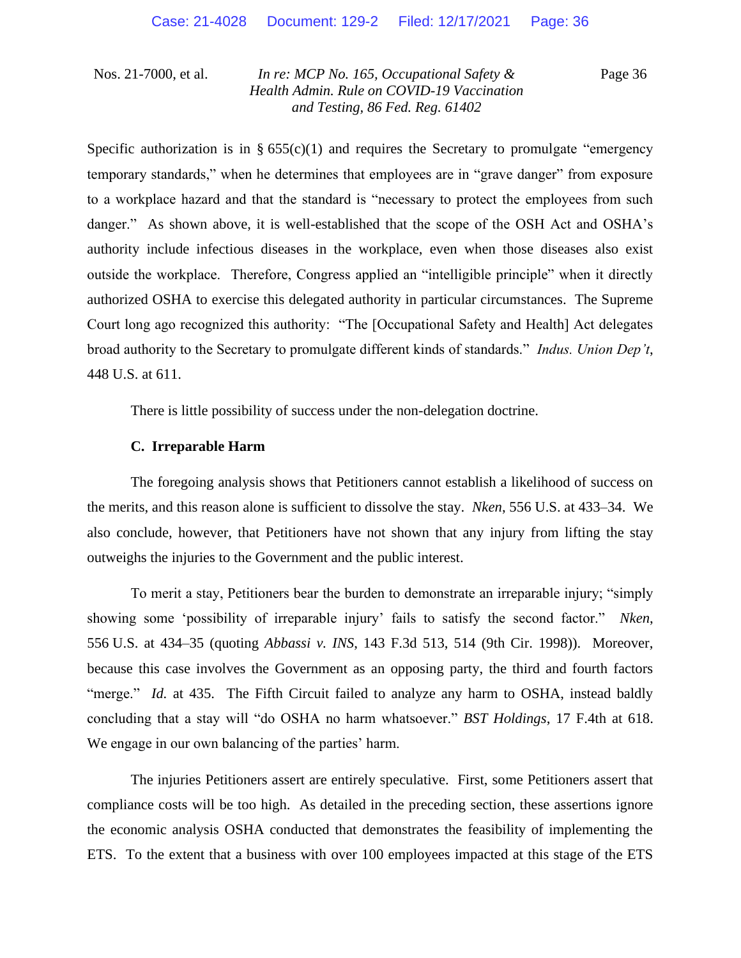Page 36

Specific authorization is in §  $655(c)(1)$  and requires the Secretary to promulgate "emergency" temporary standards," when he determines that employees are in "grave danger" from exposure to a workplace hazard and that the standard is "necessary to protect the employees from such danger." As shown above, it is well-established that the scope of the OSH Act and OSHA's authority include infectious diseases in the workplace, even when those diseases also exist outside the workplace. Therefore, Congress applied an "intelligible principle" when it directly authorized OSHA to exercise this delegated authority in particular circumstances. The Supreme Court long ago recognized this authority: "The [Occupational Safety and Health] Act delegates broad authority to the Secretary to promulgate different kinds of standards." *Indus. Union Dep't*, 448 U.S. at 611.

There is little possibility of success under the non-delegation doctrine.

### **C. Irreparable Harm**

The foregoing analysis shows that Petitioners cannot establish a likelihood of success on the merits, and this reason alone is sufficient to dissolve the stay. *Nken*, 556 U.S. at 433–34. We also conclude, however, that Petitioners have not shown that any injury from lifting the stay outweighs the injuries to the Government and the public interest.

To merit a stay, Petitioners bear the burden to demonstrate an irreparable injury; "simply showing some 'possibility of irreparable injury' fails to satisfy the second factor." *Nken*, 556 U.S. at 434–35 (quoting *Abbassi v. INS*, 143 F.3d 513, 514 (9th Cir. 1998)). Moreover, because this case involves the Government as an opposing party, the third and fourth factors "merge." *Id.* at 435. The Fifth Circuit failed to analyze any harm to OSHA, instead baldly concluding that a stay will "do OSHA no harm whatsoever." *BST Holdings*, 17 F.4th at 618. We engage in our own balancing of the parties' harm.

The injuries Petitioners assert are entirely speculative. First, some Petitioners assert that compliance costs will be too high. As detailed in the preceding section, these assertions ignore the economic analysis OSHA conducted that demonstrates the feasibility of implementing the ETS. To the extent that a business with over 100 employees impacted at this stage of the ETS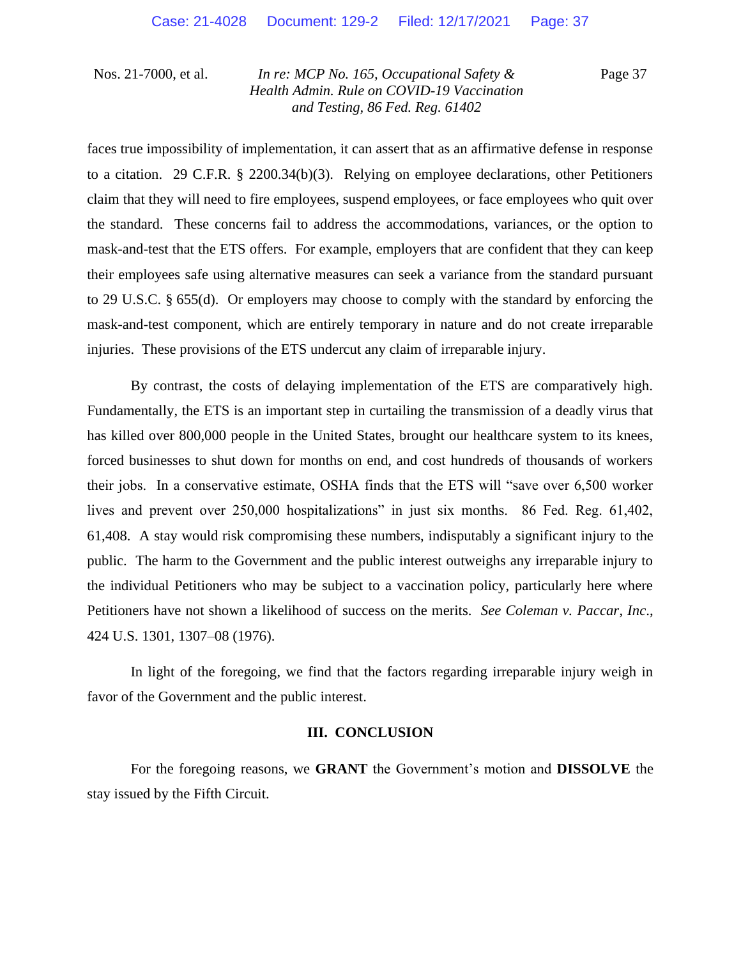Page 37

faces true impossibility of implementation, it can assert that as an affirmative defense in response to a citation. 29 C.F.R. § 2200.34(b)(3). Relying on employee declarations, other Petitioners claim that they will need to fire employees, suspend employees, or face employees who quit over the standard. These concerns fail to address the accommodations, variances, or the option to mask-and-test that the ETS offers. For example, employers that are confident that they can keep their employees safe using alternative measures can seek a variance from the standard pursuant to 29 U.S.C. § 655(d). Or employers may choose to comply with the standard by enforcing the mask-and-test component, which are entirely temporary in nature and do not create irreparable injuries. These provisions of the ETS undercut any claim of irreparable injury.

By contrast, the costs of delaying implementation of the ETS are comparatively high. Fundamentally, the ETS is an important step in curtailing the transmission of a deadly virus that has killed over 800,000 people in the United States, brought our healthcare system to its knees, forced businesses to shut down for months on end, and cost hundreds of thousands of workers their jobs. In a conservative estimate, OSHA finds that the ETS will "save over 6,500 worker lives and prevent over 250,000 hospitalizations" in just six months. 86 Fed. Reg. 61,402, 61,408. A stay would risk compromising these numbers, indisputably a significant injury to the public. The harm to the Government and the public interest outweighs any irreparable injury to the individual Petitioners who may be subject to a vaccination policy, particularly here where Petitioners have not shown a likelihood of success on the merits. *See Coleman v. Paccar*, *Inc*., 424 U.S. 1301, 1307–08 (1976).

In light of the foregoing, we find that the factors regarding irreparable injury weigh in favor of the Government and the public interest.

#### **III. CONCLUSION**

For the foregoing reasons, we **GRANT** the Government's motion and **DISSOLVE** the stay issued by the Fifth Circuit.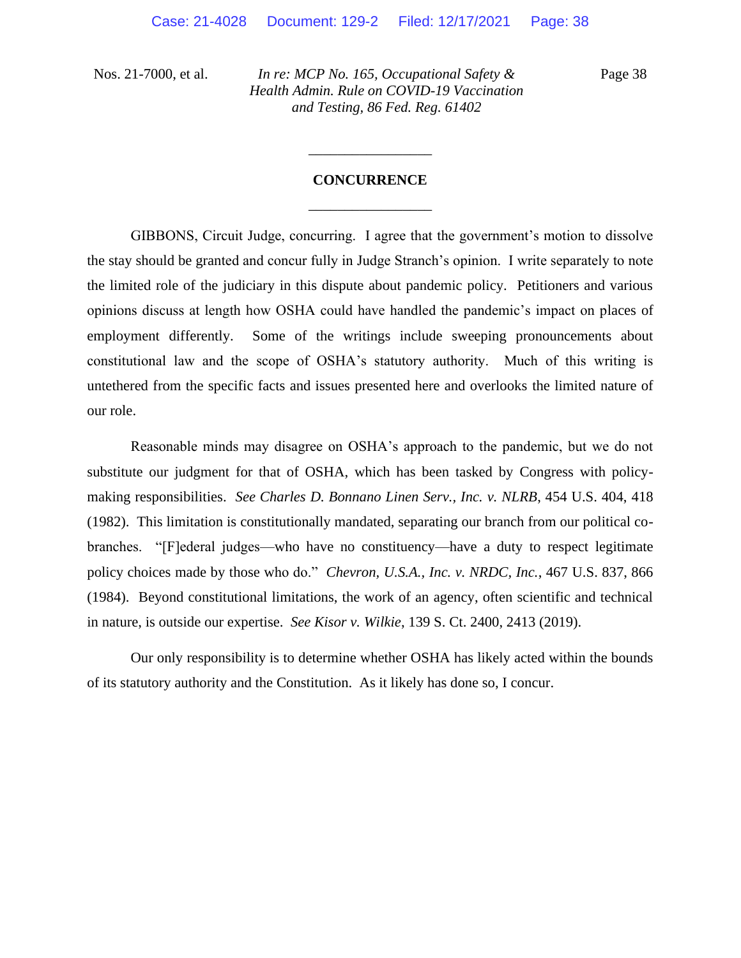Page 38

# **CONCURRENCE** \_\_\_\_\_\_\_\_\_\_\_\_\_\_\_\_\_

\_\_\_\_\_\_\_\_\_\_\_\_\_\_\_\_\_

GIBBONS, Circuit Judge, concurring. I agree that the government's motion to dissolve the stay should be granted and concur fully in Judge Stranch's opinion. I write separately to note the limited role of the judiciary in this dispute about pandemic policy. Petitioners and various opinions discuss at length how OSHA could have handled the pandemic's impact on places of employment differently. Some of the writings include sweeping pronouncements about constitutional law and the scope of OSHA's statutory authority. Much of this writing is untethered from the specific facts and issues presented here and overlooks the limited nature of our role.

Reasonable minds may disagree on OSHA's approach to the pandemic, but we do not substitute our judgment for that of OSHA, which has been tasked by Congress with policymaking responsibilities. *See Charles D. Bonnano Linen Serv., Inc. v. NLRB*, 454 U.S. 404, 418 (1982). This limitation is constitutionally mandated, separating our branch from our political cobranches. "[F]ederal judges—who have no constituency—have a duty to respect legitimate policy choices made by those who do." *Chevron, U.S.A., Inc. v. NRDC, Inc.*, 467 U.S. 837, 866 (1984). Beyond constitutional limitations, the work of an agency, often scientific and technical in nature, is outside our expertise. *See Kisor v. Wilkie*, 139 S. Ct. 2400, 2413 (2019).

Our only responsibility is to determine whether OSHA has likely acted within the bounds of its statutory authority and the Constitution. As it likely has done so, I concur.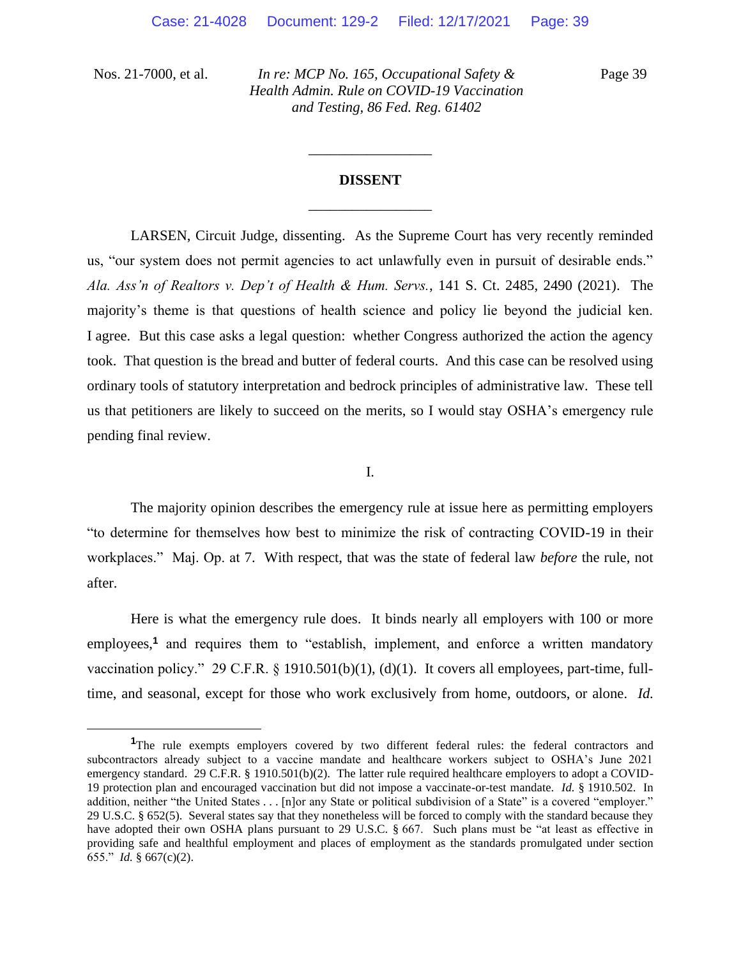Page 39

# **DISSENT** \_\_\_\_\_\_\_\_\_\_\_\_\_\_\_\_\_

\_\_\_\_\_\_\_\_\_\_\_\_\_\_\_\_\_

LARSEN, Circuit Judge, dissenting. As the Supreme Court has very recently reminded us, "our system does not permit agencies to act unlawfully even in pursuit of desirable ends." *Ala. Ass'n of Realtors v. Dep't of Health & Hum. Servs.*, 141 S. Ct. 2485, 2490 (2021). The majority's theme is that questions of health science and policy lie beyond the judicial ken. I agree. But this case asks a legal question: whether Congress authorized the action the agency took. That question is the bread and butter of federal courts. And this case can be resolved using ordinary tools of statutory interpretation and bedrock principles of administrative law. These tell us that petitioners are likely to succeed on the merits, so I would stay OSHA's emergency rule pending final review.

I.

The majority opinion describes the emergency rule at issue here as permitting employers "to determine for themselves how best to minimize the risk of contracting COVID-19 in their workplaces." Maj. Op. at 7. With respect, that was the state of federal law *before* the rule, not after.

Here is what the emergency rule does. It binds nearly all employers with 100 or more employees,<sup>1</sup> and requires them to "establish, implement, and enforce a written mandatory vaccination policy." 29 C.F.R. § 1910.501(b)(1), (d)(1). It covers all employees, part-time, fulltime, and seasonal, except for those who work exclusively from home, outdoors, or alone. *Id.* 

<sup>&</sup>lt;sup>1</sup>The rule exempts employers covered by two different federal rules: the federal contractors and subcontractors already subject to a vaccine mandate and healthcare workers subject to OSHA's June 2021 emergency standard. 29 C.F.R. § 1910.501(b)(2). The latter rule required healthcare employers to adopt a COVID-19 protection plan and encouraged vaccination but did not impose a vaccinate-or-test mandate. *Id.* § 1910.502. In addition, neither "the United States . . . [n]or any State or political subdivision of a State" is a covered "employer." 29 U.S.C. § 652(5). Several states say that they nonetheless will be forced to comply with the standard because they have adopted their own OSHA plans pursuant to 29 U.S.C. § 667. Such plans must be "at least as effective in providing safe and healthful employment and places of employment as the standards promulgated under section 655." *Id.* § 667(c)(2).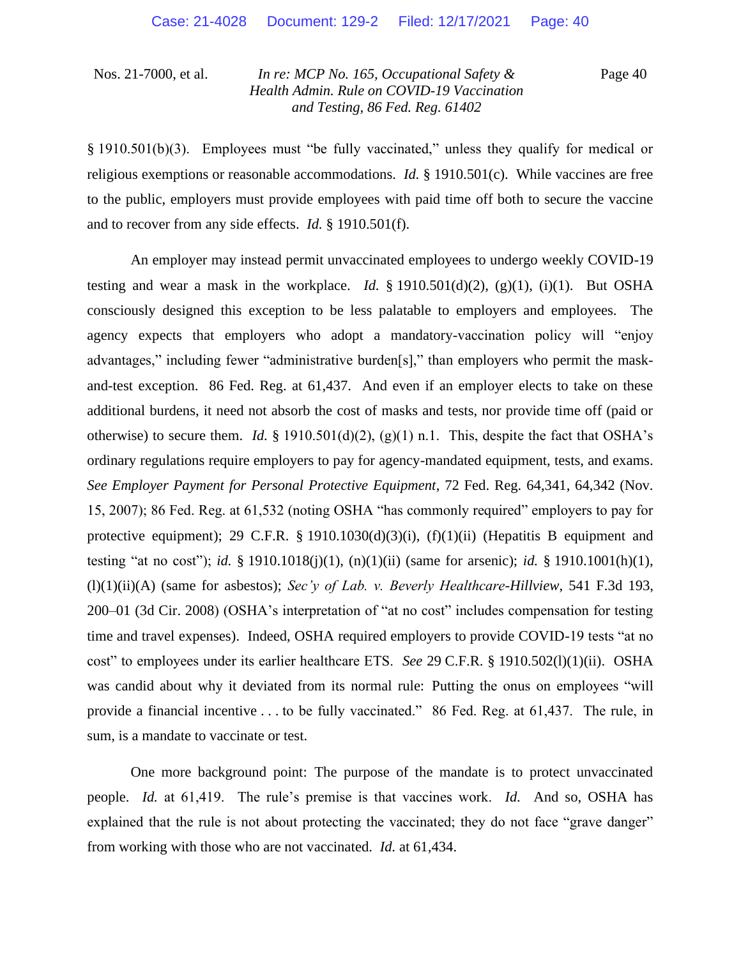Page 40

§ 1910.501(b)(3). Employees must "be fully vaccinated," unless they qualify for medical or religious exemptions or reasonable accommodations. *Id.* § 1910.501(c). While vaccines are free to the public, employers must provide employees with paid time off both to secure the vaccine and to recover from any side effects. *Id.* § 1910.501(f).

An employer may instead permit unvaccinated employees to undergo weekly COVID-19 testing and wear a mask in the workplace. *Id.*  $\S$  1910.501(d)(2), (g)(1), (i)(1). But OSHA consciously designed this exception to be less palatable to employers and employees. The agency expects that employers who adopt a mandatory-vaccination policy will "enjoy advantages," including fewer "administrative burden[s]," than employers who permit the maskand-test exception. 86 Fed. Reg. at 61,437. And even if an employer elects to take on these additional burdens, it need not absorb the cost of masks and tests, nor provide time off (paid or otherwise) to secure them. *Id.* § 1910.501(d)(2), (g)(1) n.1. This, despite the fact that OSHA's ordinary regulations require employers to pay for agency-mandated equipment, tests, and exams. *See Employer Payment for Personal Protective Equipment*, 72 Fed. Reg. 64,341, 64,342 (Nov. 15, 2007); 86 Fed. Reg. at 61,532 (noting OSHA "has commonly required" employers to pay for protective equipment); 29 C.F.R. § 1910.1030(d)(3)(i),  $(f)(1)(ii)$  (Hepatitis B equipment and testing "at no cost"); *id.* § 1910.1018(j)(1), (n)(1)(ii) (same for arsenic); *id.* § 1910.1001(h)(1), (l)(1)(ii)(A) (same for asbestos); *Sec'y of Lab. v. Beverly Healthcare-Hillview*, 541 F.3d 193, 200–01 (3d Cir. 2008) (OSHA's interpretation of "at no cost" includes compensation for testing time and travel expenses). Indeed, OSHA required employers to provide COVID-19 tests "at no cost" to employees under its earlier healthcare ETS. *See* 29 C.F.R. § 1910.502(l)(1)(ii). OSHA was candid about why it deviated from its normal rule: Putting the onus on employees "will provide a financial incentive . . . to be fully vaccinated." 86 Fed. Reg. at 61,437. The rule, in sum, is a mandate to vaccinate or test.

One more background point: The purpose of the mandate is to protect unvaccinated people. *Id.* at 61,419. The rule's premise is that vaccines work. *Id.* And so, OSHA has explained that the rule is not about protecting the vaccinated; they do not face "grave danger" from working with those who are not vaccinated. *Id.* at 61,434.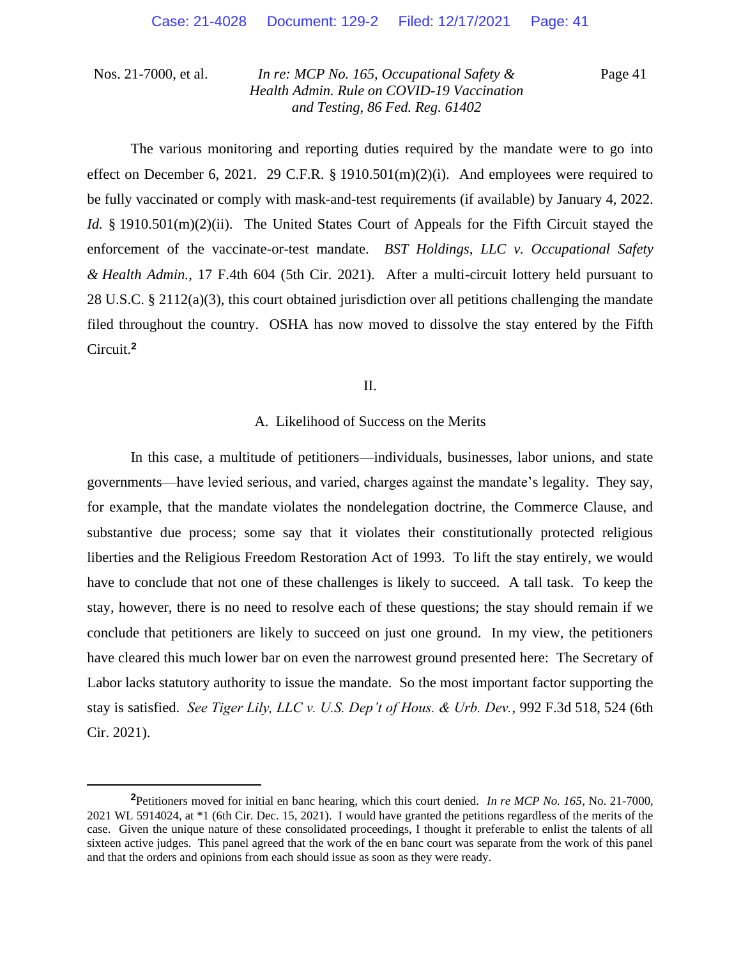Page 41

The various monitoring and reporting duties required by the mandate were to go into effect on December 6, 2021. 29 C.F.R. § 1910.501 $(m)(2)(i)$ . And employees were required to be fully vaccinated or comply with mask-and-test requirements (if available) by January 4, 2022. *Id.* § 1910.501(m)(2)(ii). The United States Court of Appeals for the Fifth Circuit stayed the enforcement of the vaccinate-or-test mandate. *BST Holdings, LLC v. Occupational Safety & Health Admin.*, 17 F.4th 604 (5th Cir. 2021). After a multi-circuit lottery held pursuant to 28 U.S.C. § 2112(a)(3), this court obtained jurisdiction over all petitions challenging the mandate filed throughout the country. OSHA has now moved to dissolve the stay entered by the Fifth Circuit.**<sup>2</sup>**

#### II.

## A. Likelihood of Success on the Merits

In this case, a multitude of petitioners—individuals, businesses, labor unions, and state governments—have levied serious, and varied, charges against the mandate's legality. They say, for example, that the mandate violates the nondelegation doctrine, the Commerce Clause, and substantive due process; some say that it violates their constitutionally protected religious liberties and the Religious Freedom Restoration Act of 1993. To lift the stay entirely, we would have to conclude that not one of these challenges is likely to succeed. A tall task. To keep the stay, however, there is no need to resolve each of these questions; the stay should remain if we conclude that petitioners are likely to succeed on just one ground. In my view, the petitioners have cleared this much lower bar on even the narrowest ground presented here: The Secretary of Labor lacks statutory authority to issue the mandate. So the most important factor supporting the stay is satisfied. *See Tiger Lily, LLC v. U.S. Dep't of Hous. & Urb. Dev.*, 992 F.3d 518, 524 (6th Cir. 2021).

**<sup>2</sup>**Petitioners moved for initial en banc hearing, which this court denied. *In re MCP No. 165*, No. 21-7000, 2021 WL 5914024, at \*1 (6th Cir. Dec. 15, 2021). I would have granted the petitions regardless of the merits of the case. Given the unique nature of these consolidated proceedings, I thought it preferable to enlist the talents of all sixteen active judges. This panel agreed that the work of the en banc court was separate from the work of this panel and that the orders and opinions from each should issue as soon as they were ready.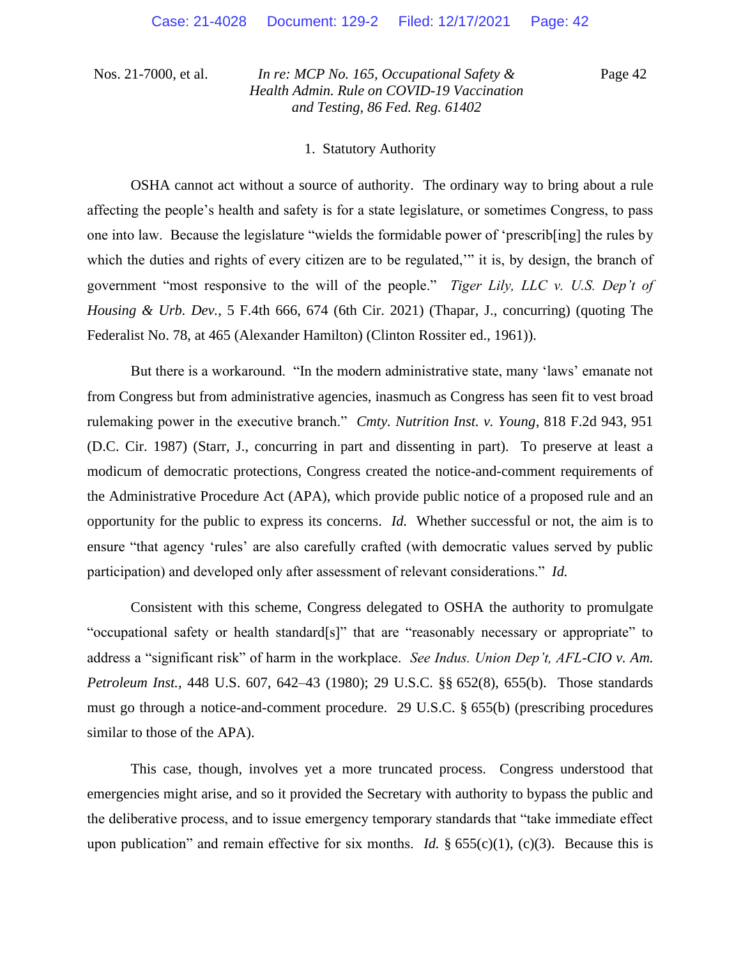Page 42

#### 1. Statutory Authority

OSHA cannot act without a source of authority. The ordinary way to bring about a rule affecting the people's health and safety is for a state legislature, or sometimes Congress, to pass one into law. Because the legislature "wields the formidable power of 'prescrib[ing] the rules by which the duties and rights of every citizen are to be regulated," it is, by design, the branch of government "most responsive to the will of the people." *Tiger Lily, LLC v. U.S. Dep't of Housing & Urb. Dev.*, 5 F.4th 666, 674 (6th Cir. 2021) (Thapar, J., concurring) (quoting The Federalist No. 78, at 465 (Alexander Hamilton) (Clinton Rossiter ed., 1961)).

But there is a workaround. "In the modern administrative state, many 'laws' emanate not from Congress but from administrative agencies, inasmuch as Congress has seen fit to vest broad rulemaking power in the executive branch." *Cmty. Nutrition Inst. v. Young*, 818 F.2d 943, 951 (D.C. Cir. 1987) (Starr, J., concurring in part and dissenting in part). To preserve at least a modicum of democratic protections, Congress created the notice-and-comment requirements of the Administrative Procedure Act (APA), which provide public notice of a proposed rule and an opportunity for the public to express its concerns. *Id.* Whether successful or not, the aim is to ensure "that agency 'rules' are also carefully crafted (with democratic values served by public participation) and developed only after assessment of relevant considerations." *Id.*

Consistent with this scheme, Congress delegated to OSHA the authority to promulgate "occupational safety or health standard[s]" that are "reasonably necessary or appropriate" to address a "significant risk" of harm in the workplace. *See Indus. Union Dep't, AFL-CIO v. Am. Petroleum Inst.*, 448 U.S. 607, 642–43 (1980); 29 U.S.C. §§ 652(8), 655(b). Those standards must go through a notice-and-comment procedure. 29 U.S.C. § 655(b) (prescribing procedures similar to those of the APA).

This case, though, involves yet a more truncated process. Congress understood that emergencies might arise, and so it provided the Secretary with authority to bypass the public and the deliberative process, and to issue emergency temporary standards that "take immediate effect upon publication" and remain effective for six months. *Id.* § 655(c)(1), (c)(3). Because this is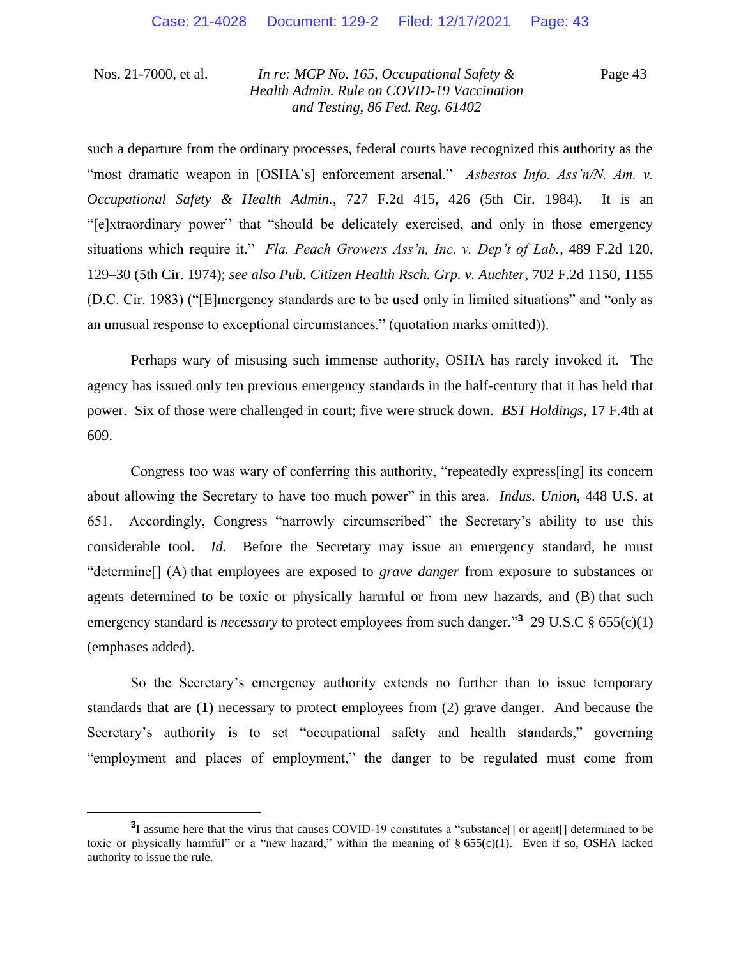Page 43

such a departure from the ordinary processes, federal courts have recognized this authority as the "most dramatic weapon in [OSHA's] enforcement arsenal." *Asbestos Info. Ass'n/N. Am. v. Occupational Safety & Health Admin.*, 727 F.2d 415, 426 (5th Cir. 1984). It is an "[e]xtraordinary power" that "should be delicately exercised, and only in those emergency situations which require it." *Fla. Peach Growers Ass'n, Inc. v. Dep't of Lab.*, 489 F.2d 120, 129–30 (5th Cir. 1974); *see also Pub. Citizen Health Rsch. Grp. v. Auchter*, 702 F.2d 1150, 1155 (D.C. Cir. 1983) ("[E]mergency standards are to be used only in limited situations" and "only as an unusual response to exceptional circumstances." (quotation marks omitted)).

Perhaps wary of misusing such immense authority, OSHA has rarely invoked it. The agency has issued only ten previous emergency standards in the half-century that it has held that power. Six of those were challenged in court; five were struck down. *BST Holdings*, 17 F.4th at 609.

Congress too was wary of conferring this authority, "repeatedly express[ing] its concern about allowing the Secretary to have too much power" in this area. *Indus. Union*, 448 U.S. at 651. Accordingly, Congress "narrowly circumscribed" the Secretary's ability to use this considerable tool. *Id.* Before the Secretary may issue an emergency standard, he must "determine[] (A) that employees are exposed to *grave danger* from exposure to substances or agents determined to be toxic or physically harmful or from new hazards, and (B) that such emergency standard is *necessary* to protect employees from such danger."**<sup>3</sup>** 29 U.S.C § 655(c)(1) (emphases added).

So the Secretary's emergency authority extends no further than to issue temporary standards that are (1) necessary to protect employees from (2) grave danger. And because the Secretary's authority is to set "occupational safety and health standards," governing "employment and places of employment," the danger to be regulated must come from

**<sup>3</sup>** I assume here that the virus that causes COVID-19 constitutes a "substance[] or agent[] determined to be toxic or physically harmful" or a "new hazard," within the meaning of § 655(c)(1). Even if so, OSHA lacked authority to issue the rule.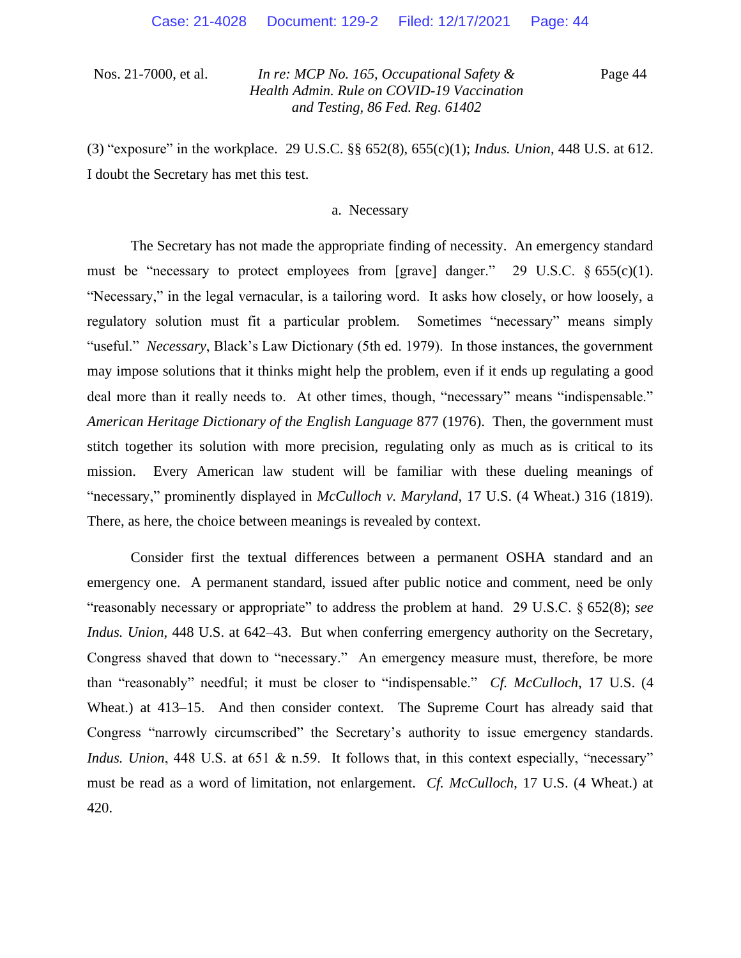Page 44

(3) "exposure" in the workplace. 29 U.S.C. §§ 652(8), 655(c)(1); *Indus. Union*, 448 U.S. at 612. I doubt the Secretary has met this test.

#### a. Necessary

The Secretary has not made the appropriate finding of necessity. An emergency standard must be "necessary to protect employees from [grave] danger." 29 U.S.C.  $\S 655(c)(1)$ . "Necessary," in the legal vernacular, is a tailoring word. It asks how closely, or how loosely, a regulatory solution must fit a particular problem. Sometimes "necessary" means simply "useful." *Necessary*, Black's Law Dictionary (5th ed. 1979). In those instances, the government may impose solutions that it thinks might help the problem, even if it ends up regulating a good deal more than it really needs to. At other times, though, "necessary" means "indispensable." *American Heritage Dictionary of the English Language* 877 (1976). Then, the government must stitch together its solution with more precision, regulating only as much as is critical to its mission. Every American law student will be familiar with these dueling meanings of "necessary," prominently displayed in *McCulloch v. Maryland*, 17 U.S. (4 Wheat.) 316 (1819). There, as here, the choice between meanings is revealed by context.

Consider first the textual differences between a permanent OSHA standard and an emergency one. A permanent standard, issued after public notice and comment, need be only "reasonably necessary or appropriate" to address the problem at hand. 29 U.S.C. § 652(8); *see Indus. Union*, 448 U.S. at 642–43. But when conferring emergency authority on the Secretary, Congress shaved that down to "necessary." An emergency measure must, therefore, be more than "reasonably" needful; it must be closer to "indispensable." *Cf. McCulloch*, 17 U.S. (4 Wheat.) at 413–15. And then consider context. The Supreme Court has already said that Congress "narrowly circumscribed" the Secretary's authority to issue emergency standards. *Indus. Union*, 448 U.S. at 651 & n.59. It follows that, in this context especially, "necessary" must be read as a word of limitation, not enlargement. *Cf. McCulloch*, 17 U.S. (4 Wheat.) at 420.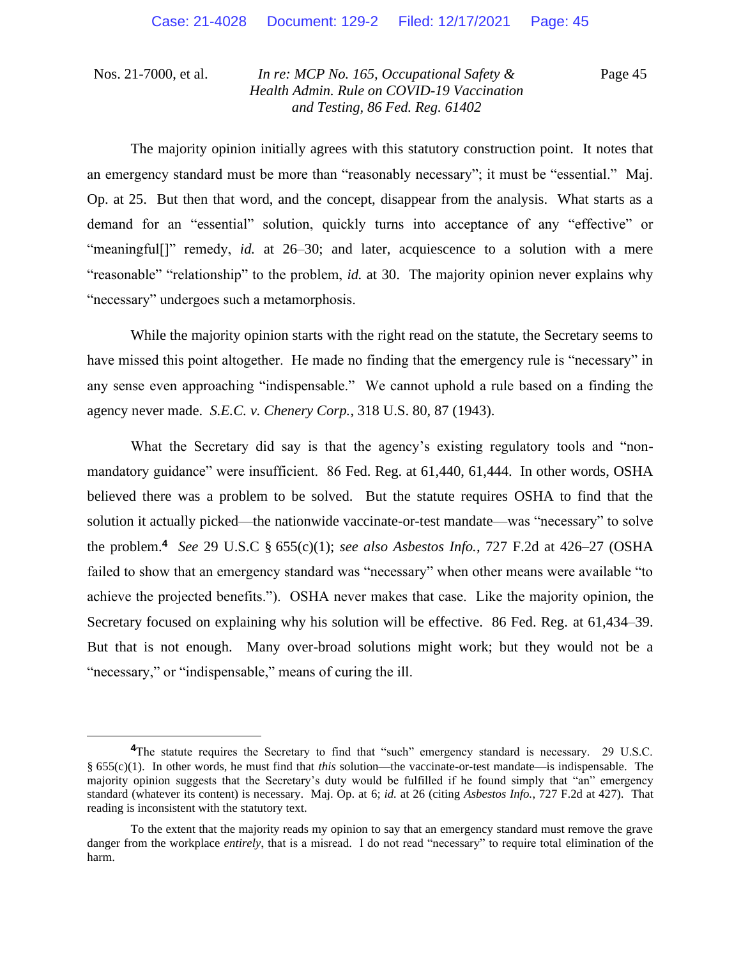Page 45

The majority opinion initially agrees with this statutory construction point. It notes that an emergency standard must be more than "reasonably necessary"; it must be "essential." Maj. Op. at 25. But then that word, and the concept, disappear from the analysis. What starts as a demand for an "essential" solution, quickly turns into acceptance of any "effective" or "meaningful[]" remedy, *id.* at 26-30; and later, acquiescence to a solution with a mere "reasonable" "relationship" to the problem, *id.* at 30. The majority opinion never explains why "necessary" undergoes such a metamorphosis.

While the majority opinion starts with the right read on the statute, the Secretary seems to have missed this point altogether. He made no finding that the emergency rule is "necessary" in any sense even approaching "indispensable." We cannot uphold a rule based on a finding the agency never made. *S.E.C. v. Chenery Corp.*, 318 U.S. 80, 87 (1943).

What the Secretary did say is that the agency's existing regulatory tools and "nonmandatory guidance" were insufficient. 86 Fed. Reg. at 61,440, 61,444. In other words, OSHA believed there was a problem to be solved. But the statute requires OSHA to find that the solution it actually picked—the nationwide vaccinate-or-test mandate—was "necessary" to solve the problem.**<sup>4</sup>** *See* 29 U.S.C § 655(c)(1); *see also Asbestos Info.*, 727 F.2d at 426–27 (OSHA failed to show that an emergency standard was "necessary" when other means were available "to achieve the projected benefits."). OSHA never makes that case. Like the majority opinion, the Secretary focused on explaining why his solution will be effective. 86 Fed. Reg. at 61,434–39. But that is not enough. Many over-broad solutions might work; but they would not be a "necessary," or "indispensable," means of curing the ill.

<sup>&</sup>lt;sup>4</sup>The statute requires the Secretary to find that "such" emergency standard is necessary. 29 U.S.C. § 655(c)(1). In other words, he must find that *this* solution—the vaccinate-or-test mandate—is indispensable. The majority opinion suggests that the Secretary's duty would be fulfilled if he found simply that "an" emergency standard (whatever its content) is necessary. Maj. Op. at 6; *id.* at 26 (citing *Asbestos Info.*, 727 F.2d at 427). That reading is inconsistent with the statutory text.

To the extent that the majority reads my opinion to say that an emergency standard must remove the grave danger from the workplace *entirely*, that is a misread. I do not read "necessary" to require total elimination of the harm.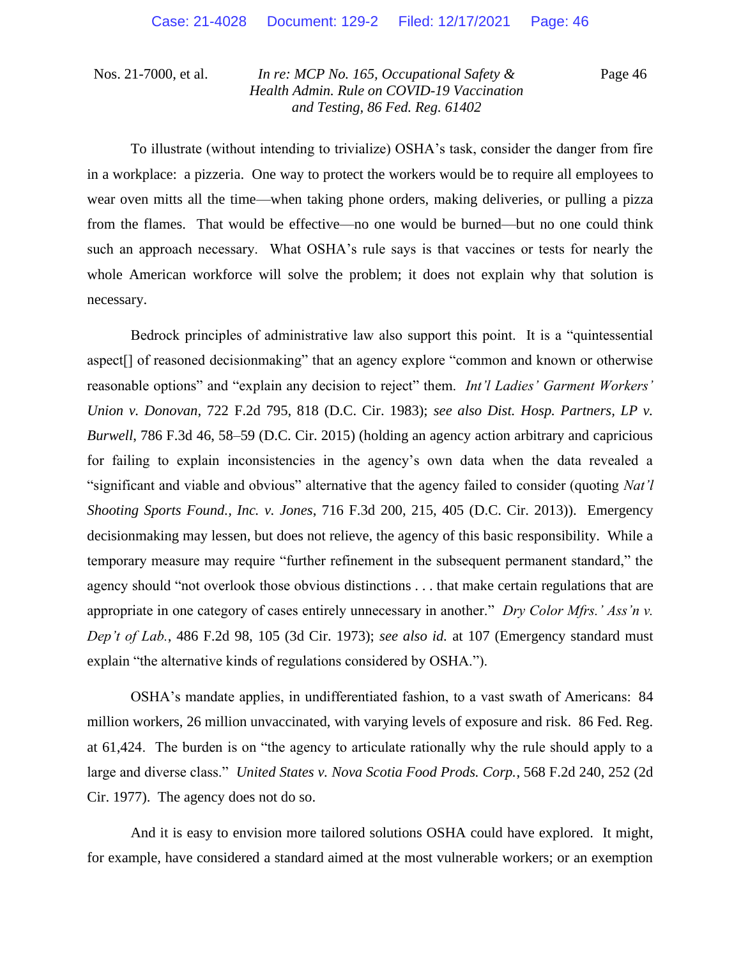Page 46

To illustrate (without intending to trivialize) OSHA's task, consider the danger from fire in a workplace: a pizzeria. One way to protect the workers would be to require all employees to wear oven mitts all the time—when taking phone orders, making deliveries, or pulling a pizza from the flames. That would be effective—no one would be burned—but no one could think such an approach necessary. What OSHA's rule says is that vaccines or tests for nearly the whole American workforce will solve the problem; it does not explain why that solution is necessary.

Bedrock principles of administrative law also support this point. It is a "quintessential aspect[] of reasoned decisionmaking" that an agency explore "common and known or otherwise reasonable options" and "explain any decision to reject" them. *Int'l Ladies' Garment Workers' Union v. Donovan*, 722 F.2d 795, 818 (D.C. Cir. 1983); *see also Dist. Hosp. Partners, LP v. Burwell*, 786 F.3d 46, 58–59 (D.C. Cir. 2015) (holding an agency action arbitrary and capricious for failing to explain inconsistencies in the agency's own data when the data revealed a "significant and viable and obvious" alternative that the agency failed to consider (quoting *Nat'l Shooting Sports Found., Inc. v. Jones*, 716 F.3d 200, 215, 405 (D.C. Cir. 2013)). Emergency decisionmaking may lessen, but does not relieve, the agency of this basic responsibility. While a temporary measure may require "further refinement in the subsequent permanent standard," the agency should "not overlook those obvious distinctions . . . that make certain regulations that are appropriate in one category of cases entirely unnecessary in another." *Dry Color Mfrs.' Ass'n v. Dep't of Lab.*, 486 F.2d 98, 105 (3d Cir. 1973); *see also id.* at 107 (Emergency standard must explain "the alternative kinds of regulations considered by OSHA.").

OSHA's mandate applies, in undifferentiated fashion, to a vast swath of Americans: 84 million workers, 26 million unvaccinated, with varying levels of exposure and risk. 86 Fed. Reg. at 61,424. The burden is on "the agency to articulate rationally why the rule should apply to a large and diverse class." *United States v. Nova Scotia Food Prods. Corp.*, 568 F.2d 240, 252 (2d Cir. 1977). The agency does not do so.

And it is easy to envision more tailored solutions OSHA could have explored. It might, for example, have considered a standard aimed at the most vulnerable workers; or an exemption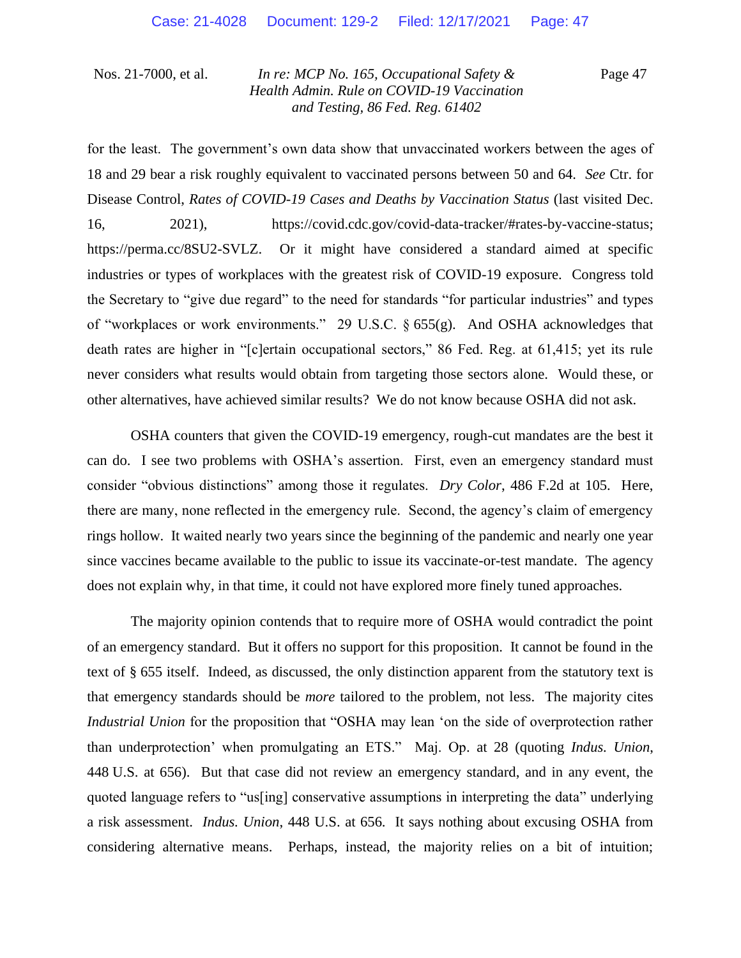Page 47

for the least. The government's own data show that unvaccinated workers between the ages of 18 and 29 bear a risk roughly equivalent to vaccinated persons between 50 and 64. *See* Ctr. for Disease Control, *Rates of COVID-19 Cases and Deaths by Vaccination Status* (last visited Dec. 16, 2021), https://covid.cdc.gov/covid-data-tracker/#rates-by-vaccine-status; https://perma.cc/8SU2-SVLZ. Or it might have considered a standard aimed at specific industries or types of workplaces with the greatest risk of COVID-19 exposure. Congress told the Secretary to "give due regard" to the need for standards "for particular industries" and types of "workplaces or work environments." 29 U.S.C. § 655(g). And OSHA acknowledges that death rates are higher in "[c]ertain occupational sectors," 86 Fed. Reg. at 61,415; yet its rule never considers what results would obtain from targeting those sectors alone. Would these, or other alternatives, have achieved similar results? We do not know because OSHA did not ask.

OSHA counters that given the COVID-19 emergency, rough-cut mandates are the best it can do. I see two problems with OSHA's assertion. First, even an emergency standard must consider "obvious distinctions" among those it regulates. *Dry Color*, 486 F.2d at 105. Here, there are many, none reflected in the emergency rule. Second, the agency's claim of emergency rings hollow. It waited nearly two years since the beginning of the pandemic and nearly one year since vaccines became available to the public to issue its vaccinate-or-test mandate. The agency does not explain why, in that time, it could not have explored more finely tuned approaches.

The majority opinion contends that to require more of OSHA would contradict the point of an emergency standard. But it offers no support for this proposition. It cannot be found in the text of § 655 itself. Indeed, as discussed, the only distinction apparent from the statutory text is that emergency standards should be *more* tailored to the problem, not less. The majority cites *Industrial Union* for the proposition that "OSHA may lean 'on the side of overprotection rather than underprotection' when promulgating an ETS." Maj. Op. at 28 (quoting *Indus. Union*, 448 U.S. at 656). But that case did not review an emergency standard, and in any event, the quoted language refers to "us[ing] conservative assumptions in interpreting the data" underlying a risk assessment. *Indus. Union*, 448 U.S. at 656.It says nothing about excusing OSHA from considering alternative means. Perhaps, instead, the majority relies on a bit of intuition;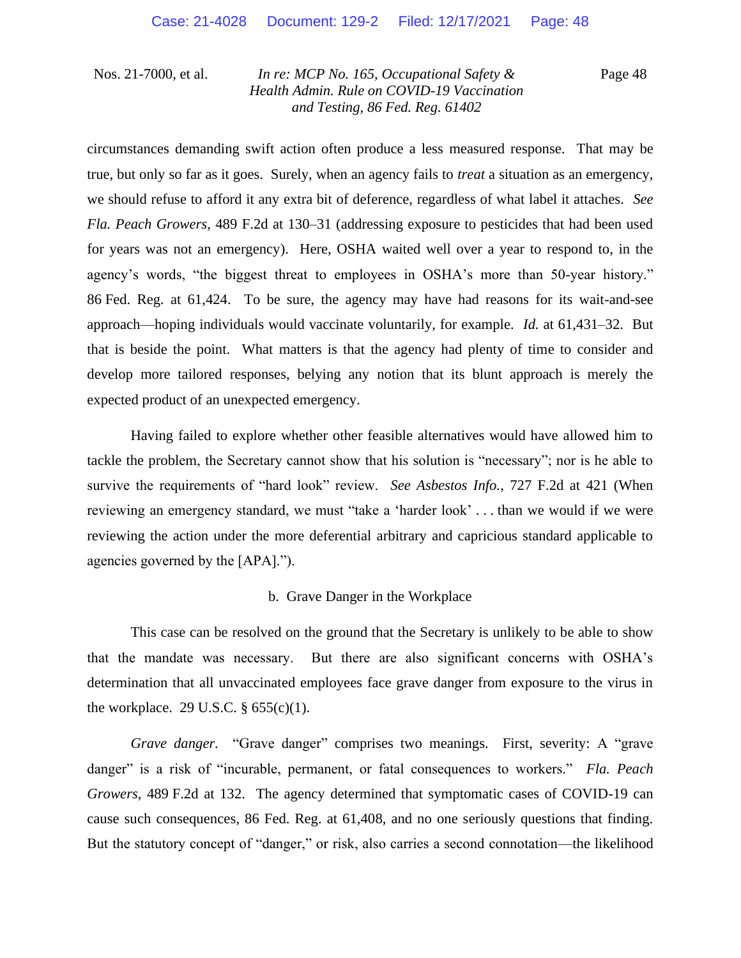Page 48

circumstances demanding swift action often produce a less measured response. That may be true, but only so far as it goes. Surely, when an agency fails to *treat* a situation as an emergency, we should refuse to afford it any extra bit of deference, regardless of what label it attaches. *See Fla. Peach Growers*, 489 F.2d at 130–31 (addressing exposure to pesticides that had been used for years was not an emergency). Here, OSHA waited well over a year to respond to, in the agency's words, "the biggest threat to employees in OSHA's more than 50-year history." 86 Fed. Reg. at 61,424. To be sure, the agency may have had reasons for its wait-and-see approach—hoping individuals would vaccinate voluntarily, for example. *Id.* at 61,431–32. But that is beside the point. What matters is that the agency had plenty of time to consider and develop more tailored responses, belying any notion that its blunt approach is merely the expected product of an unexpected emergency.

Having failed to explore whether other feasible alternatives would have allowed him to tackle the problem, the Secretary cannot show that his solution is "necessary"; nor is he able to survive the requirements of "hard look" review. *See Asbestos Info.*, 727 F.2d at 421 (When reviewing an emergency standard, we must "take a 'harder look' . . . than we would if we were reviewing the action under the more deferential arbitrary and capricious standard applicable to agencies governed by the [APA].").

#### b. Grave Danger in the Workplace

This case can be resolved on the ground that the Secretary is unlikely to be able to show that the mandate was necessary. But there are also significant concerns with OSHA's determination that all unvaccinated employees face grave danger from exposure to the virus in the workplace. 29 U.S.C.  $\S 655(c)(1)$ .

*Grave danger.* "Grave danger" comprises two meanings. First, severity: A "grave danger" is a risk of "incurable, permanent, or fatal consequences to workers." *Fla. Peach Growers*, 489 F.2d at 132. The agency determined that symptomatic cases of COVID-19 can cause such consequences, 86 Fed. Reg. at 61,408, and no one seriously questions that finding. But the statutory concept of "danger," or risk, also carries a second connotation—the likelihood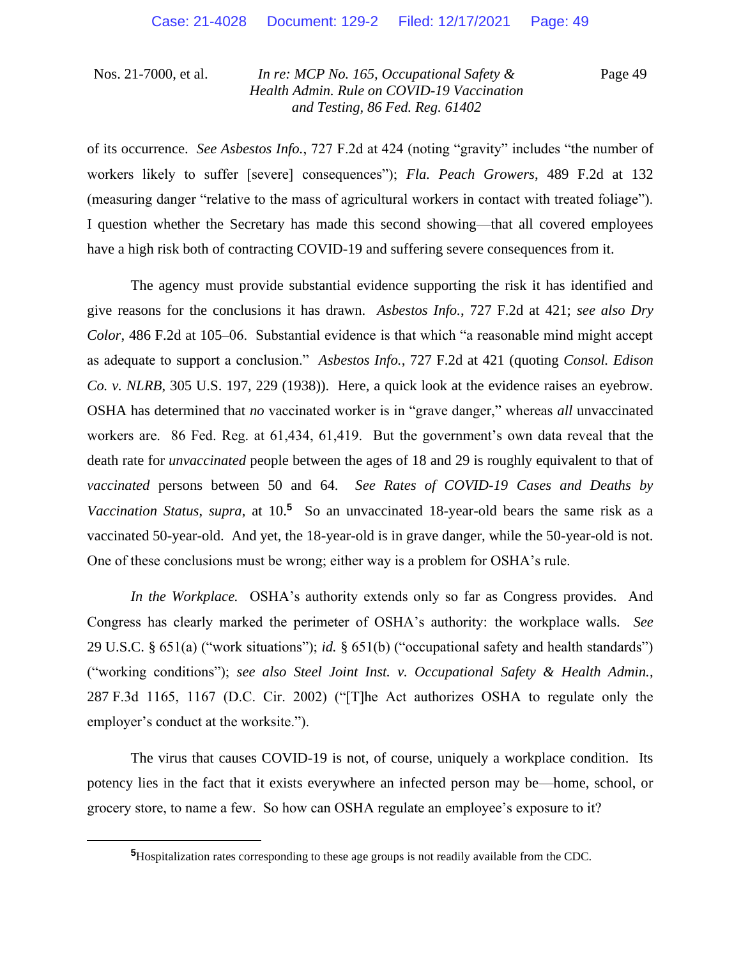Page 49

of its occurrence. *See Asbestos Info.*, 727 F.2d at 424 (noting "gravity" includes "the number of workers likely to suffer [severe] consequences"); *Fla. Peach Growers*, 489 F.2d at 132 (measuring danger "relative to the mass of agricultural workers in contact with treated foliage"). I question whether the Secretary has made this second showing—that all covered employees have a high risk both of contracting COVID-19 and suffering severe consequences from it.

The agency must provide substantial evidence supporting the risk it has identified and give reasons for the conclusions it has drawn. *Asbestos Info.*, 727 F.2d at 421; *see also Dry Color*, 486 F.2d at 105–06. Substantial evidence is that which "a reasonable mind might accept as adequate to support a conclusion." *Asbestos Info.*, 727 F.2d at 421 (quoting *Consol. Edison Co. v. NLRB*, 305 U.S. 197, 229 (1938)). Here, a quick look at the evidence raises an eyebrow. OSHA has determined that *no* vaccinated worker is in "grave danger," whereas *all* unvaccinated workers are. 86 Fed. Reg. at 61,434, 61,419. But the government's own data reveal that the death rate for *unvaccinated* people between the ages of 18 and 29 is roughly equivalent to that of *vaccinated* persons between 50 and 64. *See Rates of COVID-19 Cases and Deaths by*  Vaccination Status, supra, at 10.<sup>5</sup> So an unvaccinated 18-year-old bears the same risk as a vaccinated 50-year-old. And yet, the 18-year-old is in grave danger, while the 50-year-old is not. One of these conclusions must be wrong; either way is a problem for OSHA's rule.

*In the Workplace.* OSHA's authority extends only so far as Congress provides. And Congress has clearly marked the perimeter of OSHA's authority: the workplace walls. *See*  29 U.S.C. § 651(a) ("work situations"); *id.* § 651(b) ("occupational safety and health standards") ("working conditions"); *see also Steel Joint Inst. v. Occupational Safety & Health Admin.*, 287 F.3d 1165, 1167 (D.C. Cir. 2002) ("[T]he Act authorizes OSHA to regulate only the employer's conduct at the worksite.").

The virus that causes COVID-19 is not, of course, uniquely a workplace condition. Its potency lies in the fact that it exists everywhere an infected person may be—home, school, or grocery store, to name a few. So how can OSHA regulate an employee's exposure to it?

**<sup>5</sup>**Hospitalization rates corresponding to these age groups is not readily available from the CDC.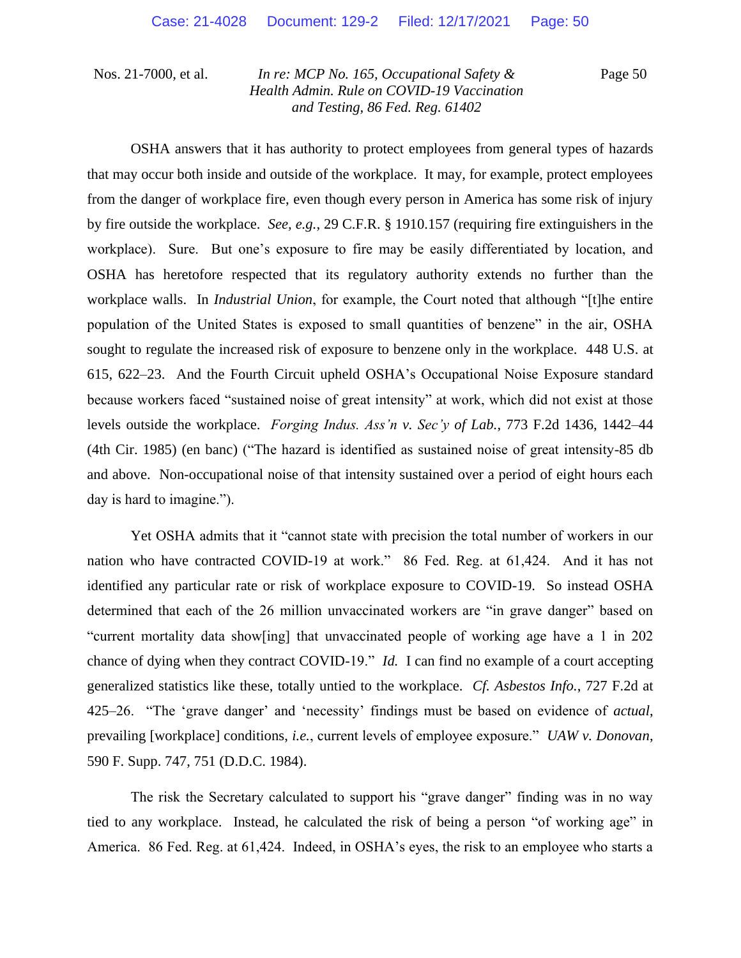Page 50

OSHA answers that it has authority to protect employees from general types of hazards that may occur both inside and outside of the workplace. It may, for example, protect employees from the danger of workplace fire, even though every person in America has some risk of injury by fire outside the workplace. *See, e.g.*, 29 C.F.R. § 1910.157 (requiring fire extinguishers in the workplace). Sure. But one's exposure to fire may be easily differentiated by location, and OSHA has heretofore respected that its regulatory authority extends no further than the workplace walls. In *Industrial Union*, for example, the Court noted that although "[t]he entire population of the United States is exposed to small quantities of benzene" in the air, OSHA sought to regulate the increased risk of exposure to benzene only in the workplace. 448 U.S. at 615, 622–23. And the Fourth Circuit upheld OSHA's Occupational Noise Exposure standard because workers faced "sustained noise of great intensity" at work, which did not exist at those levels outside the workplace. *Forging Indus. Ass'n v. Sec'y of Lab.*, 773 F.2d 1436, 1442–44 (4th Cir. 1985) (en banc) ("The hazard is identified as sustained noise of great intensity-85 db and above. Non-occupational noise of that intensity sustained over a period of eight hours each day is hard to imagine.").

Yet OSHA admits that it "cannot state with precision the total number of workers in our nation who have contracted COVID-19 at work." 86 Fed. Reg. at 61,424. And it has not identified any particular rate or risk of workplace exposure to COVID-19. So instead OSHA determined that each of the 26 million unvaccinated workers are "in grave danger" based on "current mortality data show[ing] that unvaccinated people of working age have a 1 in 202 chance of dying when they contract COVID-19." *Id.* I can find no example of a court accepting generalized statistics like these, totally untied to the workplace. *Cf. Asbestos Info.*, 727 F.2d at 425–26. "The 'grave danger' and 'necessity' findings must be based on evidence of *actual*, prevailing [workplace] conditions, *i.e.*, current levels of employee exposure." *UAW v. Donovan*, 590 F. Supp. 747, 751 (D.D.C. 1984).

The risk the Secretary calculated to support his "grave danger" finding was in no way tied to any workplace. Instead, he calculated the risk of being a person "of working age" in America. 86 Fed. Reg. at 61,424. Indeed, in OSHA's eyes, the risk to an employee who starts a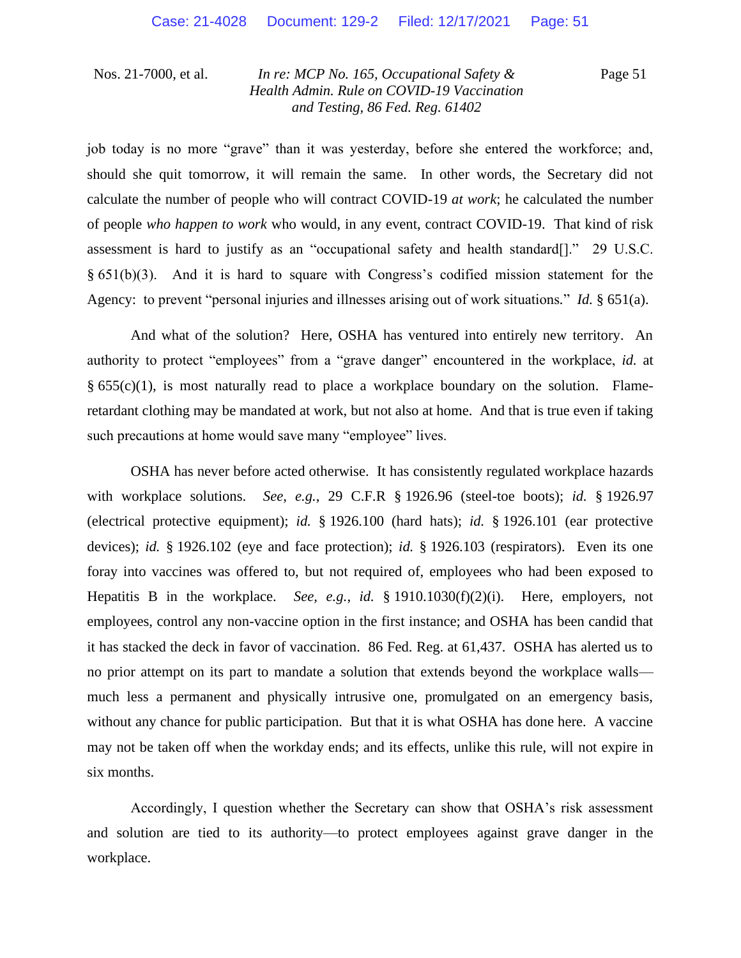Page 51

job today is no more "grave" than it was yesterday, before she entered the workforce; and, should she quit tomorrow, it will remain the same. In other words, the Secretary did not calculate the number of people who will contract COVID-19 *at work*; he calculated the number of people *who happen to work* who would, in any event, contract COVID-19. That kind of risk assessment is hard to justify as an "occupational safety and health standard[]." 29 U.S.C.  $§ 651(b)(3)$ . And it is hard to square with Congress's codified mission statement for the Agency: to prevent "personal injuries and illnesses arising out of work situations*.*" *Id.* § 651(a).

And what of the solution? Here, OSHA has ventured into entirely new territory. An authority to protect "employees" from a "grave danger" encountered in the workplace, *id.* at  $§ 655(c)(1)$ , is most naturally read to place a workplace boundary on the solution. Flameretardant clothing may be mandated at work, but not also at home. And that is true even if taking such precautions at home would save many "employee" lives.

OSHA has never before acted otherwise. It has consistently regulated workplace hazards with workplace solutions. *See, e.g.*, 29 C.F.R § 1926.96 (steel-toe boots); *id.* § 1926.97 (electrical protective equipment); *id.* § 1926.100 (hard hats); *id.* § 1926.101 (ear protective devices); *id.* § 1926.102 (eye and face protection); *id.* § 1926.103 (respirators). Even its one foray into vaccines was offered to, but not required of, employees who had been exposed to Hepatitis B in the workplace. *See, e.g.*, *id.* § 1910.1030(f)(2)(i). Here, employers, not employees, control any non-vaccine option in the first instance; and OSHA has been candid that it has stacked the deck in favor of vaccination. 86 Fed. Reg. at 61,437. OSHA has alerted us to no prior attempt on its part to mandate a solution that extends beyond the workplace walls much less a permanent and physically intrusive one, promulgated on an emergency basis, without any chance for public participation. But that it is what OSHA has done here. A vaccine may not be taken off when the workday ends; and its effects, unlike this rule, will not expire in six months.

Accordingly, I question whether the Secretary can show that OSHA's risk assessment and solution are tied to its authority—to protect employees against grave danger in the workplace.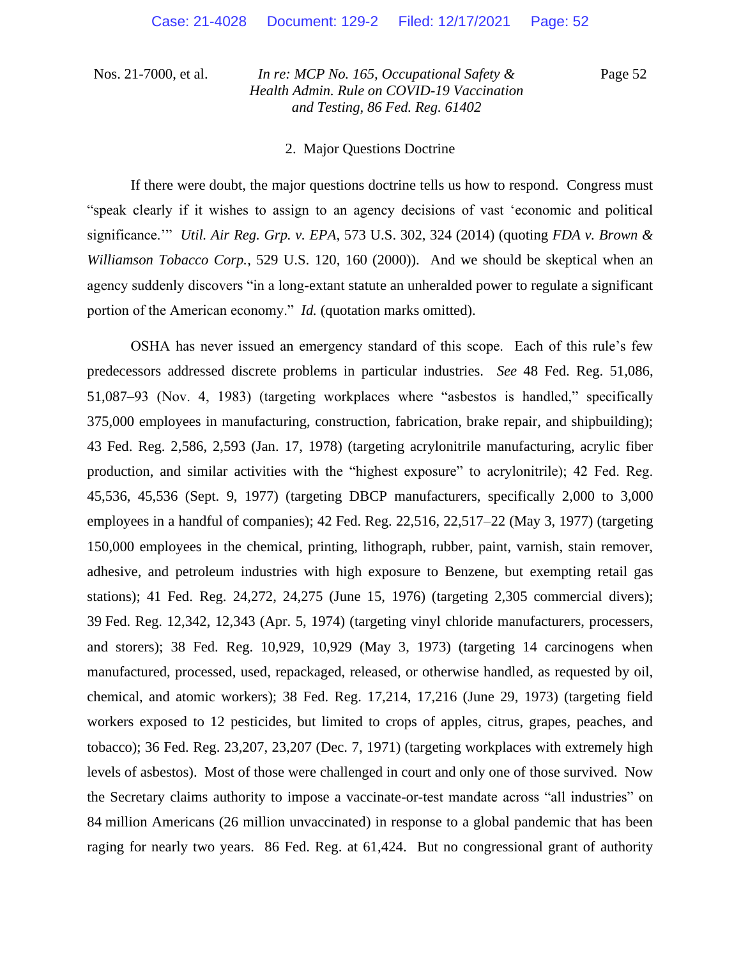Page 52

#### 2. Major Questions Doctrine

If there were doubt, the major questions doctrine tells us how to respond. Congress must "speak clearly if it wishes to assign to an agency decisions of vast 'economic and political significance.'" *Util. Air Reg. Grp. v. EPA*, 573 U.S. 302, 324 (2014) (quoting *FDA v. Brown & Williamson Tobacco Corp.*, 529 U.S. 120, 160 (2000)). And we should be skeptical when an agency suddenly discovers "in a long-extant statute an unheralded power to regulate a significant portion of the American economy." *Id.* (quotation marks omitted).

OSHA has never issued an emergency standard of this scope. Each of this rule's few predecessors addressed discrete problems in particular industries. *See* 48 Fed. Reg. 51,086, 51,087–93 (Nov. 4, 1983) (targeting workplaces where "asbestos is handled," specifically 375,000 employees in manufacturing, construction, fabrication, brake repair, and shipbuilding); 43 Fed. Reg. 2,586, 2,593 (Jan. 17, 1978) (targeting acrylonitrile manufacturing, acrylic fiber production, and similar activities with the "highest exposure" to acrylonitrile); 42 Fed. Reg. 45,536, 45,536 (Sept. 9, 1977) (targeting DBCP manufacturers, specifically 2,000 to 3,000 employees in a handful of companies); 42 Fed. Reg. 22,516, 22,517–22 (May 3, 1977) (targeting 150,000 employees in the chemical, printing, lithograph, rubber, paint, varnish, stain remover, adhesive, and petroleum industries with high exposure to Benzene, but exempting retail gas stations); 41 Fed. Reg. 24,272, 24,275 (June 15, 1976) (targeting 2,305 commercial divers); 39 Fed. Reg. 12,342, 12,343 (Apr. 5, 1974) (targeting vinyl chloride manufacturers, processers, and storers); 38 Fed. Reg. 10,929, 10,929 (May 3, 1973) (targeting 14 carcinogens when manufactured, processed, used, repackaged, released, or otherwise handled, as requested by oil, chemical, and atomic workers); 38 Fed. Reg. 17,214, 17,216 (June 29, 1973) (targeting field workers exposed to 12 pesticides, but limited to crops of apples, citrus, grapes, peaches, and tobacco); 36 Fed. Reg. 23,207, 23,207 (Dec. 7, 1971) (targeting workplaces with extremely high levels of asbestos). Most of those were challenged in court and only one of those survived. Now the Secretary claims authority to impose a vaccinate-or-test mandate across "all industries" on 84 million Americans (26 million unvaccinated) in response to a global pandemic that has been raging for nearly two years. 86 Fed. Reg. at 61,424. But no congressional grant of authority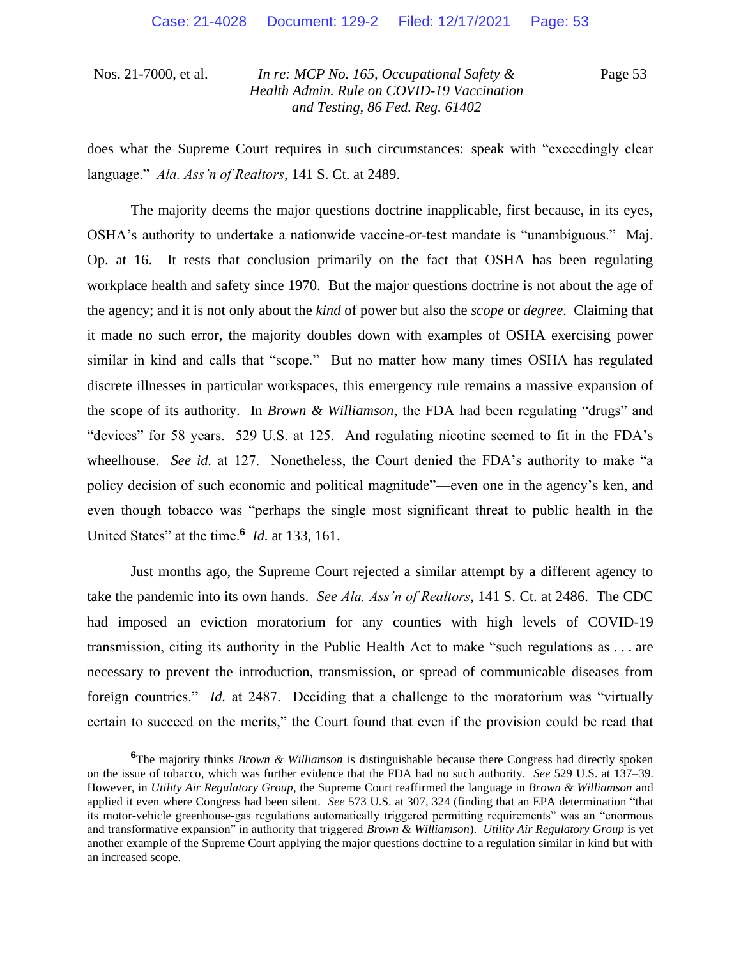Page 53

does what the Supreme Court requires in such circumstances: speak with "exceedingly clear language." *Ala. Ass'n of Realtors*, 141 S. Ct. at 2489.

The majority deems the major questions doctrine inapplicable, first because, in its eyes, OSHA's authority to undertake a nationwide vaccine-or-test mandate is "unambiguous." Maj. Op. at 16. It rests that conclusion primarily on the fact that OSHA has been regulating workplace health and safety since 1970. But the major questions doctrine is not about the age of the agency; and it is not only about the *kind* of power but also the *scope* or *degree*. Claiming that it made no such error, the majority doubles down with examples of OSHA exercising power similar in kind and calls that "scope." But no matter how many times OSHA has regulated discrete illnesses in particular workspaces, this emergency rule remains a massive expansion of the scope of its authority. In *Brown & Williamson*, the FDA had been regulating "drugs" and "devices" for 58 years. 529 U.S. at 125. And regulating nicotine seemed to fit in the FDA's wheelhouse. *See id.* at 127. Nonetheless, the Court denied the FDA's authority to make "a policy decision of such economic and political magnitude"—even one in the agency's ken, and even though tobacco was "perhaps the single most significant threat to public health in the United States" at the time.**<sup>6</sup>** *Id.* at 133, 161.

Just months ago, the Supreme Court rejected a similar attempt by a different agency to take the pandemic into its own hands. *See Ala. Ass'n of Realtors*, 141 S. Ct. at 2486. The CDC had imposed an eviction moratorium for any counties with high levels of COVID-19 transmission, citing its authority in the Public Health Act to make "such regulations as . . . are necessary to prevent the introduction, transmission, or spread of communicable diseases from foreign countries." *Id.* at 2487. Deciding that a challenge to the moratorium was "virtually certain to succeed on the merits," the Court found that even if the provision could be read that

**<sup>6</sup>**The majority thinks *Brown & Williamson* is distinguishable because there Congress had directly spoken on the issue of tobacco, which was further evidence that the FDA had no such authority. *See* 529 U.S. at 137–39. However, in *Utility Air Regulatory Group*, the Supreme Court reaffirmed the language in *Brown & Williamson* and applied it even where Congress had been silent. *See* 573 U.S. at 307, 324 (finding that an EPA determination "that its motor-vehicle greenhouse-gas regulations automatically triggered permitting requirements" was an "enormous and transformative expansion" in authority that triggered *Brown & Williamson*). *Utility Air Regulatory Group* is yet another example of the Supreme Court applying the major questions doctrine to a regulation similar in kind but with an increased scope.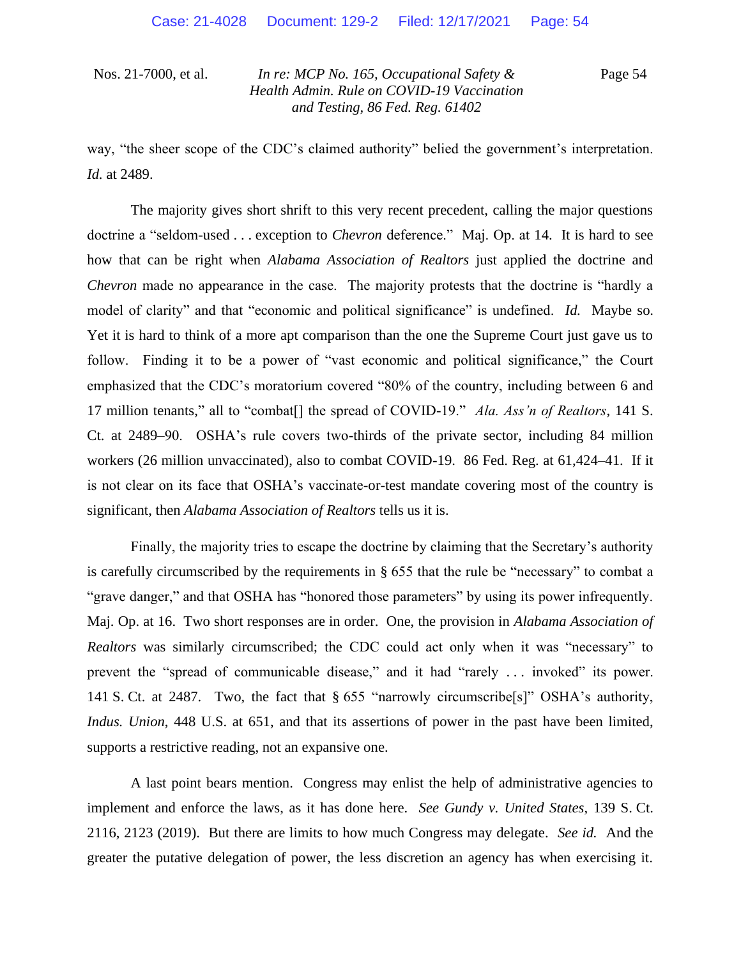Page 54

way, "the sheer scope of the CDC's claimed authority" belied the government's interpretation. *Id.* at 2489.

The majority gives short shrift to this very recent precedent, calling the major questions doctrine a "seldom-used . . . exception to *Chevron* deference." Maj. Op. at 14. It is hard to see how that can be right when *Alabama Association of Realtors* just applied the doctrine and *Chevron* made no appearance in the case. The majority protests that the doctrine is "hardly a model of clarity" and that "economic and political significance" is undefined. *Id.* Maybe so. Yet it is hard to think of a more apt comparison than the one the Supreme Court just gave us to follow. Finding it to be a power of "vast economic and political significance," the Court emphasized that the CDC's moratorium covered "80% of the country, including between 6 and 17 million tenants," all to "combat[] the spread of COVID-19." *Ala. Ass'n of Realtors*, 141 S. Ct. at 2489–90. OSHA's rule covers two-thirds of the private sector, including 84 million workers (26 million unvaccinated), also to combat COVID-19. 86 Fed. Reg. at 61,424–41. If it is not clear on its face that OSHA's vaccinate-or-test mandate covering most of the country is significant, then *Alabama Association of Realtors* tells us it is.

Finally, the majority tries to escape the doctrine by claiming that the Secretary's authority is carefully circumscribed by the requirements in § 655 that the rule be "necessary" to combat a "grave danger," and that OSHA has "honored those parameters" by using its power infrequently. Maj. Op. at 16. Two short responses are in order. One, the provision in *Alabama Association of Realtors* was similarly circumscribed; the CDC could act only when it was "necessary" to prevent the "spread of communicable disease," and it had "rarely ... invoked" its power. 141 S. Ct. at 2487. Two, the fact that § 655 "narrowly circumscribe[s]" OSHA's authority, *Indus. Union*, 448 U.S. at 651, and that its assertions of power in the past have been limited, supports a restrictive reading, not an expansive one.

A last point bears mention. Congress may enlist the help of administrative agencies to implement and enforce the laws, as it has done here. *See Gundy v. United States*, 139 S. Ct. 2116, 2123 (2019). But there are limits to how much Congress may delegate. *See id.* And the greater the putative delegation of power, the less discretion an agency has when exercising it.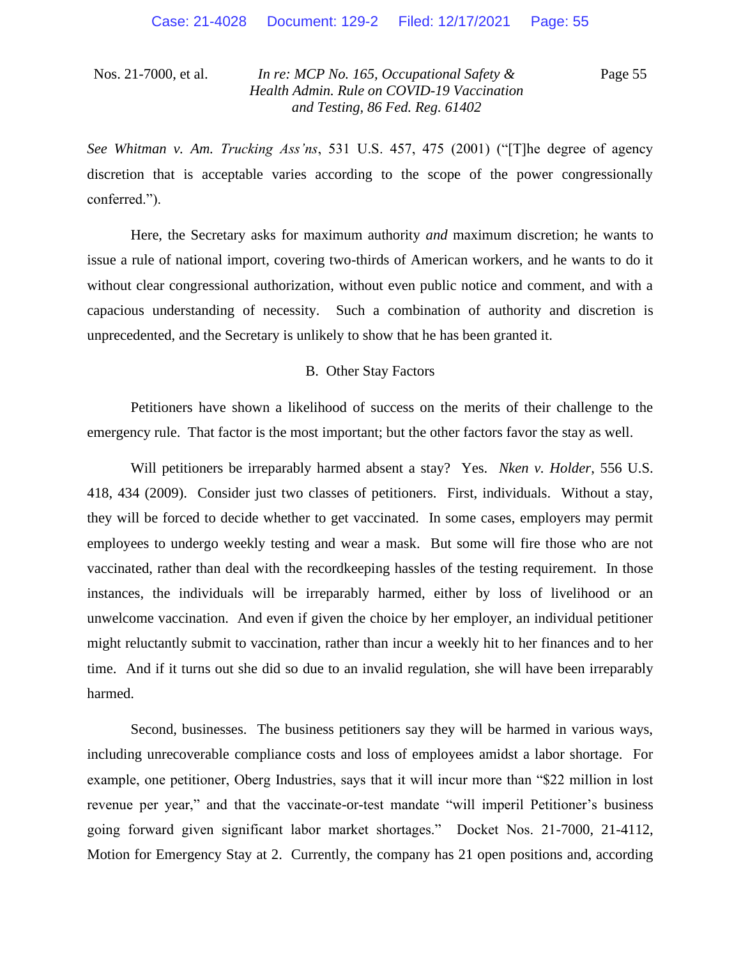Page 55

*See Whitman v. Am. Trucking Ass'ns*, 531 U.S. 457, 475 (2001) ("[T]he degree of agency discretion that is acceptable varies according to the scope of the power congressionally conferred.").

Here, the Secretary asks for maximum authority *and* maximum discretion; he wants to issue a rule of national import, covering two-thirds of American workers, and he wants to do it without clear congressional authorization, without even public notice and comment, and with a capacious understanding of necessity. Such a combination of authority and discretion is unprecedented, and the Secretary is unlikely to show that he has been granted it.

### B. Other Stay Factors

Petitioners have shown a likelihood of success on the merits of their challenge to the emergency rule. That factor is the most important; but the other factors favor the stay as well.

Will petitioners be irreparably harmed absent a stay? Yes. *Nken v. Holder*, 556 U.S. 418, 434 (2009). Consider just two classes of petitioners. First, individuals. Without a stay, they will be forced to decide whether to get vaccinated. In some cases, employers may permit employees to undergo weekly testing and wear a mask. But some will fire those who are not vaccinated, rather than deal with the recordkeeping hassles of the testing requirement. In those instances, the individuals will be irreparably harmed, either by loss of livelihood or an unwelcome vaccination. And even if given the choice by her employer, an individual petitioner might reluctantly submit to vaccination, rather than incur a weekly hit to her finances and to her time. And if it turns out she did so due to an invalid regulation, she will have been irreparably harmed.

Second, businesses. The business petitioners say they will be harmed in various ways, including unrecoverable compliance costs and loss of employees amidst a labor shortage. For example, one petitioner, Oberg Industries, says that it will incur more than "\$22 million in lost revenue per year," and that the vaccinate-or-test mandate "will imperil Petitioner's business going forward given significant labor market shortages." Docket Nos. 21-7000, 21-4112, Motion for Emergency Stay at 2. Currently, the company has 21 open positions and, according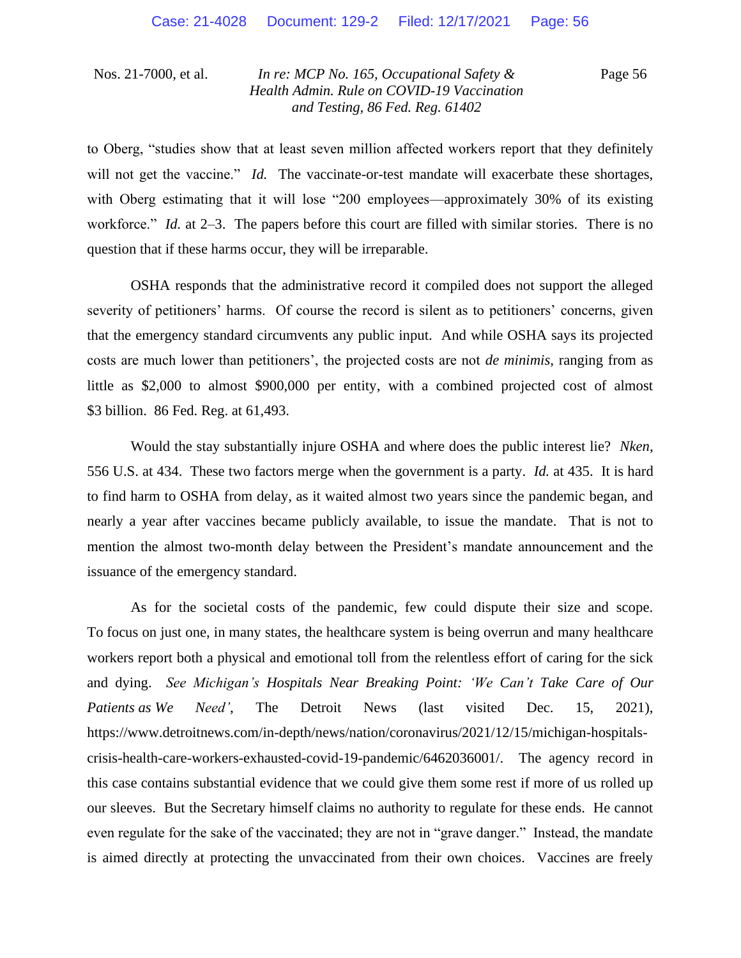Page 56

to Oberg, "studies show that at least seven million affected workers report that they definitely will not get the vaccine." *Id.* The vaccinate-or-test mandate will exacerbate these shortages, with Oberg estimating that it will lose "200 employees—approximately 30% of its existing workforce." *Id.* at 2–3. The papers before this court are filled with similar stories. There is no question that if these harms occur, they will be irreparable.

OSHA responds that the administrative record it compiled does not support the alleged severity of petitioners' harms. Of course the record is silent as to petitioners' concerns, given that the emergency standard circumvents any public input. And while OSHA says its projected costs are much lower than petitioners', the projected costs are not *de minimis*, ranging from as little as \$2,000 to almost \$900,000 per entity, with a combined projected cost of almost \$3 billion. 86 Fed. Reg. at 61,493.

Would the stay substantially injure OSHA and where does the public interest lie? *Nken*, 556 U.S. at 434. These two factors merge when the government is a party. *Id.* at 435. It is hard to find harm to OSHA from delay, as it waited almost two years since the pandemic began, and nearly a year after vaccines became publicly available, to issue the mandate. That is not to mention the almost two-month delay between the President's mandate announcement and the issuance of the emergency standard.

As for the societal costs of the pandemic, few could dispute their size and scope. To focus on just one, in many states, the healthcare system is being overrun and many healthcare workers report both a physical and emotional toll from the relentless effort of caring for the sick and dying. *See Michigan's Hospitals Near Breaking Point: 'We Can't Take Care of Our Patients as We Need'*, The Detroit News (last visited Dec. 15, 2021), https://www.detroitnews.com/in-depth/news/nation/coronavirus/2021/12/15/michigan-hospitalscrisis-health-care-workers-exhausted-covid-19-pandemic/6462036001/. The agency record in this case contains substantial evidence that we could give them some rest if more of us rolled up our sleeves. But the Secretary himself claims no authority to regulate for these ends. He cannot even regulate for the sake of the vaccinated; they are not in "grave danger." Instead, the mandate is aimed directly at protecting the unvaccinated from their own choices. Vaccines are freely